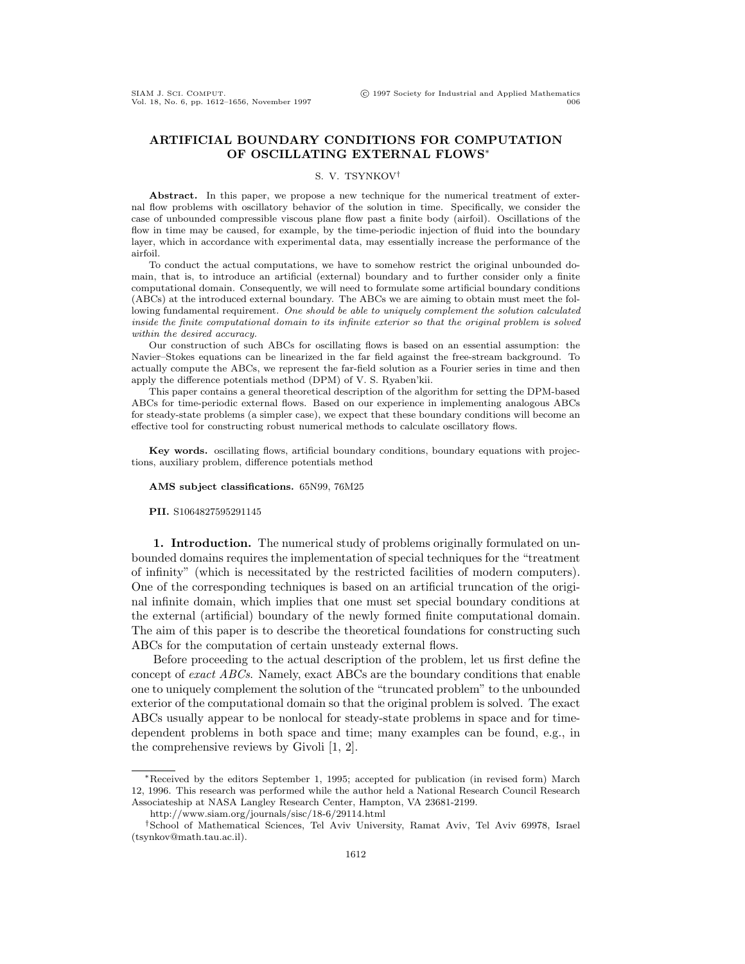# **ARTIFICIAL BOUNDARY CONDITIONS FOR COMPUTATION OF OSCILLATING EXTERNAL FLOWS**<sup>∗</sup>

#### S. V. TSYNKOV†

**Abstract.** In this paper, we propose a new technique for the numerical treatment of external flow problems with oscillatory behavior of the solution in time. Specifically, we consider the case of unbounded compressible viscous plane flow past a finite body (airfoil). Oscillations of the flow in time may be caused, for example, by the time-periodic injection of fluid into the boundary layer, which in accordance with experimental data, may essentially increase the performance of the airfoil.

To conduct the actual computations, we have to somehow restrict the original unbounded domain, that is, to introduce an artificial (external) boundary and to further consider only a finite computational domain. Consequently, we will need to formulate some artificial boundary conditions (ABCs) at the introduced external boundary. The ABCs we are aiming to obtain must meet the following fundamental requirement. One should be able to uniquely complement the solution calculated inside the finite computational domain to its infinite exterior so that the original problem is solved within the desired accuracy.

Our construction of such ABCs for oscillating flows is based on an essential assumption: the Navier–Stokes equations can be linearized in the far field against the free-stream background. To actually compute the ABCs, we represent the far-field solution as a Fourier series in time and then apply the difference potentials method (DPM) of V. S. Ryaben'kii.

This paper contains a general theoretical description of the algorithm for setting the DPM-based ABCs for time-periodic external flows. Based on our experience in implementing analogous ABCs for steady-state problems (a simpler case), we expect that these boundary conditions will become an effective tool for constructing robust numerical methods to calculate oscillatory flows.

**Key words.** oscillating flows, artificial boundary conditions, boundary equations with projections, auxiliary problem, difference potentials method

**AMS subject classifications.** 65N99, 76M25

**PII.** S1064827595291145

**1. Introduction.** The numerical study of problems originally formulated on unbounded domains requires the implementation of special techniques for the "treatment of infinity" (which is necessitated by the restricted facilities of modern computers). One of the corresponding techniques is based on an artificial truncation of the original infinite domain, which implies that one must set special boundary conditions at the external (artificial) boundary of the newly formed finite computational domain. The aim of this paper is to describe the theoretical foundations for constructing such ABCs for the computation of certain unsteady external flows.

Before proceeding to the actual description of the problem, let us first define the concept of exact ABCs. Namely, exact ABCs are the boundary conditions that enable one to uniquely complement the solution of the "truncated problem" to the unbounded exterior of the computational domain so that the original problem is solved. The exact ABCs usually appear to be nonlocal for steady-state problems in space and for timedependent problems in both space and time; many examples can be found, e.g., in the comprehensive reviews by Givoli [1, 2].

<sup>∗</sup>Received by the editors September 1, 1995; accepted for publication (in revised form) March 12, 1996. This research was performed while the author held a National Research Council Research Associateship at NASA Langley Research Center, Hampton, VA 23681-2199.

http://www.siam.org/journals/sisc/18-6/29114.html

<sup>†</sup>School of Mathematical Sciences, Tel Aviv University, Ramat Aviv, Tel Aviv 69978, Israel (tsynkov@math.tau.ac.il).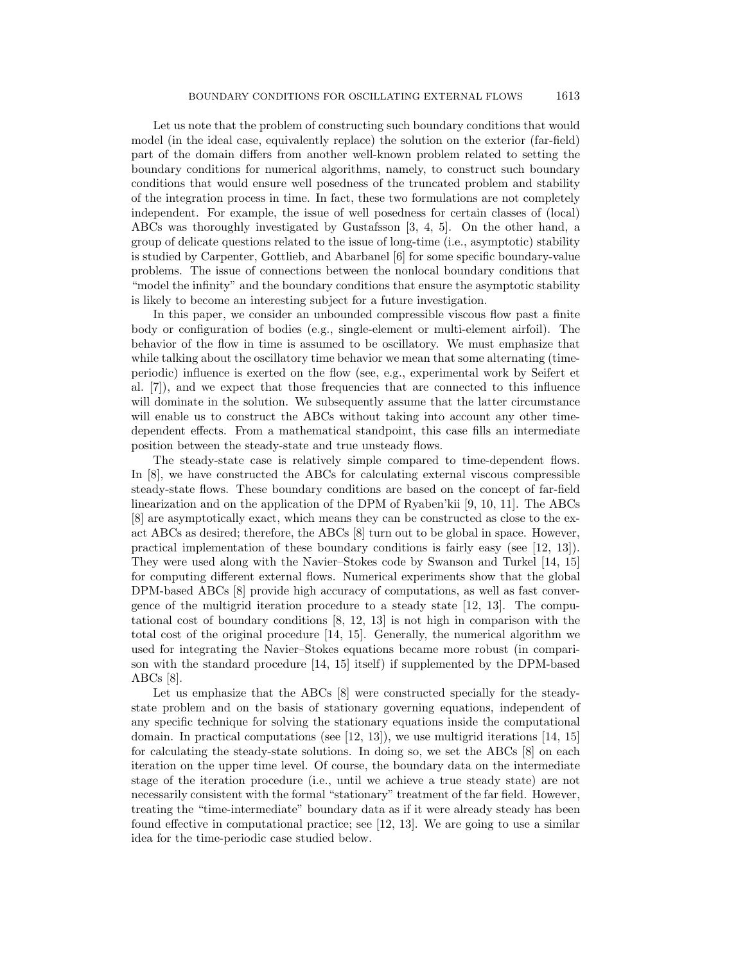Let us note that the problem of constructing such boundary conditions that would model (in the ideal case, equivalently replace) the solution on the exterior (far-field) part of the domain differs from another well-known problem related to setting the boundary conditions for numerical algorithms, namely, to construct such boundary conditions that would ensure well posedness of the truncated problem and stability of the integration process in time. In fact, these two formulations are not completely independent. For example, the issue of well posedness for certain classes of (local) ABCs was thoroughly investigated by Gustafsson [3, 4, 5]. On the other hand, a group of delicate questions related to the issue of long-time (i.e., asymptotic) stability is studied by Carpenter, Gottlieb, and Abarbanel [6] for some specific boundary-value problems. The issue of connections between the nonlocal boundary conditions that "model the infinity" and the boundary conditions that ensure the asymptotic stability is likely to become an interesting subject for a future investigation.

In this paper, we consider an unbounded compressible viscous flow past a finite body or configuration of bodies (e.g., single-element or multi-element airfoil). The behavior of the flow in time is assumed to be oscillatory. We must emphasize that while talking about the oscillatory time behavior we mean that some alternating (timeperiodic) influence is exerted on the flow (see, e.g., experimental work by Seifert et al. [7]), and we expect that those frequencies that are connected to this influence will dominate in the solution. We subsequently assume that the latter circumstance will enable us to construct the ABCs without taking into account any other timedependent effects. From a mathematical standpoint, this case fills an intermediate position between the steady-state and true unsteady flows.

The steady-state case is relatively simple compared to time-dependent flows. In [8], we have constructed the ABCs for calculating external viscous compressible steady-state flows. These boundary conditions are based on the concept of far-field linearization and on the application of the DPM of Ryaben'kii [9, 10, 11]. The ABCs [8] are asymptotically exact, which means they can be constructed as close to the exact ABCs as desired; therefore, the ABCs [8] turn out to be global in space. However, practical implementation of these boundary conditions is fairly easy (see [12, 13]). They were used along with the Navier–Stokes code by Swanson and Turkel [14, 15] for computing different external flows. Numerical experiments show that the global DPM-based ABCs [8] provide high accuracy of computations, as well as fast convergence of the multigrid iteration procedure to a steady state [12, 13]. The computational cost of boundary conditions [8, 12, 13] is not high in comparison with the total cost of the original procedure [14, 15]. Generally, the numerical algorithm we used for integrating the Navier–Stokes equations became more robust (in comparison with the standard procedure [14, 15] itself) if supplemented by the DPM-based  $\text{ABCs}$  [8].

Let us emphasize that the ABCs [8] were constructed specially for the steadystate problem and on the basis of stationary governing equations, independent of any specific technique for solving the stationary equations inside the computational domain. In practical computations (see  $[12, 13]$ ), we use multigrid iterations  $[14, 15]$ for calculating the steady-state solutions. In doing so, we set the ABCs [8] on each iteration on the upper time level. Of course, the boundary data on the intermediate stage of the iteration procedure (i.e., until we achieve a true steady state) are not necessarily consistent with the formal "stationary" treatment of the far field. However, treating the "time-intermediate" boundary data as if it were already steady has been found effective in computational practice; see [12, 13]. We are going to use a similar idea for the time-periodic case studied below.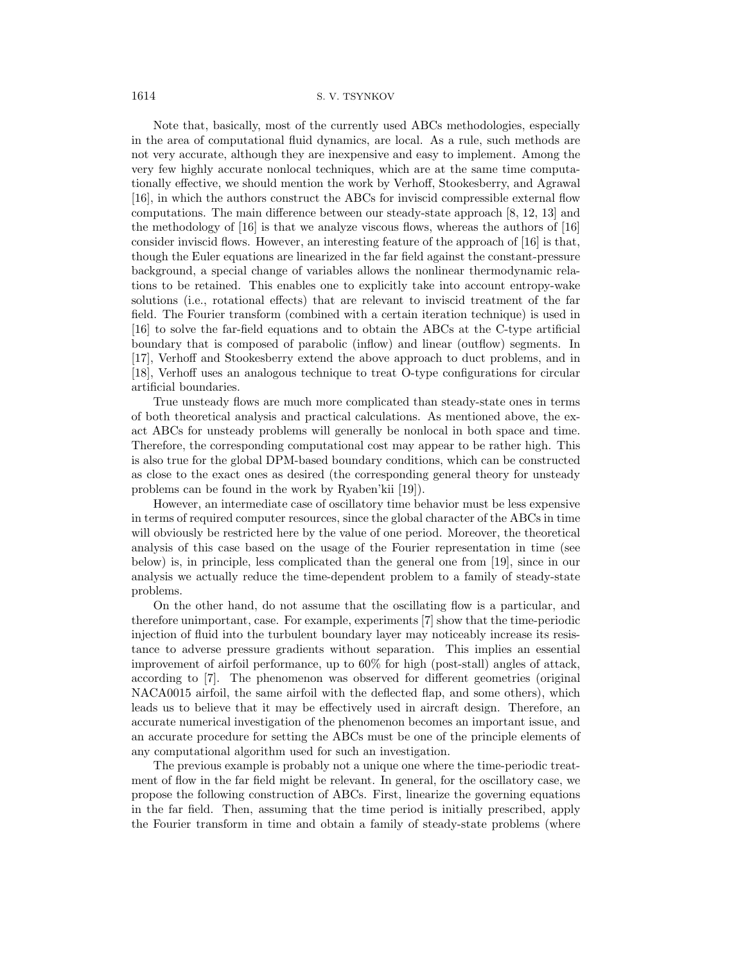#### 1614 S.V. TSYNKOV

Note that, basically, most of the currently used ABCs methodologies, especially in the area of computational fluid dynamics, are local. As a rule, such methods are not very accurate, although they are inexpensive and easy to implement. Among the very few highly accurate nonlocal techniques, which are at the same time computationally effective, we should mention the work by Verhoff, Stookesberry, and Agrawal [16], in which the authors construct the ABCs for inviscid compressible external flow computations. The main difference between our steady-state approach [8, 12, 13] and the methodology of  $[16]$  is that we analyze viscous flows, whereas the authors of  $[16]$ consider inviscid flows. However, an interesting feature of the approach of [16] is that, though the Euler equations are linearized in the far field against the constant-pressure background, a special change of variables allows the nonlinear thermodynamic relations to be retained. This enables one to explicitly take into account entropy-wake solutions (i.e., rotational effects) that are relevant to inviscid treatment of the far field. The Fourier transform (combined with a certain iteration technique) is used in [16] to solve the far-field equations and to obtain the ABCs at the C-type artificial boundary that is composed of parabolic (inflow) and linear (outflow) segments. In [17], Verhoff and Stookesberry extend the above approach to duct problems, and in [18], Verhoff uses an analogous technique to treat O-type configurations for circular artificial boundaries.

True unsteady flows are much more complicated than steady-state ones in terms of both theoretical analysis and practical calculations. As mentioned above, the exact ABCs for unsteady problems will generally be nonlocal in both space and time. Therefore, the corresponding computational cost may appear to be rather high. This is also true for the global DPM-based boundary conditions, which can be constructed as close to the exact ones as desired (the corresponding general theory for unsteady problems can be found in the work by Ryaben'kii [19]).

However, an intermediate case of oscillatory time behavior must be less expensive in terms of required computer resources, since the global character of the ABCs in time will obviously be restricted here by the value of one period. Moreover, the theoretical analysis of this case based on the usage of the Fourier representation in time (see below) is, in principle, less complicated than the general one from [19], since in our analysis we actually reduce the time-dependent problem to a family of steady-state problems.

On the other hand, do not assume that the oscillating flow is a particular, and therefore unimportant, case. For example, experiments [7] show that the time-periodic injection of fluid into the turbulent boundary layer may noticeably increase its resistance to adverse pressure gradients without separation. This implies an essential improvement of airfoil performance, up to 60% for high (post-stall) angles of attack, according to [7]. The phenomenon was observed for different geometries (original NACA0015 airfoil, the same airfoil with the deflected flap, and some others), which leads us to believe that it may be effectively used in aircraft design. Therefore, an accurate numerical investigation of the phenomenon becomes an important issue, and an accurate procedure for setting the ABCs must be one of the principle elements of any computational algorithm used for such an investigation.

The previous example is probably not a unique one where the time-periodic treatment of flow in the far field might be relevant. In general, for the oscillatory case, we propose the following construction of ABCs. First, linearize the governing equations in the far field. Then, assuming that the time period is initially prescribed, apply the Fourier transform in time and obtain a family of steady-state problems (where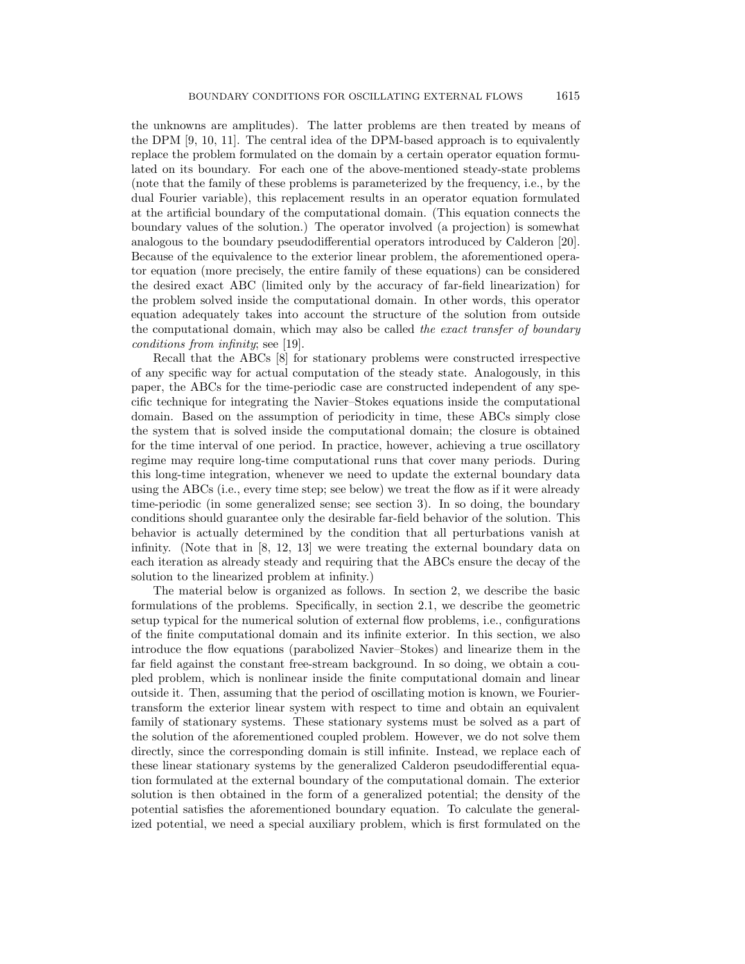the unknowns are amplitudes). The latter problems are then treated by means of the DPM [9, 10, 11]. The central idea of the DPM-based approach is to equivalently replace the problem formulated on the domain by a certain operator equation formulated on its boundary. For each one of the above-mentioned steady-state problems (note that the family of these problems is parameterized by the frequency, i.e., by the dual Fourier variable), this replacement results in an operator equation formulated at the artificial boundary of the computational domain. (This equation connects the boundary values of the solution.) The operator involved (a projection) is somewhat analogous to the boundary pseudodifferential operators introduced by Calderon [20]. Because of the equivalence to the exterior linear problem, the aforementioned operator equation (more precisely, the entire family of these equations) can be considered the desired exact ABC (limited only by the accuracy of far-field linearization) for the problem solved inside the computational domain. In other words, this operator equation adequately takes into account the structure of the solution from outside the computational domain, which may also be called the exact transfer of boundary conditions from infinity; see [19].

Recall that the ABCs [8] for stationary problems were constructed irrespective of any specific way for actual computation of the steady state. Analogously, in this paper, the ABCs for the time-periodic case are constructed independent of any specific technique for integrating the Navier–Stokes equations inside the computational domain. Based on the assumption of periodicity in time, these ABCs simply close the system that is solved inside the computational domain; the closure is obtained for the time interval of one period. In practice, however, achieving a true oscillatory regime may require long-time computational runs that cover many periods. During this long-time integration, whenever we need to update the external boundary data using the ABCs (i.e., every time step; see below) we treat the flow as if it were already time-periodic (in some generalized sense; see section 3). In so doing, the boundary conditions should guarantee only the desirable far-field behavior of the solution. This behavior is actually determined by the condition that all perturbations vanish at infinity. (Note that in [8, 12, 13] we were treating the external boundary data on each iteration as already steady and requiring that the ABCs ensure the decay of the solution to the linearized problem at infinity.)

The material below is organized as follows. In section 2, we describe the basic formulations of the problems. Specifically, in section 2.1, we describe the geometric setup typical for the numerical solution of external flow problems, i.e., configurations of the finite computational domain and its infinite exterior. In this section, we also introduce the flow equations (parabolized Navier–Stokes) and linearize them in the far field against the constant free-stream background. In so doing, we obtain a coupled problem, which is nonlinear inside the finite computational domain and linear outside it. Then, assuming that the period of oscillating motion is known, we Fouriertransform the exterior linear system with respect to time and obtain an equivalent family of stationary systems. These stationary systems must be solved as a part of the solution of the aforementioned coupled problem. However, we do not solve them directly, since the corresponding domain is still infinite. Instead, we replace each of these linear stationary systems by the generalized Calderon pseudodifferential equation formulated at the external boundary of the computational domain. The exterior solution is then obtained in the form of a generalized potential; the density of the potential satisfies the aforementioned boundary equation. To calculate the generalized potential, we need a special auxiliary problem, which is first formulated on the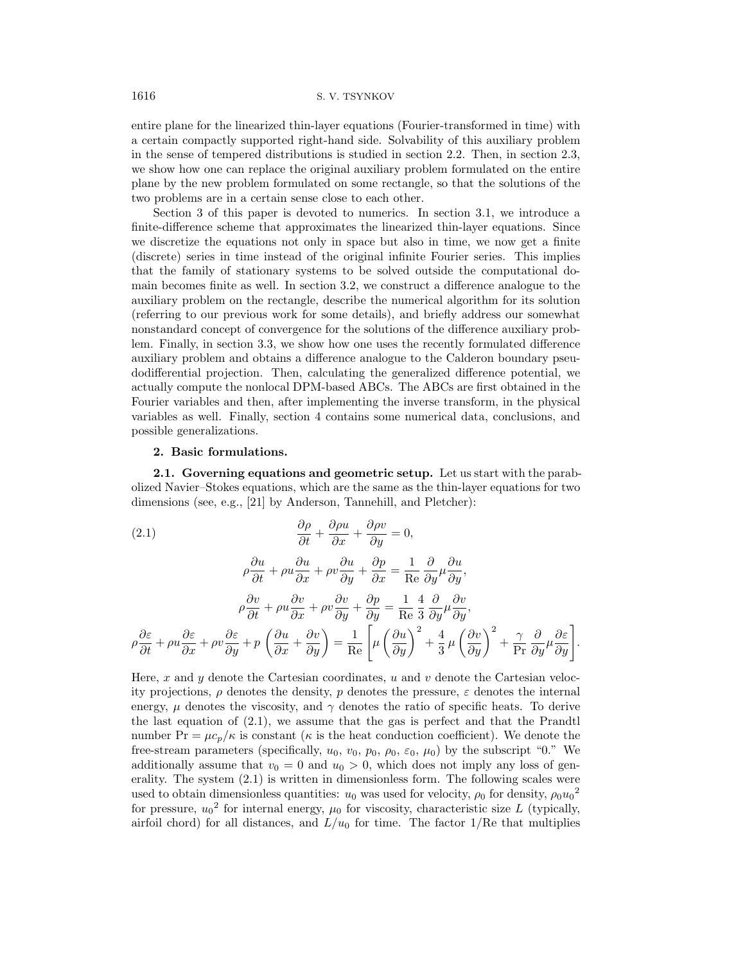### 1616 S. V. TSYNKOV

entire plane for the linearized thin-layer equations (Fourier-transformed in time) with a certain compactly supported right-hand side. Solvability of this auxiliary problem in the sense of tempered distributions is studied in section 2.2. Then, in section 2.3, we show how one can replace the original auxiliary problem formulated on the entire plane by the new problem formulated on some rectangle, so that the solutions of the two problems are in a certain sense close to each other.

Section 3 of this paper is devoted to numerics. In section 3.1, we introduce a finite-difference scheme that approximates the linearized thin-layer equations. Since we discretize the equations not only in space but also in time, we now get a finite (discrete) series in time instead of the original infinite Fourier series. This implies that the family of stationary systems to be solved outside the computational domain becomes finite as well. In section 3.2, we construct a difference analogue to the auxiliary problem on the rectangle, describe the numerical algorithm for its solution (referring to our previous work for some details), and briefly address our somewhat nonstandard concept of convergence for the solutions of the difference auxiliary problem. Finally, in section 3.3, we show how one uses the recently formulated difference auxiliary problem and obtains a difference analogue to the Calderon boundary pseudodifferential projection. Then, calculating the generalized difference potential, we actually compute the nonlocal DPM-based ABCs. The ABCs are first obtained in the Fourier variables and then, after implementing the inverse transform, in the physical variables as well. Finally, section 4 contains some numerical data, conclusions, and possible generalizations.

### **2. Basic formulations.**

**2.1. Governing equations and geometric setup.** Let us start with the parabolized Navier–Stokes equations, which are the same as the thin-layer equations for two dimensions (see, e.g., [21] by Anderson, Tannehill, and Pletcher):

(2.1)  
\n
$$
\frac{\partial \rho}{\partial t} + \frac{\partial \rho u}{\partial x} + \frac{\partial \rho v}{\partial y} = 0,
$$
\n
$$
\rho \frac{\partial u}{\partial t} + \rho u \frac{\partial u}{\partial x} + \rho v \frac{\partial u}{\partial y} + \frac{\partial p}{\partial x} = \frac{1}{\text{Re}} \frac{\partial}{\partial y} \mu \frac{\partial u}{\partial y},
$$
\n
$$
\rho \frac{\partial v}{\partial t} + \rho u \frac{\partial v}{\partial x} + \rho v \frac{\partial v}{\partial y} + \frac{\partial p}{\partial y} = \frac{1}{\text{Re}} \frac{4}{3} \frac{\partial}{\partial y} \mu \frac{\partial v}{\partial y},
$$
\n
$$
\rho \frac{\partial \varepsilon}{\partial t} + \rho u \frac{\partial \varepsilon}{\partial x} + \rho v \frac{\partial \varepsilon}{\partial y} + p \left( \frac{\partial u}{\partial x} + \frac{\partial v}{\partial y} \right) = \frac{1}{\text{Re}} \left[ \mu \left( \frac{\partial u}{\partial y} \right)^2 + \frac{4}{3} \mu \left( \frac{\partial v}{\partial y} \right)^2 + \frac{\gamma}{\text{Pr}} \frac{\partial}{\partial y} \mu \frac{\partial \varepsilon}{\partial y} \right].
$$

Here, x and y denote the Cartesian coordinates, u and v denote the Cartesian velocity projections,  $\rho$  denotes the density, p denotes the pressure,  $\varepsilon$  denotes the internal energy,  $\mu$  denotes the viscosity, and  $\gamma$  denotes the ratio of specific heats. To derive the last equation of (2.1), we assume that the gas is perfect and that the Prandtl number  $Pr = \mu c_p / \kappa$  is constant ( $\kappa$  is the heat conduction coefficient). We denote the free-stream parameters (specifically,  $u_0$ ,  $v_0$ ,  $p_0$ ,  $p_0$ ,  $\varepsilon_0$ ,  $\mu_0$ ) by the subscript "0." We additionally assume that  $v_0 = 0$  and  $u_0 > 0$ , which does not imply any loss of generality. The system (2.1) is written in dimensionless form. The following scales were used to obtain dimensionless quantities:  $u_0$  was used for velocity,  $\rho_0$  for density,  $\rho_0 u_0^2$ for pressure,  $u_0^2$  for internal energy,  $\mu_0$  for viscosity, characteristic size L (typically, airfoil chord) for all distances, and  $L/u_0$  for time. The factor 1/Re that multiplies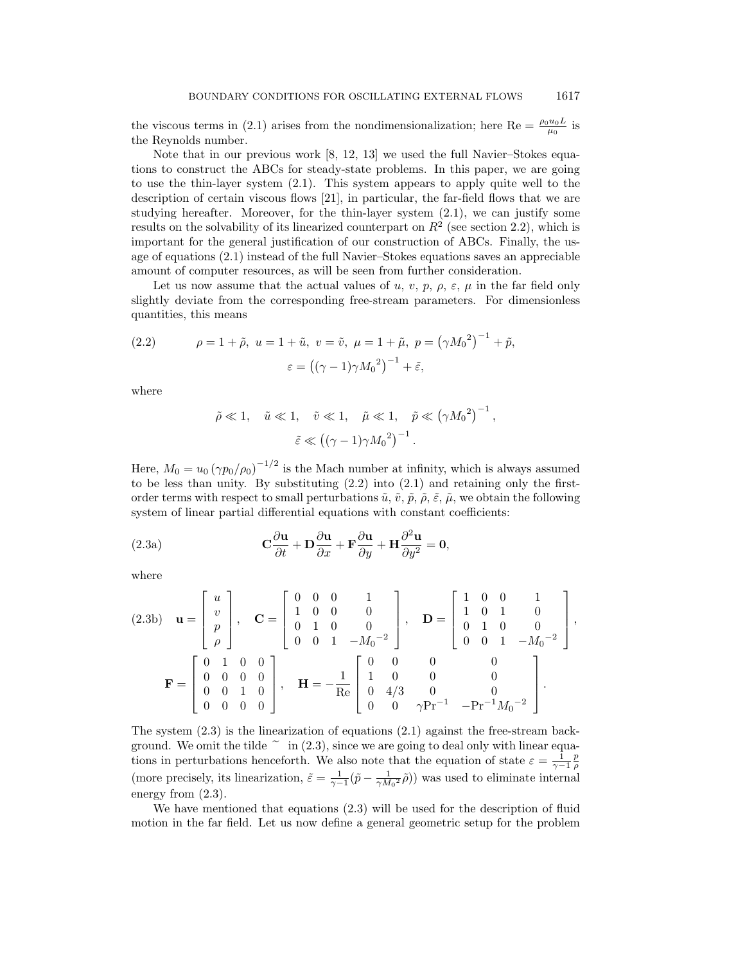the viscous terms in (2.1) arises from the nondimensionalization; here Re =  $\frac{\rho_0 u_0 L}{\mu_0}$  is the Reynolds number.

Note that in our previous work [8, 12, 13] we used the full Navier–Stokes equations to construct the ABCs for steady-state problems. In this paper, we are going to use the thin-layer system (2.1). This system appears to apply quite well to the description of certain viscous flows [21], in particular, the far-field flows that we are studying hereafter. Moreover, for the thin-layer system (2.1), we can justify some results on the solvability of its linearized counterpart on  $R^2$  (see section 2.2), which is important for the general justification of our construction of ABCs. Finally, the usage of equations (2.1) instead of the full Navier–Stokes equations saves an appreciable amount of computer resources, as will be seen from further consideration.

Let us now assume that the actual values of u, v, p,  $\rho$ ,  $\varepsilon$ ,  $\mu$  in the far field only slightly deviate from the corresponding free-stream parameters. For dimensionless quantities, this means

(2.2) 
$$
\rho = 1 + \tilde{\rho}, \ u = 1 + \tilde{u}, \ v = \tilde{v}, \ \mu = 1 + \tilde{\mu}, \ p = (\gamma M_0^2)^{-1} + \tilde{p},
$$

$$
\varepsilon = ((\gamma - 1)\gamma M_0^2)^{-1} + \tilde{\varepsilon},
$$

where

$$
\tilde{\rho} \ll 1, \quad \tilde{u} \ll 1, \quad \tilde{v} \ll 1, \quad \tilde{\mu} \ll 1, \quad \tilde{p} \ll (\gamma M_0^2)^{-1},
$$

$$
\tilde{\varepsilon} \ll ((\gamma - 1)\gamma M_0^2)^{-1}.
$$

Here,  $M_0 = u_0 (\gamma p_0 / \rho_0)^{-1/2}$  is the Mach number at infinity, which is always assumed to be less than unity. By substituting (2.2) into (2.1) and retaining only the firstorder terms with respect to small perturbations  $\tilde{u}$ ,  $\tilde{v}$ ,  $\tilde{p}$ ,  $\tilde{\rho}$ ,  $\tilde{\epsilon}$ ,  $\tilde{\mu}$ , we obtain the following system of linear partial differential equations with constant coefficients:

(2.3a) 
$$
\mathbf{C}\frac{\partial \mathbf{u}}{\partial t} + \mathbf{D}\frac{\partial \mathbf{u}}{\partial x} + \mathbf{F}\frac{\partial \mathbf{u}}{\partial y} + \mathbf{H}\frac{\partial^2 \mathbf{u}}{\partial y^2} = \mathbf{0},
$$

where

(2.3b) 
$$
\mathbf{u} = \begin{bmatrix} u \\ v \\ p \\ \rho \end{bmatrix}
$$
,  $\mathbf{C} = \begin{bmatrix} 0 & 0 & 0 & 1 \\ 1 & 0 & 0 & 0 \\ 0 & 1 & 0 & 0 \\ 0 & 0 & 1 & -M_0^{-2} \end{bmatrix}$ ,  $\mathbf{D} = \begin{bmatrix} 1 & 0 & 0 & 1 \\ 1 & 0 & 1 & 0 \\ 0 & 1 & 0 & 0 \\ 0 & 0 & 1 & -M_0^{-2} \end{bmatrix}$ ,  
 $\mathbf{F} = \begin{bmatrix} 0 & 1 & 0 & 0 \\ 0 & 0 & 0 & 0 \\ 0 & 0 & 1 & 0 \\ 0 & 0 & 0 & 0 \end{bmatrix}$ ,  $\mathbf{H} = -\frac{1}{\text{Re}} \begin{bmatrix} 0 & 0 & 0 & 0 & 0 \\ 1 & 0 & 0 & 0 & 0 \\ 0 & 4/3 & 0 & 0 & 0 \\ 0 & 0 & \gamma \text{Pr}^{-1} & -\text{Pr}^{-1} M_0^{-2} \end{bmatrix}$ .

The system  $(2.3)$  is the linearization of equations  $(2.1)$  against the free-stream background. We omit the tilde  $\tilde{ }$  in (2.3), since we are going to deal only with linear equations in perturbations henceforth. We also note that the equation of state  $\varepsilon = \frac{1}{\gamma - 1} \frac{p}{\rho}$  (more precisely, its lineari energy from (2.3).

We have mentioned that equations (2.3) will be used for the description of fluid motion in the far field. Let us now define a general geometric setup for the problem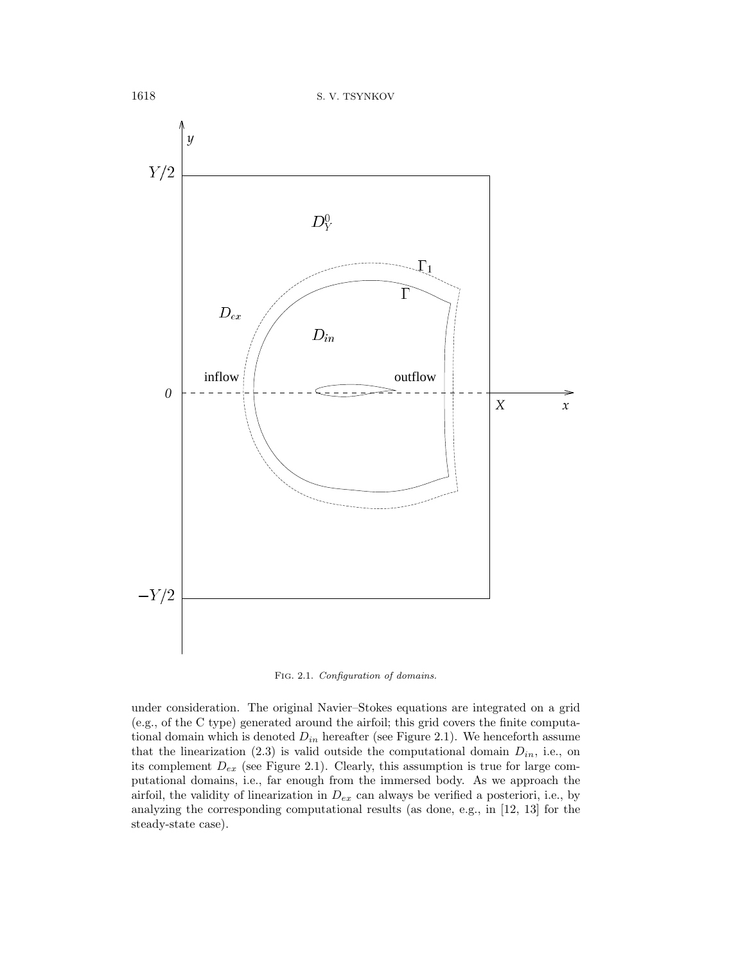

FIG. 2.1. Configuration of domains.

under consideration. The original Navier–Stokes equations are integrated on a grid (e.g., of the C type) generated around the airfoil; this grid covers the finite computational domain which is denoted  $D_{in}$  hereafter (see Figure 2.1). We henceforth assume that the linearization  $(2.3)$  is valid outside the computational domain  $D_{in}$ , i.e., on its complement  $D_{ex}$  (see Figure 2.1). Clearly, this assumption is true for large computational domains, i.e., far enough from the immersed body. As we approach the airfoil, the validity of linearization in  $D_{ex}$  can always be verified a posteriori, i.e., by analyzing the corresponding computational results (as done, e.g., in [12, 13] for the steady-state case).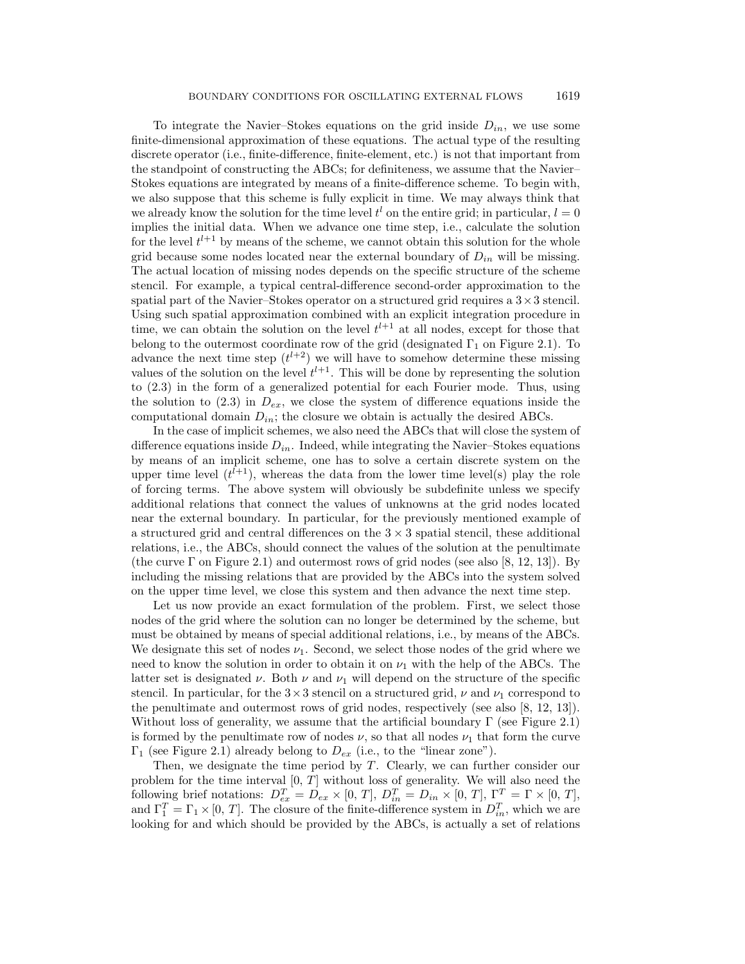To integrate the Navier–Stokes equations on the grid inside  $D_{in}$ , we use some finite-dimensional approximation of these equations. The actual type of the resulting discrete operator (i.e., finite-difference, finite-element, etc.) is not that important from the standpoint of constructing the ABCs; for definiteness, we assume that the Navier– Stokes equations are integrated by means of a finite-difference scheme. To begin with, we also suppose that this scheme is fully explicit in time. We may always think that we already know the solution for the time level  $t^l$  on the entire grid; in particular,  $l = 0$ implies the initial data. When we advance one time step, i.e., calculate the solution for the level  $t^{l+1}$  by means of the scheme, we cannot obtain this solution for the whole grid because some nodes located near the external boundary of  $D_{in}$  will be missing. The actual location of missing nodes depends on the specific structure of the scheme stencil. For example, a typical central-difference second-order approximation to the spatial part of the Navier–Stokes operator on a structured grid requires a  $3 \times 3$  stencil. Using such spatial approximation combined with an explicit integration procedure in time, we can obtain the solution on the level  $t^{l+1}$  at all nodes, except for those that belong to the outermost coordinate row of the grid (designated  $\Gamma_1$  on Figure 2.1). To advance the next time step  $(t^{l+2})$  we will have to somehow determine these missing values of the solution on the level  $t^{l+1}$ . This will be done by representing the solution to (2.3) in the form of a generalized potential for each Fourier mode. Thus, using the solution to  $(2.3)$  in  $D_{ex}$ , we close the system of difference equations inside the computational domain  $D_{in}$ ; the closure we obtain is actually the desired ABCs.

In the case of implicit schemes, we also need the ABCs that will close the system of difference equations inside  $D_{in}$ . Indeed, while integrating the Navier–Stokes equations by means of an implicit scheme, one has to solve a certain discrete system on the upper time level  $(t^{l+1})$ , whereas the data from the lower time level(s) play the role of forcing terms. The above system will obviously be subdefinite unless we specify additional relations that connect the values of unknowns at the grid nodes located near the external boundary. In particular, for the previously mentioned example of a structured grid and central differences on the  $3 \times 3$  spatial stencil, these additional relations, i.e., the ABCs, should connect the values of the solution at the penultimate (the curve  $\Gamma$  on Figure 2.1) and outermost rows of grid nodes (see also [8, 12, 13]). By including the missing relations that are provided by the ABCs into the system solved on the upper time level, we close this system and then advance the next time step.

Let us now provide an exact formulation of the problem. First, we select those nodes of the grid where the solution can no longer be determined by the scheme, but must be obtained by means of special additional relations, i.e., by means of the ABCs. We designate this set of nodes  $\nu_1$ . Second, we select those nodes of the grid where we need to know the solution in order to obtain it on  $\nu_1$  with the help of the ABCs. The latter set is designated  $\nu$ . Both  $\nu$  and  $\nu_1$  will depend on the structure of the specific stencil. In particular, for the  $3\times3$  stencil on a structured grid,  $\nu$  and  $\nu_1$  correspond to the penultimate and outermost rows of grid nodes, respectively (see also [8, 12, 13]). Without loss of generality, we assume that the artificial boundary  $\Gamma$  (see Figure 2.1) is formed by the penultimate row of nodes  $\nu$ , so that all nodes  $\nu_1$  that form the curve  $\Gamma_1$  (see Figure 2.1) already belong to  $D_{ex}$  (i.e., to the "linear zone").

Then, we designate the time period by  $T$ . Clearly, we can further consider our problem for the time interval  $[0, T]$  without loss of generality. We will also need the following brief notations:  $D_{ex}^T = D_{ex} \times [0, T], D_{in}^T = D_{in} \times [0, T], \Gamma_{ex}^T = \Gamma \times [0, T],$ and  $\Gamma_1^T = \Gamma_1 \times [0, T]$ . The closure of the finite-difference system in  $D_{in}^T$ , which we are looking for and which should be provided by the ABCs, is actually a set of relations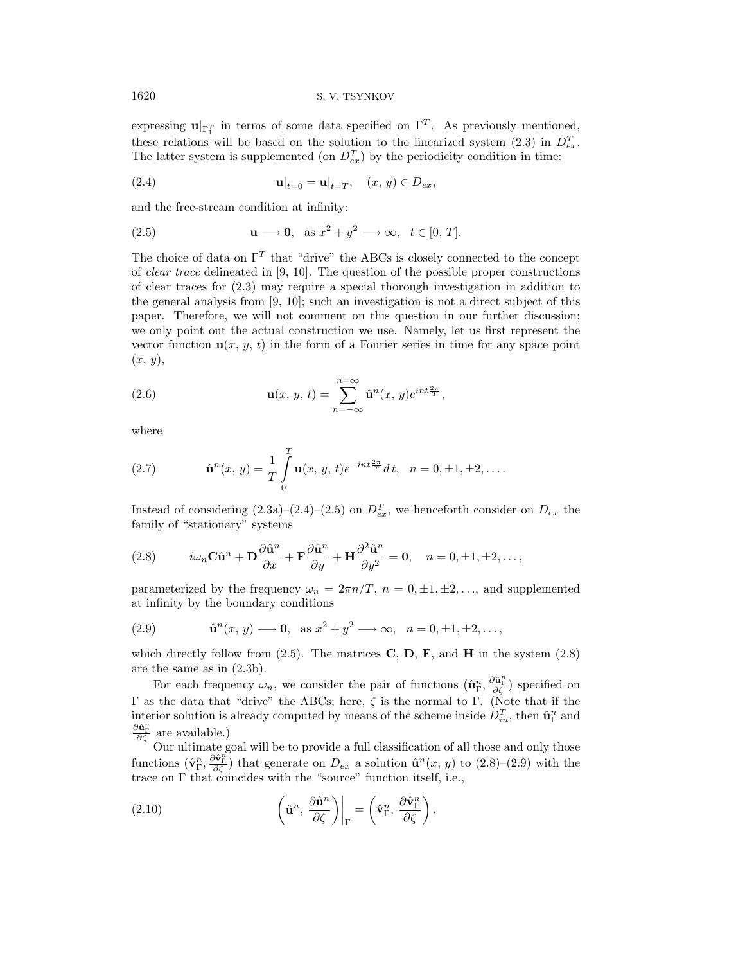expressing  $\mathbf{u}|_{\Gamma_1^T}$  in terms of some data specified on  $\Gamma^T$ . As previously mentioned, these relations will be based on the solution to the linearized system (2.3) in  $D_{ex}^T$ . The latter system is supplemented (on  $D_{ex}^T$ ) by the periodicity condition in time:

$$
\mathbf{u}|_{t=0} = \mathbf{u}|_{t=T}, \quad (x, y) \in D_{ex},
$$

and the free-stream condition at infinity:

(2.5) 
$$
\mathbf{u} \longrightarrow \mathbf{0}, \text{ as } x^2 + y^2 \longrightarrow \infty, \quad t \in [0, T].
$$

The choice of data on  $\Gamma^T$  that "drive" the ABCs is closely connected to the concept of *clear trace* delineated in  $[9, 10]$ . The question of the possible proper constructions of clear traces for (2.3) may require a special thorough investigation in addition to the general analysis from [9, 10]; such an investigation is not a direct subject of this paper. Therefore, we will not comment on this question in our further discussion; we only point out the actual construction we use. Namely, let us first represent the vector function  $\mathbf{u}(x, y, t)$  in the form of a Fourier series in time for any space point  $(x, y)$ ,

(2.6) 
$$
\mathbf{u}(x, y, t) = \sum_{n=-\infty}^{n=\infty} \hat{\mathbf{u}}^n(x, y) e^{int \frac{2\pi}{T}},
$$

where

(2.7) 
$$
\hat{\mathbf{u}}^{n}(x, y) = \frac{1}{T} \int_{0}^{T} \mathbf{u}(x, y, t) e^{-int \frac{2\pi}{T}} dt, \quad n = 0, \pm 1, \pm 2, \dots
$$

Instead of considering  $(2.3a)-(2.4)-(2.5)$  on  $D_{ex}^T$ , we henceforth consider on  $D_{ex}$  the family of "stationary" systems

(2.8) 
$$
i\omega_n \mathbf{C} \hat{\mathbf{u}}^n + \mathbf{D} \frac{\partial \hat{\mathbf{u}}^n}{\partial x} + \mathbf{F} \frac{\partial \hat{\mathbf{u}}^n}{\partial y} + \mathbf{H} \frac{\partial^2 \hat{\mathbf{u}}^n}{\partial y^2} = \mathbf{0}, \quad n = 0, \pm 1, \pm 2, \dots,
$$

parameterized by the frequency  $\omega_n = 2\pi n/T$ ,  $n = 0, \pm 1, \pm 2, \ldots$ , and supplemented at infinity by the boundary conditions

(2.9) 
$$
\hat{\mathbf{u}}^{n}(x, y) \longrightarrow \mathbf{0}, \text{ as } x^{2} + y^{2} \longrightarrow \infty, n = 0, \pm 1, \pm 2, ...,
$$

which directly follow from  $(2.5)$ . The matrices **C**, **D**, **F**, and **H** in the system  $(2.8)$ are the same as in (2.3b).

For each frequency  $\omega_n$ , we consider the pair of functions  $(\hat{\mathbf{u}}_r^n, \frac{\partial \hat{\mathbf{u}}_r^n}{\partial \zeta})$  specified on Γ as the data that "drive" the ABCs; here,  $\zeta$  is the normal to Γ. (Note that if the interior solution is already computed by means of the scheme inside  $D_{in}^T$ , then  $\hat{\mathbf{u}}_{\Gamma}^n$  and  $\frac{\partial \hat{\mathbf{u}}_{\Gamma}^{n}}{\partial \zeta}$  are available.)

Our ultimate goal will be to provide a full classification of all those and only those functions  $(\hat{\mathbf{v}}_{\Gamma}^n, \frac{\partial \hat{\mathbf{v}}_{\Gamma}^n}{\partial \zeta})$  that generate on  $D_{ex}$  a solution  $\hat{\mathbf{u}}^n(x, y)$  to  $(2.8)$ – $(2.9)$  with the trace on Γ that coincides with the "source" function itself, i.e.,

(2.10) 
$$
\left(\hat{\mathbf{u}}^n, \frac{\partial \hat{\mathbf{u}}^n}{\partial \zeta}\right)\Big|_{\Gamma} = \left(\hat{\mathbf{v}}^n_{\Gamma}, \frac{\partial \hat{\mathbf{v}}^n_{\Gamma}}{\partial \zeta}\right).
$$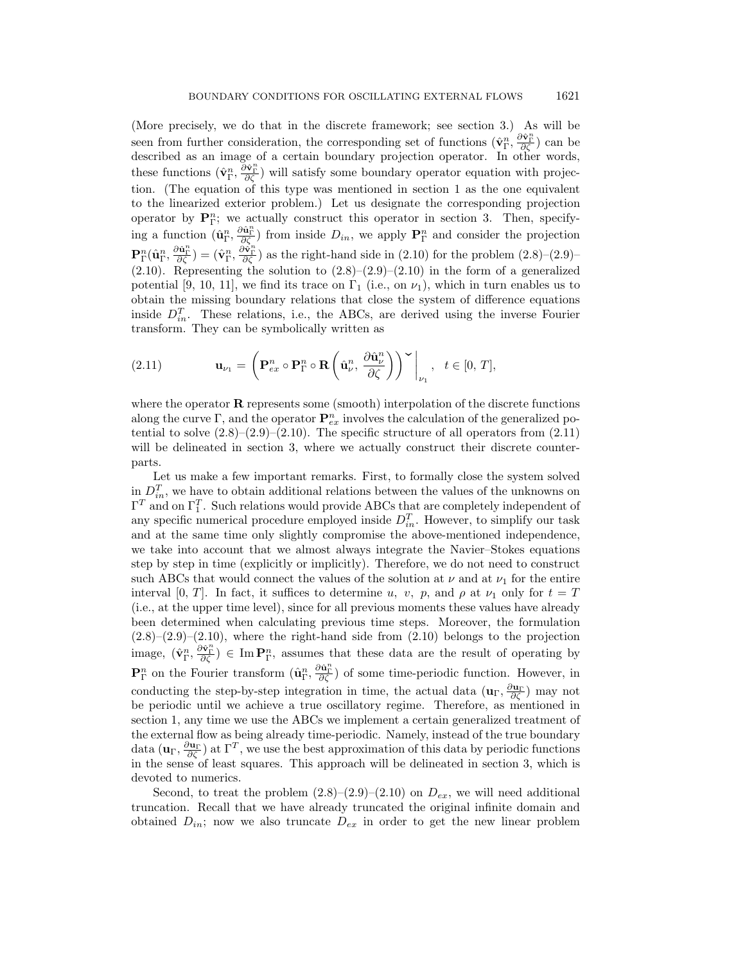(More precisely, we do that in the discrete framework; see section 3.) As will be seen from further consideration, the corresponding set of functions  $(\hat{\mathbf{v}}_r^n, \frac{\partial \hat{\mathbf{v}}_r^n}{\partial \zeta})$  can be described as an image of a certain boundary projection operator. In other words, these functions  $(\hat{\mathbf{v}}_r^n, \frac{\partial \hat{\mathbf{v}}_r^n}{\partial \zeta})$  will satisfy some boundary operator equation with projection. (The equation of this type was mentioned in section 1 as the one equivalent to the linearized exterior problem.) Let us designate the corresponding projection operator by  $\mathbf{P}_{\Gamma}^n$ ; we actually construct this operator in section 3. Then, specifying a function  $(\hat{\mathbf{u}}_{\Gamma}^n, \frac{\partial \hat{\mathbf{u}}_{\Gamma}^n}{\partial \zeta})$  from inside  $D_{in}$ , we apply  $\mathbf{P}_{\Gamma}^n$  and consider the projection  ${\bf P}_{\Gamma}^n(\hat{\bf u}_\Gamma^n, \frac{\partial \hat{\bf u}_\Gamma^n}{\partial \zeta}) = (\hat{\bf v}_\Gamma^n, \frac{\partial \hat{\bf v}_\Gamma^n}{\partial \zeta})$  as the right-hand side in (2.10) for the problem (2.8)–(2.9)–  $(2.10)$ . Representing the solution to  $(2.8)$ – $(2.9)$ – $(2.10)$  in the form of a generalized potential [9, 10, 11], we find its trace on  $\Gamma_1$  (i.e., on  $\nu_1$ ), which in turn enables us to obtain the missing boundary relations that close the system of difference equations inside  $D_{in}^T$ . These relations, i.e., the ABCs, are derived using the inverse Fourier transform. They can be symbolically written as

(2.11) 
$$
\mathbf{u}_{\nu_1} = \left( \mathbf{P}_{ex}^n \circ \mathbf{P}_{\Gamma}^n \circ \mathbf{R} \left( \hat{\mathbf{u}}_{\nu}^n, \frac{\partial \hat{\mathbf{u}}_{\nu}^n}{\partial \zeta} \right) \right)^{\sim} \bigg|_{\nu_1}, \quad t \in [0, T],
$$

where the operator  $\bf{R}$  represents some (smooth) interpolation of the discrete functions along the curve  $\Gamma$ , and the operator  $\mathbf{P}_{ex}^n$  involves the calculation of the generalized potential to solve  $(2.8)$ – $(2.9)$ – $(2.10)$ . The specific structure of all operators from  $(2.11)$ will be delineated in section 3, where we actually construct their discrete counterparts.

Let us make a few important remarks. First, to formally close the system solved  $\inf D_{in}^T$ , we have to obtain additional relations between the values of the unknowns on  $\Gamma^T$  and on  $\Gamma_1^T$ . Such relations would provide ABCs that are completely independent of any specific numerical procedure employed inside  $D_{in}^T$ . However, to simplify our task and at the same time only slightly compromise the above-mentioned independence, we take into account that we almost always integrate the Navier–Stokes equations step by step in time (explicitly or implicitly). Therefore, we do not need to construct such ABCs that would connect the values of the solution at  $\nu$  and at  $\nu_1$  for the entire interval [0, T]. In fact, it suffices to determine u, v, p, and  $\rho$  at  $\nu_1$  only for  $t = T$ (i.e., at the upper time level), since for all previous moments these values have already been determined when calculating previous time steps. Moreover, the formulation  $(2.8)$ – $(2.9)$ – $(2.10)$ , where the right-hand side from  $(2.10)$  belongs to the projection image,  $(\hat{\mathbf{v}}_{\Gamma}^n, \frac{\partial \hat{\mathbf{v}}_{\Gamma}^n}{\partial \zeta}) \in \text{Im } \mathbf{P}_{\Gamma}^n$ , assumes that these data are the result of operating by  $\mathbf{P}_{\Gamma}^n$  on the Fourier transform  $(\hat{\mathbf{u}}_{\Gamma}^n, \frac{\partial \hat{\mathbf{u}}_{\Gamma}^n}{\partial \zeta})$  of some time-periodic function. However, in conducting the step-by-step integration in time, the actual data  $(\mathbf{u}_{\Gamma}, \frac{\partial \mathbf{u}_{\Gamma}}{\partial \zeta})$  may not be periodic until we achieve a true oscillatory regime. Therefore, as mentioned in section 1, any time we use the ABCs we implement a certain generalized treatment of the external flow as being already time-periodic. Namely, instead of the true boundary data  $(\mathbf{u}_{\Gamma}, \frac{\partial \mathbf{u}_{\Gamma}}{\partial \zeta})$  at  $\Gamma^T$ , we use the best approximation of this data by periodic functions in the sense of least squares. This approach will be delineated in section 3, which is devoted to numerics.

Second, to treat the problem  $(2.8)-(2.9)-(2.10)$  on  $D_{ex}$ , we will need additional truncation. Recall that we have already truncated the original infinite domain and obtained  $D_{in}$ ; now we also truncate  $D_{ex}$  in order to get the new linear problem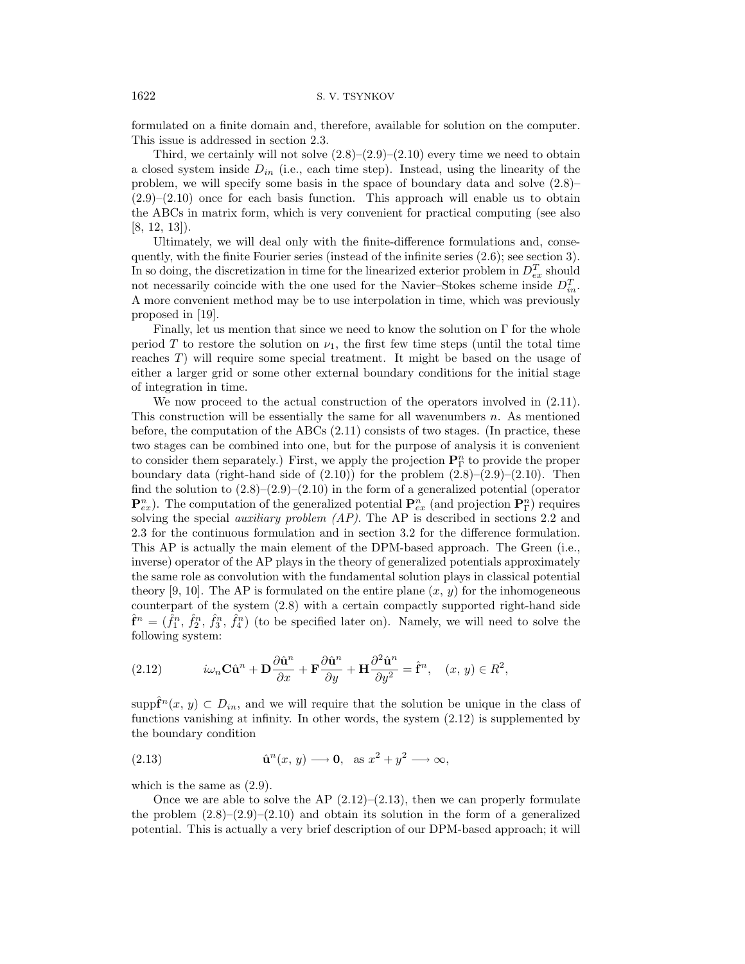formulated on a finite domain and, therefore, available for solution on the computer. This issue is addressed in section 2.3.

Third, we certainly will not solve  $(2.8)$ – $(2.9)$ – $(2.10)$  every time we need to obtain a closed system inside  $D_{in}$  (i.e., each time step). Instead, using the linearity of the problem, we will specify some basis in the space of boundary data and solve (2.8)–  $(2.9)$ – $(2.10)$  once for each basis function. This approach will enable us to obtain the ABCs in matrix form, which is very convenient for practical computing (see also [8, 12, 13]).

Ultimately, we will deal only with the finite-difference formulations and, consequently, with the finite Fourier series (instead of the infinite series (2.6); see section 3). In so doing, the discretization in time for the linearized exterior problem in  $D_{ex}^T$  should not necessarily coincide with the one used for the Navier–Stokes scheme inside  $D_{in}^T$ . A more convenient method may be to use interpolation in time, which was previously proposed in [19].

Finally, let us mention that since we need to know the solution on Γ for the whole period T to restore the solution on  $\nu_1$ , the first few time steps (until the total time reaches T) will require some special treatment. It might be based on the usage of either a larger grid or some other external boundary conditions for the initial stage of integration in time.

We now proceed to the actual construction of the operators involved in (2.11). This construction will be essentially the same for all wavenumbers  $n$ . As mentioned before, the computation of the ABCs (2.11) consists of two stages. (In practice, these two stages can be combined into one, but for the purpose of analysis it is convenient to consider them separately.) First, we apply the projection  $\mathbf{P}_{\Gamma}^{n}$  to provide the proper boundary data (right-hand side of  $(2.10)$ ) for the problem  $(2.8)$ – $(2.9)$ – $(2.10)$ . Then find the solution to  $(2.8)$ – $(2.9)$ – $(2.10)$  in the form of a generalized potential (operator **P**<sup>n</sup><sub>cx</sub></sub>). The computation of the generalized potential  $\mathbf{P}_{ex}^n$  (and projection  $\mathbf{P}_{\Gamma}^n$ ) requires solving the special auxiliary problem (AP). The AP is described in sections 2.2 and 2.3 for the continuous formulation and in section 3.2 for the difference formulation. This AP is actually the main element of the DPM-based approach. The Green (i.e., inverse) operator of the AP plays in the theory of generalized potentials approximately the same role as convolution with the fundamental solution plays in classical potential theory [9, 10]. The AP is formulated on the entire plane  $(x, y)$  for the inhomogeneous counterpart of the system (2.8) with a certain compactly supported right-hand side  $\hat{\mathbf{f}}^n = (\hat{f}_1^n, \hat{f}_2^n, \hat{f}_3^n, \hat{f}_4^n)$  (to be specified later on). Namely, we will need to solve the following system:

(2.12) 
$$
i\omega_n \mathbf{C} \hat{\mathbf{u}}^n + \mathbf{D} \frac{\partial \hat{\mathbf{u}}^n}{\partial x} + \mathbf{F} \frac{\partial \hat{\mathbf{u}}^n}{\partial y} + \mathbf{H} \frac{\partial^2 \hat{\mathbf{u}}^n}{\partial y^2} = \hat{\mathbf{f}}^n, \quad (x, y) \in R^2,
$$

supp $\hat{\mathbf{f}}^{n}(x, y) \subset D_{in}$ , and we will require that the solution be unique in the class of functions vanishing at infinity. In other words, the system (2.12) is supplemented by the boundary condition

(2.13) 
$$
\hat{\mathbf{u}}^n(x, y) \longrightarrow \mathbf{0}, \text{ as } x^2 + y^2 \longrightarrow \infty,
$$

which is the same as (2.9).

Once we are able to solve the AP  $(2.12)$ – $(2.13)$ , then we can properly formulate the problem  $(2.8)$ – $(2.9)$ – $(2.10)$  and obtain its solution in the form of a generalized potential. This is actually a very brief description of our DPM-based approach; it will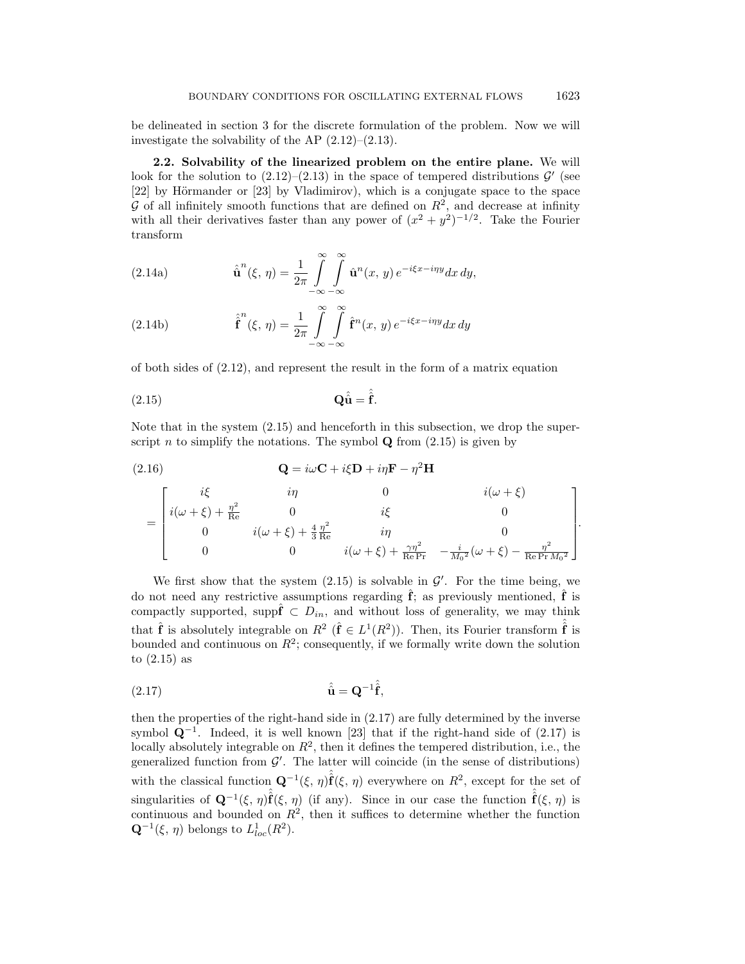be delineated in section 3 for the discrete formulation of the problem. Now we will investigate the solvability of the AP  $(2.12)$ – $(2.13)$ .

**2.2. Solvability of the linearized problem on the entire plane.** We will look for the solution to  $(2.12)$ – $(2.13)$  in the space of tempered distributions  $\mathcal{G}'$  (see  $[22]$  by Hörmander or  $[23]$  by Vladimirov), which is a conjugate space to the space G of all infinitely smooth functions that are defined on  $R^2$ , and decrease at infinity with all their derivatives faster than any power of  $(x^2 + y^2)^{-1/2}$ . Take the Fourier transform

(2.14a) 
$$
\hat{\mathbf{u}}^n(\xi, \eta) = \frac{1}{2\pi} \int_{-\infty}^{\infty} \int_{-\infty}^{\infty} \hat{\mathbf{u}}^n(x, y) e^{-i\xi x - i\eta y} dx dy,
$$

(2.14b) 
$$
\hat{\mathbf{f}}^n(\xi, \eta) = \frac{1}{2\pi} \int_{-\infty}^{\infty} \int_{-\infty}^{\infty} \hat{\mathbf{f}}^n(x, y) e^{-i\xi x - i\eta y} dx dy
$$

of both sides of (2.12), and represent the result in the form of a matrix equation

$$
(2.15) \t\t\t\t\t\mathbf{Q}\hat{\mathbf{u}} = \hat{\hat{\mathbf{f}}}.
$$

Note that in the system (2.15) and henceforth in this subsection, we drop the superscript n to simplify the notations. The symbol  $Q$  from  $(2.15)$  is given by

(2.16) 
$$
\mathbf{Q} = i\omega \mathbf{C} + i\xi \mathbf{D} + i\eta \mathbf{F} - \eta^2 \mathbf{H}
$$

$$
= \begin{bmatrix} i\xi & i\eta & 0 & i(\omega + \xi) \\ i(\omega + \xi) + \frac{\eta^2}{\text{Re}} & 0 & i\xi & 0 \\ 0 & i(\omega + \xi) + \frac{4}{3}\frac{\eta^2}{\text{Re}} & i\eta & 0 \\ 0 & 0 & i(\omega + \xi) + \frac{\gamma \eta^2}{\text{Re Pr}} - \frac{i}{M_0^2}(\omega + \xi) - \frac{\eta^2}{\text{Re Pr} M_0^2} \end{bmatrix}
$$

1  $\overline{1}$  $\vert$  $\|$  $\overline{1}$  $\overline{1}$ .

We first show that the system  $(2.15)$  is solvable in  $\mathcal{G}'$ . For the time being, we do not need any restrictive assumptions regarding  $\hat{\mathbf{f}}$ ; as previously mentioned,  $\hat{\mathbf{f}}$  is compactly supported, supp $\hat{f} \subset D_{in}$ , and without loss of generality, we may think that  $\hat{\mathbf{f}}$  is absolutely integrable on  $R^2$  ( $\hat{\mathbf{f}} \in L^1(R^2)$ ). Then, its Fourier transform  $\hat{\mathbf{f}}$  is bounded and continuous on  $R^2$ ; consequently, if we formally write down the solution to (2.15) as

$$
\hat{\mathbf{u}} = \mathbf{Q}^{-1}\hat{\mathbf{f}},
$$

then the properties of the right-hand side in (2.17) are fully determined by the inverse symbol  $\mathbf{Q}^{-1}$ . Indeed, it is well known [23] that if the right-hand side of (2.17) is locally absolutely integrable on  $R^2$ , then it defines the tempered distribution, i.e., the generalized function from  $\mathcal{G}'$ . The latter will coincide (in the sense of distributions) with the classical function  $\mathbf{Q}^{-1}(\xi, \eta) \hat{\mathbf{f}}(\xi, \eta)$  everywhere on  $R^2$ , except for the set of singularities of  $\mathbf{Q}^{-1}(\xi, \eta) \hat{\hat{\mathbf{f}}}(\xi, \eta)$  (if any). Since in our case the function  $\hat{\hat{\mathbf{f}}}(\xi, \eta)$  is continuous and bounded on  $R^2$ , then it suffices to determine whether the function  $\mathbf{Q}^{-1}(\xi, \eta)$  belongs to  $L^1_{loc}(R^2)$ .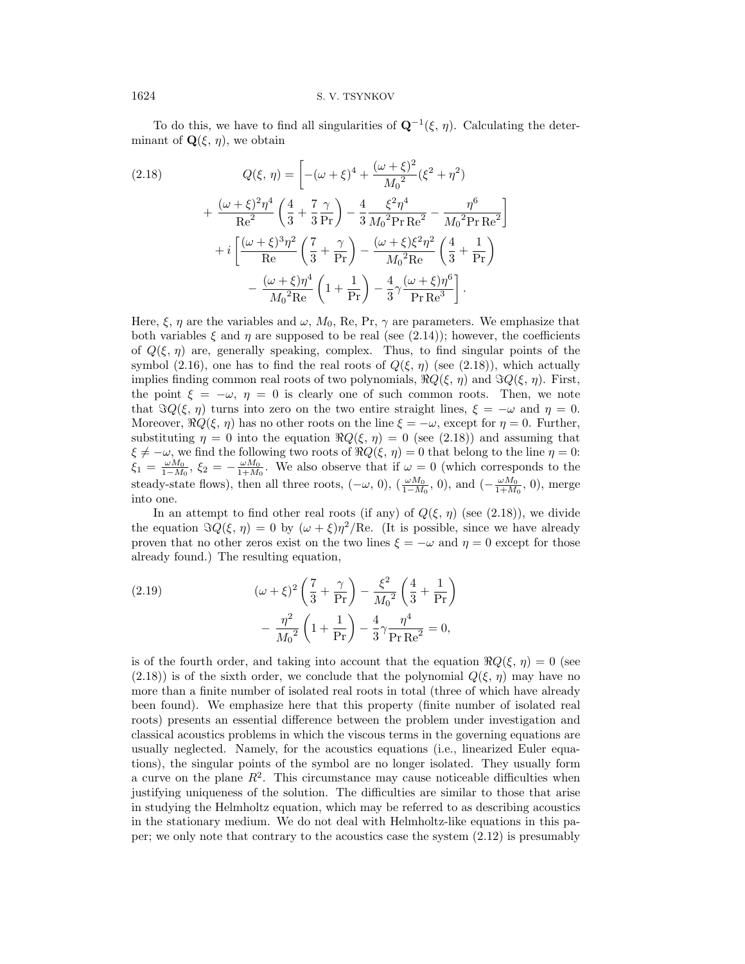To do this, we have to find all singularities of  $\mathbf{Q}^{-1}(\xi, \eta)$ . Calculating the determinant of  $\mathbf{Q}(\xi, \eta)$ , we obtain

(2.18)  
\n
$$
Q(\xi, \eta) = \left[ -(\omega + \xi)^4 + \frac{(\omega + \xi)^2}{M_0^2} (\xi^2 + \eta^2) + \frac{(\omega + \xi)^2 \eta^4}{Re^2} \left( \frac{4}{3} + \frac{7}{3} \frac{\gamma}{Pr} \right) - \frac{4}{3} \frac{\xi^2 \eta^4}{M_0^2 Pr \operatorname{Re}^2} - \frac{\eta^6}{M_0^2 Pr \operatorname{Re}^2} \right] + i \left[ \frac{(\omega + \xi)^3 \eta^2}{Re} \left( \frac{7}{3} + \frac{\gamma}{Pr} \right) - \frac{(\omega + \xi)\xi^2 \eta^2}{M_0^2 \operatorname{Re}} \left( \frac{4}{3} + \frac{1}{Pr} \right) - \frac{(\omega + \xi)\eta^4}{M_0^2 \operatorname{Re}} \left( 1 + \frac{1}{Pr} \right) - \frac{4}{3} \gamma \frac{(\omega + \xi)\eta^6}{Pr \operatorname{Re}^3} \right].
$$

Here,  $\xi$ ,  $\eta$  are the variables and  $\omega$ ,  $M_0$ , Re, Pr,  $\gamma$  are parameters. We emphasize that both variables  $\xi$  and  $\eta$  are supposed to be real (see (2.14)); however, the coefficients of  $Q(\xi, \eta)$  are, generally speaking, complex. Thus, to find singular points of the symbol (2.16), one has to find the real roots of  $Q(\xi, \eta)$  (see (2.18)), which actually implies finding common real roots of two polynomials,  $\Re Q(\xi, \eta)$  and  $\Im Q(\xi, \eta)$ . First, the point  $\xi = -\omega$ ,  $\eta = 0$  is clearly one of such common roots. Then, we note that  $\Im Q(\xi, \eta)$  turns into zero on the two entire straight lines,  $\xi = -\omega$  and  $\eta = 0$ . Moreover,  $\Re Q(\xi, \eta)$  has no other roots on the line  $\xi = -\omega$ , except for  $\eta = 0$ . Further, substituting  $\eta = 0$  into the equation  $\Re Q(\xi, \eta) = 0$  (see (2.18)) and assuming that  $\xi \neq -\omega$ , we find the following two roots of  $\Re Q(\xi, \eta) = 0$  that belong to the line  $\eta = 0$ :  $\xi_1 = \frac{\omega M_0}{1-M_0}$ ,  $\xi_2 = -\frac{\omega M_0}{1+M_0}$ . We also observe that if  $\omega = 0$  (which corresponds to the steady-state flows), then all three roots,  $(-\omega, 0)$ ,  $(\frac{\omega M_0}{1-M_0}, 0)$ , and  $(-\frac{\omega M_0}{1+M_0}, 0)$ , merge into one.

In an attempt to find other real roots (if any) of  $Q(\xi, \eta)$  (see (2.18)), we divide the equation  $\Im Q(\xi, \eta) = 0$  by  $(\omega + \xi)\eta^2/\text{Re}$ . (It is possible, since we have already proven that no other zeros exist on the two lines  $\xi = -\omega$  and  $\eta = 0$  except for those already found.) The resulting equation,

(2.19) 
$$
(\omega + \xi)^2 \left(\frac{7}{3} + \frac{\gamma}{\text{Pr}}\right) - \frac{\xi^2}{M_0^2} \left(\frac{4}{3} + \frac{1}{\text{Pr}}\right) - \frac{\eta^2}{M_0^2} \left(1 + \frac{1}{\text{Pr}}\right) - \frac{4}{3} \gamma \frac{\eta^4}{\text{Pr} \, \text{Re}^2} = 0,
$$

is of the fourth order, and taking into account that the equation  $\Re Q(\xi, \eta) = 0$  (see (2.18)) is of the sixth order, we conclude that the polynomial  $Q(\xi, \eta)$  may have no more than a finite number of isolated real roots in total (three of which have already been found). We emphasize here that this property (finite number of isolated real roots) presents an essential difference between the problem under investigation and classical acoustics problems in which the viscous terms in the governing equations are usually neglected. Namely, for the acoustics equations (i.e., linearized Euler equations), the singular points of the symbol are no longer isolated. They usually form a curve on the plane  $R^2$ . This circumstance may cause noticeable difficulties when justifying uniqueness of the solution. The difficulties are similar to those that arise in studying the Helmholtz equation, which may be referred to as describing acoustics in the stationary medium. We do not deal with Helmholtz-like equations in this paper; we only note that contrary to the acoustics case the system (2.12) is presumably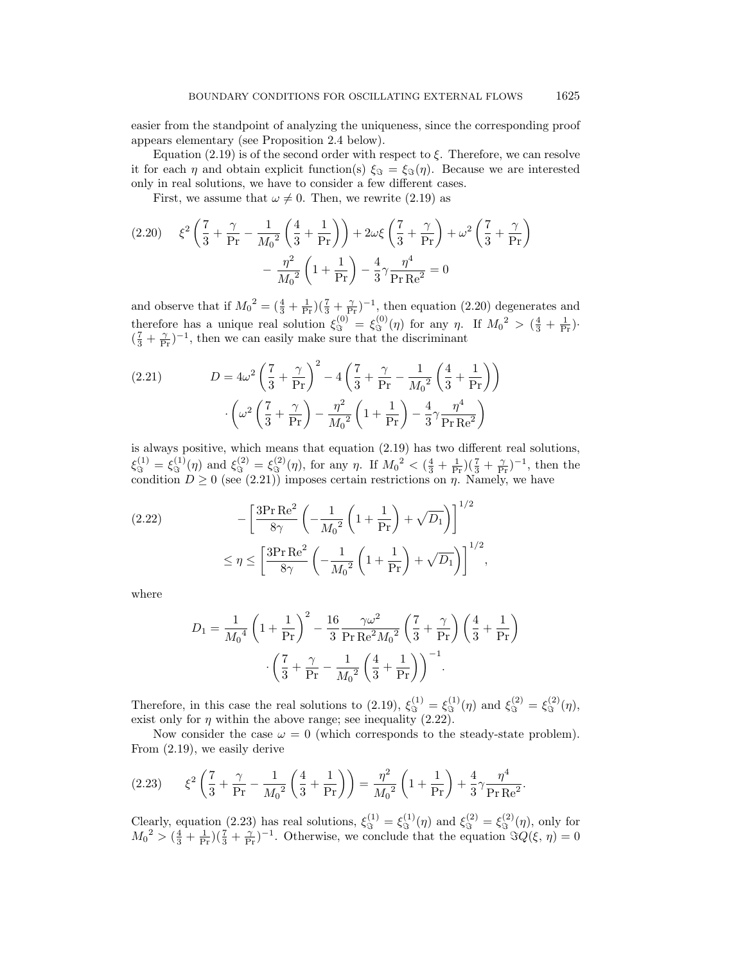easier from the standpoint of analyzing the uniqueness, since the corresponding proof appears elementary (see Proposition 2.4 below).

Equation (2.19) is of the second order with respect to  $\xi$ . Therefore, we can resolve it for each  $\eta$  and obtain explicit function(s)  $\xi_{\Im} = \xi_{\Im}(\eta)$ . Because we are interested only in real solutions, we have to consider a few different cases.

First, we assume that  $\omega \neq 0$ . Then, we rewrite (2.19) as

$$
(2.20) \quad \xi^2 \left(\frac{7}{3} + \frac{\gamma}{\text{Pr}} - \frac{1}{M_0^2} \left(\frac{4}{3} + \frac{1}{\text{Pr}}\right)\right) + 2\omega\xi \left(\frac{7}{3} + \frac{\gamma}{\text{Pr}}\right) + \omega^2 \left(\frac{7}{3} + \frac{\gamma}{\text{Pr}}\right) - \frac{\eta^2}{M_0^2} \left(1 + \frac{1}{\text{Pr}}\right) - \frac{4}{3}\gamma \frac{\eta^4}{\text{Pr Re}^2} = 0
$$

and observe that if  $M_0^2 = (\frac{4}{3} + \frac{1}{\text{Pr}})(\frac{7}{3} + \frac{\gamma}{\text{Pr}})^{-1}$ , then equation (2.20) degenerates and therefore has a unique real solution  $\xi_{\Im}^{(0)} = \xi_{\Im}^{(0)}(\eta)$  for any  $\eta$ . If  $M_0^2 > (\frac{4}{3} + \frac{1}{P_\text{F}})$ .  $(\frac{7}{3} + \frac{\gamma}{\text{Pr}})^{-1}$ , then we can easily make sure that the discriminant

(2.21) 
$$
D = 4\omega^2 \left(\frac{7}{3} + \frac{\gamma}{\text{Pr}}\right)^2 - 4\left(\frac{7}{3} + \frac{\gamma}{\text{Pr}} - \frac{1}{M_0^2} \left(\frac{4}{3} + \frac{1}{\text{Pr}}\right)\right)
$$

$$
\left(\omega^2 \left(\frac{7}{3} + \frac{\gamma}{\text{Pr}}\right) - \frac{\eta^2}{M_0^2} \left(1 + \frac{1}{\text{Pr}}\right) - \frac{4}{3}\gamma \frac{\eta^4}{\text{Pr Re}^2}\right)
$$

is always positive, which means that equation (2.19) has two different real solutions,  $\xi_{\Im}^{(1)} = \xi_{\Im}^{(1)}(\eta)$  and  $\xi_{\Im}^{(2)} = \xi_{\Im}^{(2)}(\eta)$ , for any  $\eta$ . If  $M_0^2 < (\frac{4}{3} + \frac{1}{\text{Pr}})(\frac{7}{3} + \frac{\gamma}{\text{Pr}})^{-1}$ , then the condition  $D \geq 0$  (see (2.21)) imposes certain restrictions on  $\eta$ . Namely, we have

(2.22) 
$$
-\left[\frac{3\Pr\mathrm{Re}^2}{8\gamma}\left(-\frac{1}{M_0^2}\left(1+\frac{1}{\Pr}\right)+\sqrt{D_1}\right)\right]^{1/2} \leq \eta \leq \left[\frac{3\Pr\mathrm{Re}^2}{8\gamma}\left(-\frac{1}{M_0^2}\left(1+\frac{1}{\Pr}\right)+\sqrt{D_1}\right)\right]^{1/2},
$$

where

$$
D_1 = \frac{1}{M_0^4} \left( 1 + \frac{1}{\text{Pr}} \right)^2 - \frac{16}{3} \frac{\gamma \omega^2}{\text{Pr Re}^2 M_0^2} \left( \frac{7}{3} + \frac{\gamma}{\text{Pr}} \right) \left( \frac{4}{3} + \frac{1}{\text{Pr}} \right) \cdot \left( \frac{7}{3} + \frac{\gamma}{\text{Pr}} - \frac{1}{M_0^2} \left( \frac{4}{3} + \frac{1}{\text{Pr}} \right) \right)^{-1}.
$$

Therefore, in this case the real solutions to (2.19),  $\xi_{\Im}^{(1)} = \xi_{\Im}^{(1)}(\eta)$  and  $\xi_{\Im}^{(2)} = \xi_{\Im}^{(2)}(\eta)$ , exist only for  $\eta$  within the above range; see inequality (2.22).

Now consider the case  $\omega = 0$  (which corresponds to the steady-state problem). From (2.19), we easily derive

$$
(2.23) \qquad \xi^2 \left(\frac{7}{3} + \frac{\gamma}{\text{Pr}} - \frac{1}{M_0^2} \left(\frac{4}{3} + \frac{1}{\text{Pr}}\right)\right) = \frac{\eta^2}{M_0^2} \left(1 + \frac{1}{\text{Pr}}\right) + \frac{4}{3} \gamma \frac{\eta^4}{\text{Pr Re}^2}.
$$

Clearly, equation (2.23) has real solutions,  $\xi_{\Im}^{(1)} = \xi_{\Im}^{(1)}(\eta)$  and  $\xi_{\Im}^{(2)} = \xi_{\Im}^{(2)}(\eta)$ , only for  $M_0^2 > (\frac{4}{3} + \frac{1}{\text{Pr}})(\frac{7}{3} + \frac{\gamma}{\text{Pr}})^{-1}$ . Otherwise, we conclude that the equation  $\Im Q(\xi, \eta) = 0$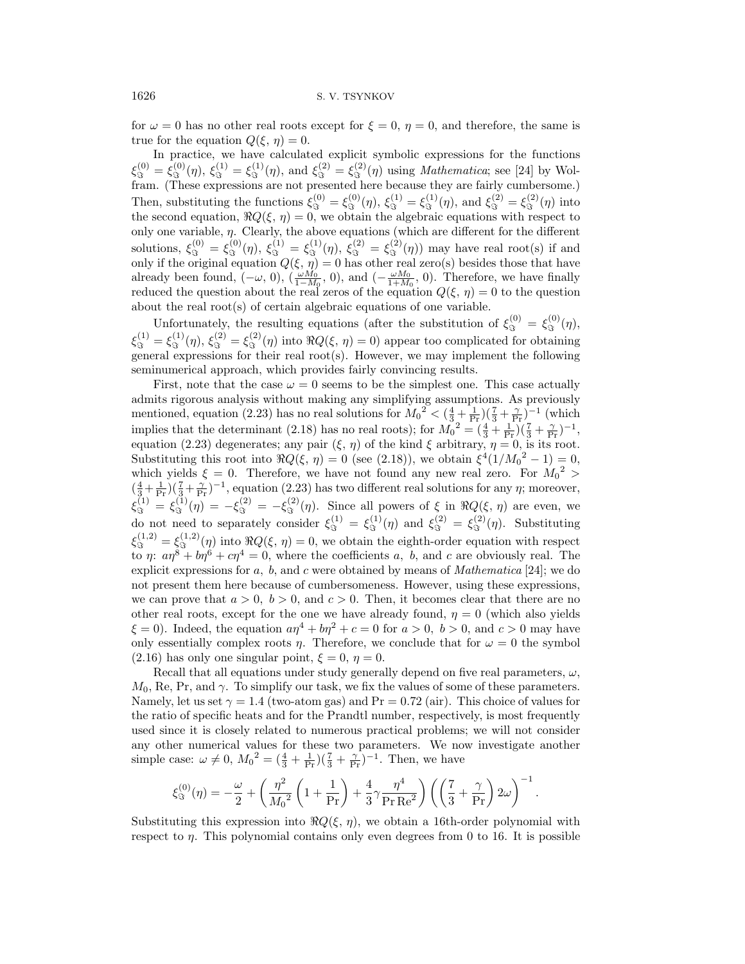for  $\omega = 0$  has no other real roots except for  $\xi = 0, \eta = 0$ , and therefore, the same is true for the equation  $Q(\xi, \eta) = 0$ .

In practice, we have calculated explicit symbolic expressions for the functions  $\xi_{\Im}^{(0)} = \xi_{\Im}^{(0)}(\eta)$ ,  $\xi_{\Im}^{(1)} = \xi_{\Im}^{(1)}(\eta)$ , and  $\xi_{\Im}^{(2)} = \xi_{\Im}^{(2)}(\eta)$  using *Mathematica*; see [24] by Wolfram. (These expressions are not presented here because they are fairly cumbersome.) Then, substituting the functions  $\xi_{\Im}^{(0)} = \xi_{\Im}^{(0)}(\eta)$ ,  $\xi_{\Im}^{(1)} = \xi_{\Im}^{(1)}(\eta)$ , and  $\xi_{\Im}^{(2)} = \xi_{\Im}^{(2)}(\eta)$  into the second equation,  $\Re Q(\xi, \eta) = 0$ , we obtain the algebraic equations with respect to only one variable,  $\eta$ . Clearly, the above equations (which are different for the different solutions,  $\xi_{\Im}^{(0)} = \xi_{\Im}^{(0)}(\eta)$ ,  $\xi_{\Im}^{(1)} = \xi_{\Im}^{(1)}(\eta)$ ,  $\xi_{\Im}^{(2)} = \xi_{\Im}^{(2)}(\eta)$  may have real root(s) if and only if the original equation  $Q(\xi, \eta) = 0$  has other real zero(s) besides those that have already been found,  $(-\omega, 0)$ ,  $(\frac{\omega M_0}{1-M_0}, 0)$ , and  $(-\frac{\omega M_0}{1+M_0}, 0)$ . Therefore, we have finally reduced the question about the real zeros of the equation  $Q(\xi, \eta) = 0$  to the question about the real root(s) of certain algebraic equations of one variable.

Unfortunately, the resulting equations (after the substitution of  $\xi_{\Im}^{(0)} = \xi_{\Im}^{(0)}(\eta)$ ,  $\xi_{\Im}^{(1)} = \xi_{\Im}^{(1)}(\eta)$ ,  $\xi_{\Im}^{(2)} = \xi_{\Im}^{(2)}(\eta)$  into  $\Re Q(\xi, \eta) = 0$ ) appear too complicated for obtaining general expressions for their real root(s). However, we may implement the following seminumerical approach, which provides fairly convincing results.

First, note that the case  $\omega = 0$  seems to be the simplest one. This case actually admits rigorous analysis without making any simplifying assumptions. As previously mentioned, equation (2.23) has no real solutions for  $M_0^2 < (\frac{4}{3} + \frac{1}{P_F})(\frac{7}{3} + \frac{\gamma}{P_F})^{-1}$  (which implies that the determinant (2.18) has no real roots); for  $M_0^2 = (\frac{4}{3} + \frac{1}{\text{Pr}})(\frac{7}{3} + \frac{\gamma}{\text{Pr}})^{-1}$ , equation (2.23) degenerates; any pair  $(\xi, \eta)$  of the kind  $\xi$  arbitrary,  $\eta = 0$ , is its root. Substituting this root into  $\Re Q(\xi, \eta) = 0$  (see (2.18)), we obtain  $\xi^4(1/M_0^2 - 1) = 0$ , which yields  $\xi = 0$ . Therefore, we have not found any new real zero. For  $M_0^2$  $(\frac{4}{3} + \frac{1}{Pr})(\frac{7}{3} + \frac{\gamma}{Pr})^{-1}$ , equation (2.23) has two different real solutions for any  $\eta$ ; moreover,  $\xi_{\Im}^{(1)} = \xi_{\Im}^{(1)}(\eta) = -\xi_{\Im}^{(2)} = -\xi_{\Im}^{(2)}(\eta)$ . Since all powers of  $\xi$  in  $\Re Q(\xi, \eta)$  are even, we do not need to separately consider  $\xi_{\Im}^{(1)} = \xi_{\Im}^{(1)}(\eta)$  and  $\xi_{\Im}^{(2)} = \xi_{\Im}^{(2)}(\eta)$ . Substituting  $\xi_{\Im}^{(1,2)} = \xi_{\Im}^{(1,2)}(\eta)$  into  $\Re Q(\xi, \eta) = 0$ , we obtain the eighth-order equation with respect to  $\eta$ :  $a\eta^8 + b\eta^6 + c\eta^4 = 0$ , where the coefficients a, b, and c are obviously real. The explicit expressions for a, b, and c were obtained by means of *Mathematica* [24]; we do not present them here because of cumbersomeness. However, using these expressions, we can prove that  $a > 0$ ,  $b > 0$ , and  $c > 0$ . Then, it becomes clear that there are no other real roots, except for the one we have already found,  $\eta = 0$  (which also yields  $\xi = 0$ ). Indeed, the equation  $a\eta^4 + b\eta^2 + c = 0$  for  $a > 0$ ,  $b > 0$ , and  $c > 0$  may have only essentially complex roots  $\eta$ . Therefore, we conclude that for  $\omega = 0$  the symbol  $(2.16)$  has only one singular point,  $\xi = 0, \eta = 0$ .

Recall that all equations under study generally depend on five real parameters,  $\omega$ ,  $M_0$ , Re, Pr, and  $\gamma$ . To simplify our task, we fix the values of some of these parameters. Namely, let us set  $\gamma = 1.4$  (two-atom gas) and Pr = 0.72 (air). This choice of values for the ratio of specific heats and for the Prandtl number, respectively, is most frequently used since it is closely related to numerous practical problems; we will not consider any other numerical values for these two parameters. We now investigate another simple case:  $\omega \neq 0$ ,  $M_0^2 = (\frac{4}{3} + \frac{1}{Pr})(\frac{7}{3} + \frac{\gamma}{Pr})^{-1}$ . Then, we have

$$
\xi^{(0)}_{\Im}(\eta) = -\frac{\omega}{2} + \left(\frac{\eta^2}{M_0^2} \left(1 + \frac{1}{\mathrm{Pr}}\right) + \frac{4}{3} \gamma \frac{\eta^4}{\mathrm{Pr} \operatorname{Re}^2}\right) \left(\left(\frac{7}{3} + \frac{\gamma}{\mathrm{Pr}}\right) 2\omega\right)^{-1}.
$$

Substituting this expression into  $\Re Q(\xi, \eta)$ , we obtain a 16th-order polynomial with respect to  $\eta$ . This polynomial contains only even degrees from 0 to 16. It is possible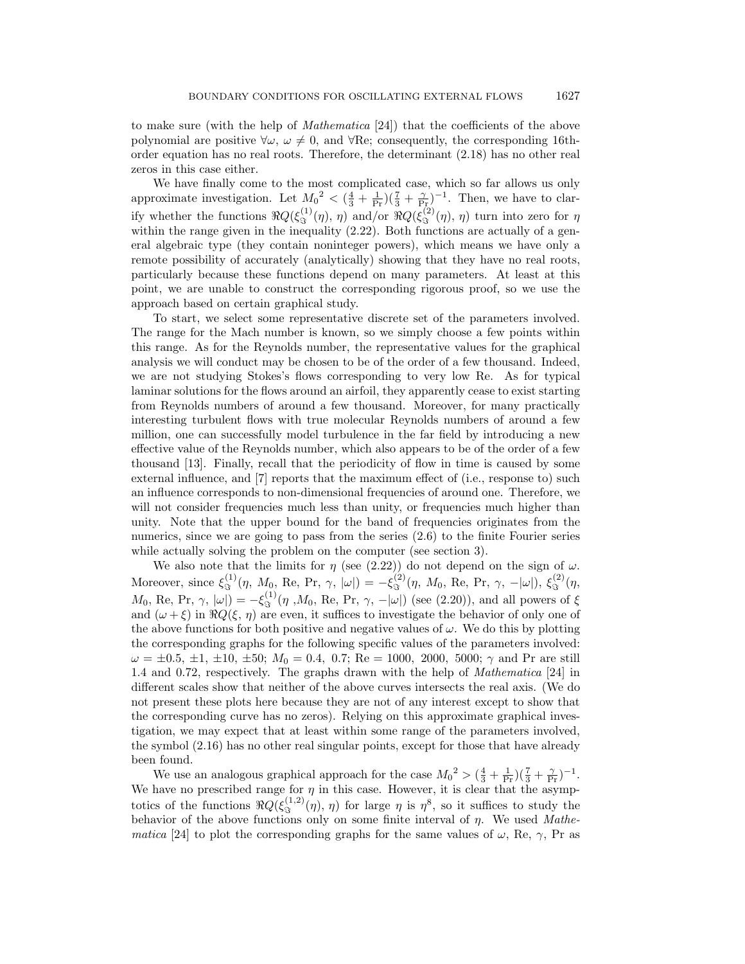to make sure (with the help of Mathematica [24]) that the coefficients of the above polynomial are positive  $\forall \omega, \omega \neq 0$ , and  $\forall \text{Re}$ ; consequently, the corresponding 16thorder equation has no real roots. Therefore, the determinant (2.18) has no other real zeros in this case either.

We have finally come to the most complicated case, which so far allows us only approximate investigation. Let  $M_0^2 < (\frac{4}{3} + \frac{1}{P_{\rm F}})(\frac{7}{3} + \frac{\gamma}{P_{\rm F}})^{-1}$ . Then, we have to clarify whether the functions  $\Re Q(\xi_{\Im}^{(1)}(\eta), \eta)$  and/or  $\Re Q(\xi_{\Im}^{(2)}(\eta), \eta)$  turn into zero for  $\eta$ within the range given in the inequality  $(2.22)$ . Both functions are actually of a general algebraic type (they contain noninteger powers), which means we have only a remote possibility of accurately (analytically) showing that they have no real roots, particularly because these functions depend on many parameters. At least at this point, we are unable to construct the corresponding rigorous proof, so we use the approach based on certain graphical study.

To start, we select some representative discrete set of the parameters involved. The range for the Mach number is known, so we simply choose a few points within this range. As for the Reynolds number, the representative values for the graphical analysis we will conduct may be chosen to be of the order of a few thousand. Indeed, we are not studying Stokes's flows corresponding to very low Re. As for typical laminar solutions for the flows around an airfoil, they apparently cease to exist starting from Reynolds numbers of around a few thousand. Moreover, for many practically interesting turbulent flows with true molecular Reynolds numbers of around a few million, one can successfully model turbulence in the far field by introducing a new effective value of the Reynolds number, which also appears to be of the order of a few thousand [13]. Finally, recall that the periodicity of flow in time is caused by some external influence, and [7] reports that the maximum effect of (i.e., response to) such an influence corresponds to non-dimensional frequencies of around one. Therefore, we will not consider frequencies much less than unity, or frequencies much higher than unity. Note that the upper bound for the band of frequencies originates from the numerics, since we are going to pass from the series (2.6) to the finite Fourier series while actually solving the problem on the computer (see section 3).

We also note that the limits for  $\eta$  (see (2.22)) do not depend on the sign of  $\omega$ . Moreover, since  $\xi_{\Im}^{(1)}(\eta, M_0, \text{Re}, \text{Pr}, \gamma, |\omega|) = -\xi_{\Im}^{(2)}(\eta, M_0, \text{Re}, \text{Pr}, \gamma, -|\omega|), \xi_{\Im}^{(2)}(\eta,$  $M_0$ , Re, Pr,  $\gamma$ ,  $|\omega|$ ) =  $-\xi_{\Im}^{(1)}(\eta, M_0, \text{Re}, \text{Pr}, \gamma, -|\omega|)$  (see (2.20)), and all powers of  $\xi$ and  $(\omega + \xi)$  in  $\Re Q(\xi, \eta)$  are even, it suffices to investigate the behavior of only one of the above functions for both positive and negative values of  $\omega$ . We do this by plotting the corresponding graphs for the following specific values of the parameters involved:  $\omega = \pm 0.5, \pm 1, \pm 10, \pm 50; M_0 = 0.4, 0.7; \text{Re} = 1000, 2000, 5000; \gamma \text{ and Pr are still}$ 1.4 and 0.72, respectively. The graphs drawn with the help of Mathematica [24] in different scales show that neither of the above curves intersects the real axis. (We do not present these plots here because they are not of any interest except to show that the corresponding curve has no zeros). Relying on this approximate graphical investigation, we may expect that at least within some range of the parameters involved, the symbol (2.16) has no other real singular points, except for those that have already been found.

We use an analogous graphical approach for the case  $M_0^2 > (\frac{4}{3} + \frac{1}{\text{Pr}})(\frac{7}{3} + \frac{\gamma}{\text{Pr}})^{-1}$ . We have no prescribed range for  $\eta$  in this case. However, it is clear that the asymptotics of the functions  $\Re Q(\xi_{\Im}^{(1,2)}(\eta), \eta)$  for large  $\eta$  is  $\eta^8$ , so it suffices to study the behavior of the above functions only on some finite interval of  $\eta$ . We used Mathe*matica* [24] to plot the corresponding graphs for the same values of  $\omega$ , Re,  $\gamma$ , Pr as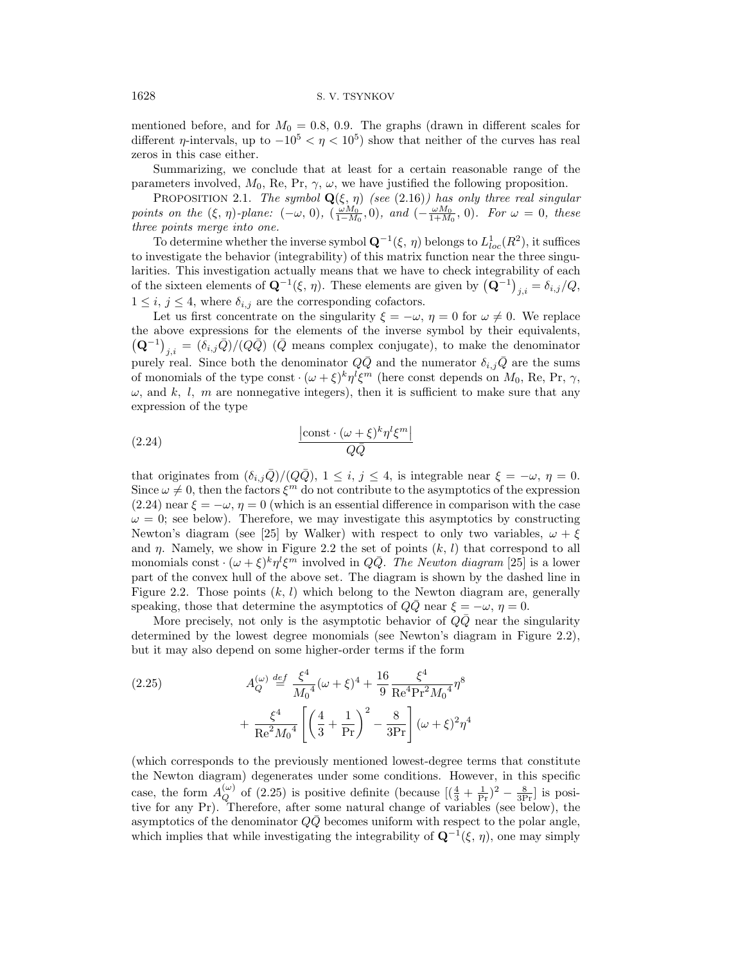mentioned before, and for  $M_0 = 0.8, 0.9$ . The graphs (drawn in different scales for different  $\eta$ -intervals, up to  $-10^5 < \eta < 10^5$ ) show that neither of the curves has real zeros in this case either.

Summarizing, we conclude that at least for a certain reasonable range of the parameters involved,  $M_0$ , Re, Pr,  $\gamma$ ,  $\omega$ , we have justified the following proposition.

**PROPOSITION** 2.1. The symbol  $\mathbf{Q}(\xi, \eta)$  (see (2.16)) has only three real singular points on the  $(\xi, \eta)$ -plane:  $(-\omega, 0)$ ,  $(\frac{\omega M_0}{1-M_0}, 0)$ , and  $(-\frac{\omega M_0}{1+M_0}, 0)$ . For  $\omega = 0$ , these three points merge into one.

To determine whether the inverse symbol  $\mathbf{Q}^{-1}(\xi, \eta)$  belongs to  $L^1_{loc}(R^2)$ , it suffices to investigate the behavior (integrability) of this matrix function near the three singularities. This investigation actually means that we have to check integrability of each of the sixteen elements of  $\mathbf{Q}^{-1}(\xi, \eta)$ . These elements are given by  $(\mathbf{Q}^{-1})_{j,i} = \delta_{i,j}/Q$ ,  $1 \leq i, j \leq 4$ , where  $\delta_{i,j}$  are the corresponding cofactors.

Let us first concentrate on the singularity  $\xi = -\omega, \eta = 0$  for  $\omega \neq 0$ . We replace the above expressions for the elements of the inverse symbol by their equivalents,  $(Q^{-1})_{j,i} = (\delta_{i,j}\bar{Q})/(Q\bar{Q})$  ( $\bar{Q}$  means complex conjugate), to make the denominator purely real. Since both the denominator  $Q\bar{Q}$  and the numerator  $\delta_{i,j}\bar{Q}$  are the sums of monomials of the type const  $\cdot (\omega + \xi)^k \eta^l \xi^m$  (here const depends on  $M_0$ , Re, Pr,  $\gamma$ ,  $\omega$ , and k, l, m are nonnegative integers), then it is sufficient to make sure that any expression of the type

$$
(2.24) \qquad \qquad \frac{\left|\text{const} \cdot (\omega + \xi)^k \eta^l \xi^m\right|}{Q\bar{Q}}
$$

that originates from  $(\delta_{i,j}\overline{Q})/(Q\overline{Q})$ ,  $1 \leq i, j \leq 4$ , is integrable near  $\xi = -\omega, \eta = 0$ . Since  $\omega \neq 0$ , then the factors  $\xi^m$  do not contribute to the asymptotics of the expression (2.24) near  $\xi = -\omega$ ,  $\eta = 0$  (which is an essential difference in comparison with the case  $\omega = 0$ ; see below). Therefore, we may investigate this asymptotics by constructing Newton's diagram (see [25] by Walker) with respect to only two variables,  $\omega + \xi$ and  $\eta$ . Namely, we show in Figure 2.2 the set of points  $(k, l)$  that correspond to all monomials const  $(\omega + \xi)^k \eta^l \xi^m$  involved in  $Q\overline{Q}$ . The Newton diagram [25] is a lower part of the convex hull of the above set. The diagram is shown by the dashed line in Figure 2.2. Those points  $(k, l)$  which belong to the Newton diagram are, generally speaking, those that determine the asymptotics of  $QQ$  near  $\xi = -\omega, \eta = 0$ .

More precisely, not only is the asymptotic behavior of  $Q\overline{Q}$  near the singularity determined by the lowest degree monomials (see Newton's diagram in Figure 2.2), but it may also depend on some higher-order terms if the form

(2.25) 
$$
A_Q^{(\omega)} \stackrel{def}{=} \frac{\xi^4}{M_0^4} (\omega + \xi)^4 + \frac{16}{9} \frac{\xi^4}{\text{Re}^4 \text{Pr}^2 M_0^4} \eta^8 + \frac{\xi^4}{\text{Re}^2 M_0^4} \left[ \left( \frac{4}{3} + \frac{1}{\text{Pr}} \right)^2 - \frac{8}{3\text{Pr}} \right] (\omega + \xi)^2 \eta^4
$$

(which corresponds to the previously mentioned lowest-degree terms that constitute the Newton diagram) degenerates under some conditions. However, in this specific case, the form  $A_Q^{(\omega)}$  of (2.25) is positive definite (because  $\left[\left(\frac{4}{3} + \frac{1}{\text{Pr}}\right)^2 - \frac{8}{3\text{Pr}}\right]$  is positive for any Pr). Therefore, after some natural change of variables (see below), the asymptotics of the denominator  $Q\bar{Q}$  becomes uniform with respect to the polar angle, which implies that while investigating the integrability of  $\mathbf{Q}^{-1}(\xi, \eta)$ , one may simply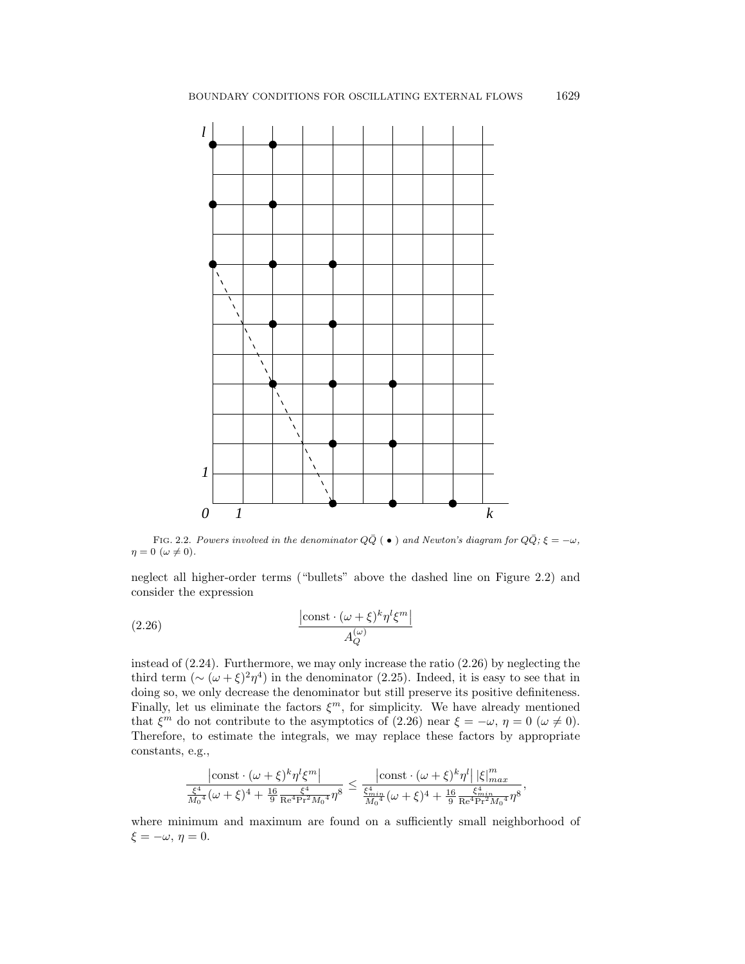

FIG. 2.2. Powers involved in the denominator  $Q\bar{Q}$  ( $\bullet$ ) and Newton's diagram for  $Q\bar{Q}$ ;  $\xi = -\omega$ ,  $\eta = 0 \ (\omega \neq 0).$ 

neglect all higher-order terms ("bullets" above the dashed line on Figure 2.2) and consider the expression

(2.26) 
$$
\frac{\left|\text{const} \cdot (\omega + \xi)^k \eta^l \xi^m\right|}{A_Q^{(\omega)}}
$$

instead of (2.24). Furthermore, we may only increase the ratio (2.26) by neglecting the third term ( $\sim (\omega + \xi)^2 \eta^4$ ) in the denominator (2.25). Indeed, it is easy to see that in doing so, we only decrease the denominator but still preserve its positive definiteness. Finally, let us eliminate the factors  $\xi^m$ , for simplicity. We have already mentioned that  $\xi^m$  do not contribute to the asymptotics of (2.26) near  $\xi = -\omega, \eta = 0 \ (\omega \neq 0)$ . Therefore, to estimate the integrals, we may replace these factors by appropriate constants, e.g.,

$$
\frac{|\text{const} \cdot (\omega + \xi)^k \eta^l \xi^m|}{\frac{\xi^4}{M_0^4} (\omega + \xi)^4 + \frac{16}{9} \frac{\xi^4}{\text{Re}^4 \text{Pr}^2 M_0{}^4} \eta^8} \leq \frac{|\text{const} \cdot (\omega + \xi)^k \eta^l| |\xi|_{max}^m}{\frac{\xi_{min}^4}{M_0{}^4} (\omega + \xi)^4 + \frac{16}{9} \frac{\xi_{min}^4}{\text{Re}^4 \text{Pr}^2 M_0{}^4} \eta^8},
$$

where minimum and maximum are found on a sufficiently small neighborhood of  $\xi = -\omega, \eta = 0.$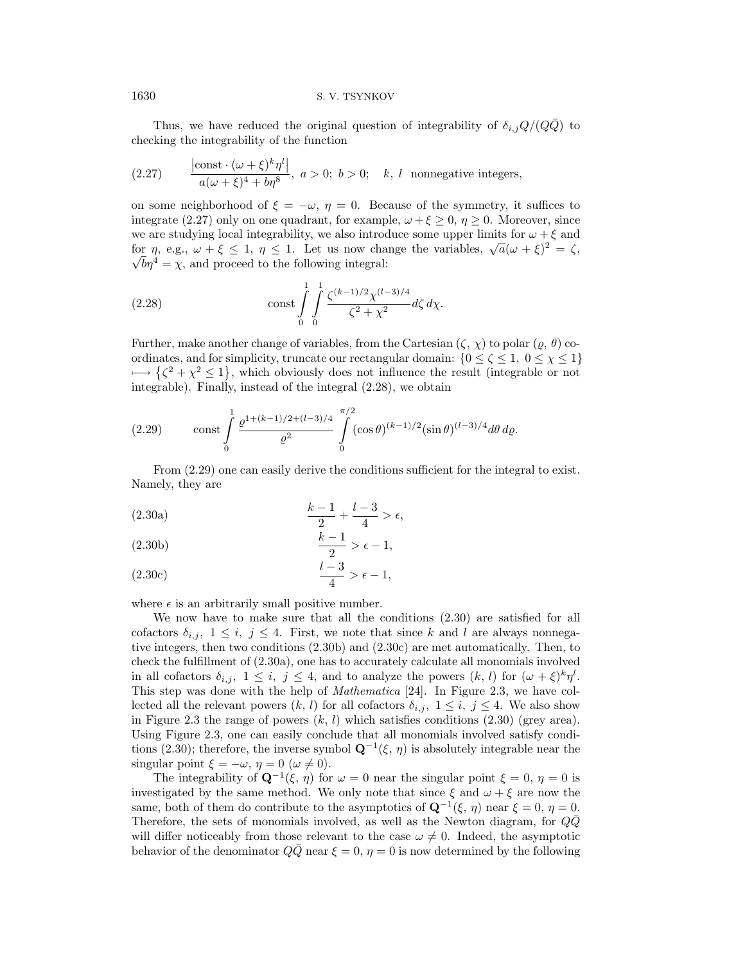### 1630 S. V. TSYNKOV

Thus, we have reduced the original question of integrability of  $\delta_{i,j}Q/(Q\bar{Q})$  to checking the integrability of the function

(2.27) 
$$
\frac{|\text{const} \cdot (\omega + \xi)^k \eta^l|}{a(\omega + \xi)^4 + b\eta^8}, \ a > 0; \ b > 0; \ k, l \text{ nonnegative integers},
$$

on some neighborhood of  $\xi = -\omega$ ,  $\eta = 0$ . Because of the symmetry, it suffices to integrate (2.27) only on one quadrant, for example,  $\omega + \xi \geq 0$ ,  $\eta \geq 0$ . Moreover, since we are studying local integrability, we also introduce some upper limits for  $\omega + \xi$  and we are studying focal integrability, we also introduce some upper finites for  $\omega + \zeta$  and<br>for  $\eta$ , e.g.,  $\omega + \xi \le 1$ ,  $\eta \le 1$ . Let us now change the variables,  $\sqrt{a}(\omega + \xi)^2 = \zeta$ ,  $\sqrt{b\eta^4} = \chi$ , and proceed to the following integral:

(2.28) 
$$
\cosh \int_{0}^{1} \int_{0}^{1} \frac{\zeta^{(k-1)/2} \chi^{(l-3)/4}}{\zeta^2 + \chi^2} d\zeta \, d\chi.
$$

Further, make another change of variables, from the Cartesian  $(\zeta, \chi)$  to polar  $(\varrho, \theta)$  coordinates, and for simplicity, truncate our rectangular domain:  $\{0 \le \zeta \le 1, 0 \le \chi \le 1\}$  $\mapsto \{\zeta^2 + \chi^2 \leq 1\}$ , which obviously does not influence the result (integrable or not integrable). Finally, instead of the integral (2.28), we obtain

$$
(2.29) \qquad \text{const} \int_{0}^{1} \frac{\varrho^{1+(k-1)/2+(l-3)/4}}{\varrho^2} \int_{0}^{\pi/2} (\cos \theta)^{(k-1)/2} (\sin \theta)^{(l-3)/4} d\theta \, d\varrho.
$$

From (2.29) one can easily derive the conditions sufficient for the integral to exist. Namely, they are

(2.30a) 
$$
\frac{k-1}{2} + \frac{l-3}{4} > \epsilon,
$$

$$
\frac{k-1}{2} > \epsilon - 1,
$$

$$
\frac{l-3}{4} > \epsilon - 1,
$$

where  $\epsilon$  is an arbitrarily small positive number.

We now have to make sure that all the conditions (2.30) are satisfied for all cofactors  $\delta_{i,j}$ ,  $1 \leq i, j \leq 4$ . First, we note that since k and l are always nonnegative integers, then two conditions (2.30b) and (2.30c) are met automatically. Then, to check the fulfillment of (2.30a), one has to accurately calculate all monomials involved in all cofactors  $\delta_{i,j}$ ,  $1 \leq i, j \leq 4$ , and to analyze the powers  $(k, l)$  for  $(\omega + \xi)^k \eta^l$ . This step was done with the help of Mathematica [24]. In Figure 2.3, we have collected all the relevant powers  $(k, l)$  for all cofactors  $\delta_{i,j}$ ,  $1 \leq i, j \leq 4$ . We also show in Figure 2.3 the range of powers  $(k, l)$  which satisfies conditions  $(2.30)$  (grey area). Using Figure 2.3, one can easily conclude that all monomials involved satisfy conditions (2.30); therefore, the inverse symbol  $\mathbf{Q}^{-1}(\xi, \eta)$  is absolutely integrable near the singular point  $\xi = -\omega, \eta = 0 \ (\omega \neq 0).$ 

The integrability of  $\mathbf{Q}^{-1}(\xi, \eta)$  for  $\omega = 0$  near the singular point  $\xi = 0, \eta = 0$  is investigated by the same method. We only note that since  $\xi$  and  $\omega + \xi$  are now the same, both of them do contribute to the asymptotics of  $\mathbf{Q}^{-1}(\xi, \eta)$  near  $\xi = 0, \eta = 0$ . Therefore, the sets of monomials involved, as well as the Newton diagram, for  $Q\bar{Q}$ will differ noticeably from those relevant to the case  $\omega \neq 0$ . Indeed, the asymptotic behavior of the denominator  $Q\bar{Q}$  near  $\xi = 0, \eta = 0$  is now determined by the following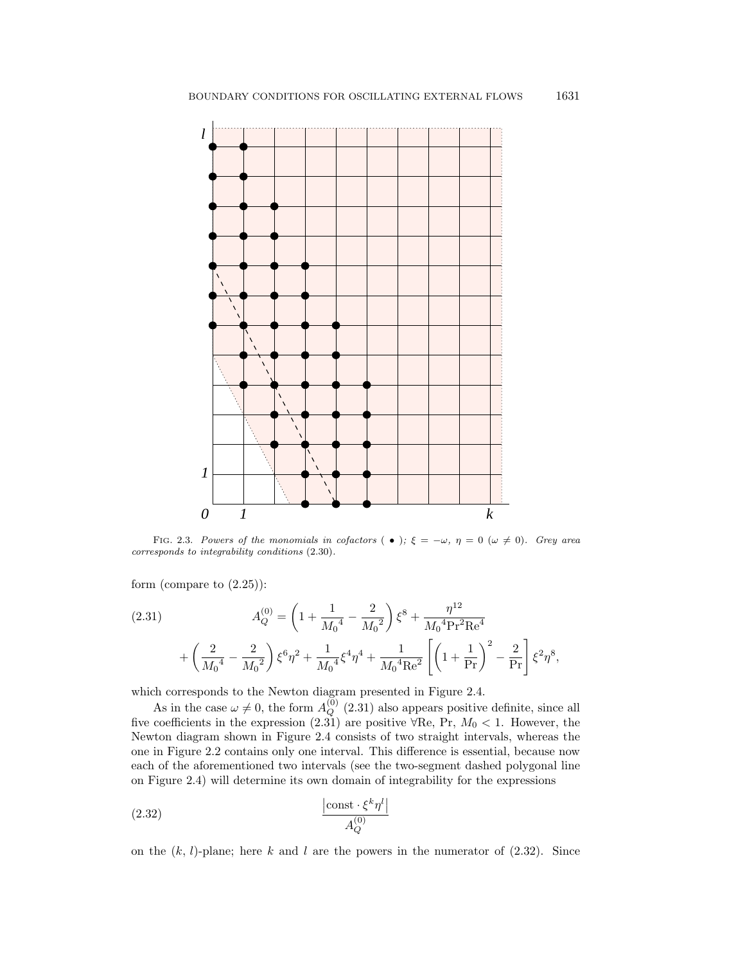

FIG. 2.3. Powers of the monomials in cofactors ( $\bullet$ );  $\xi = -\omega$ ,  $\eta = 0$  ( $\omega \neq 0$ ). Grey area corresponds to integrability conditions (2.30).

form (compare to  $(2.25)$ ):

(2.31) 
$$
A_Q^{(0)} = \left(1 + \frac{1}{M_0^4} - \frac{2}{M_0^2}\right) \xi^8 + \frac{\eta^{12}}{M_0^4 \text{Pr}^2 \text{Re}^4} + \left(\frac{2}{M_0^4} - \frac{2}{M_0^2}\right) \xi^6 \eta^2 + \frac{1}{M_0^4 \xi^4 \eta^4 + \frac{1}{M_0^4 \text{Re}^2} \left[\left(1 + \frac{1}{\text{Pr}}\right)^2 - \frac{2}{\text{Pr}}\right] \xi^2 \eta^8,
$$

which corresponds to the Newton diagram presented in Figure 2.4.

As in the case  $\omega \neq 0$ , the form  $A_Q^{(0)}$  (2.31) also appears positive definite, since all five coefficients in the expression  $(2.31)$  are positive  $\forall \text{Re}, \text{Pr}, M_0 < 1$ . However, the Newton diagram shown in Figure 2.4 consists of two straight intervals, whereas the one in Figure 2.2 contains only one interval. This difference is essential, because now each of the aforementioned two intervals (see the two-segment dashed polygonal line on Figure 2.4) will determine its own domain of integrability for the expressions

$$
\frac{|\text{const} \cdot \xi^k \eta^l}{A_Q^{(0)}}
$$

on the  $(k, l)$ -plane; here k and l are the powers in the numerator of  $(2.32)$ . Since

 $\frac{1}{\sqrt{2}}$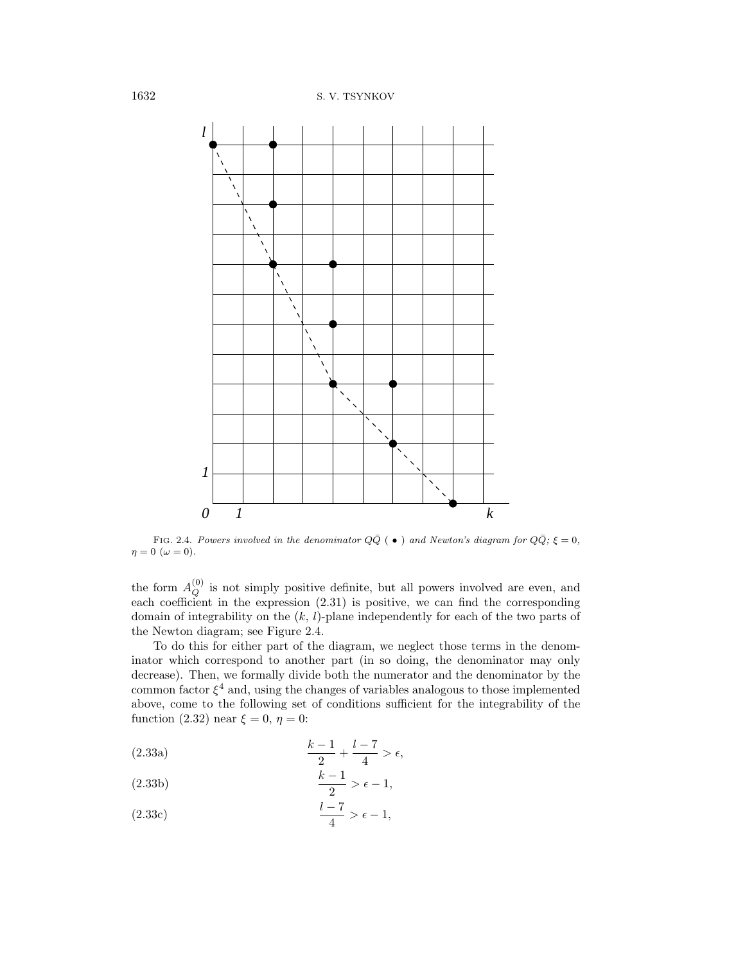

FIG. 2.4. Powers involved in the denominator  $Q\overline{Q}$  ( $\bullet$ ) and Newton's diagram for  $Q\overline{Q}$ ;  $\xi = 0$ ,  $\eta = 0 \ (\omega = 0).$ 

the form  $A_Q^{(0)}$  is not simply positive definite, but all powers involved are even, and each coefficient in the expression (2.31) is positive, we can find the corresponding domain of integrability on the  $(k, l)$ -plane independently for each of the two parts of the Newton diagram; see Figure 2.4.

To do this for either part of the diagram, we neglect those terms in the denominator which correspond to another part (in so doing, the denominator may only decrease). Then, we formally divide both the numerator and the denominator by the common factor  $\xi^4$  and, using the changes of variables analogous to those implemented above, come to the following set of conditions sufficient for the integrability of the function (2.32) near  $\xi = 0, \eta = 0$ :

(2.33a) 
$$
\frac{k-1}{2} + \frac{l-7}{4} > \epsilon,
$$

$$
\frac{k-1}{2} > \epsilon - 1,
$$

$$
\frac{l-7}{4} > \epsilon - 1,
$$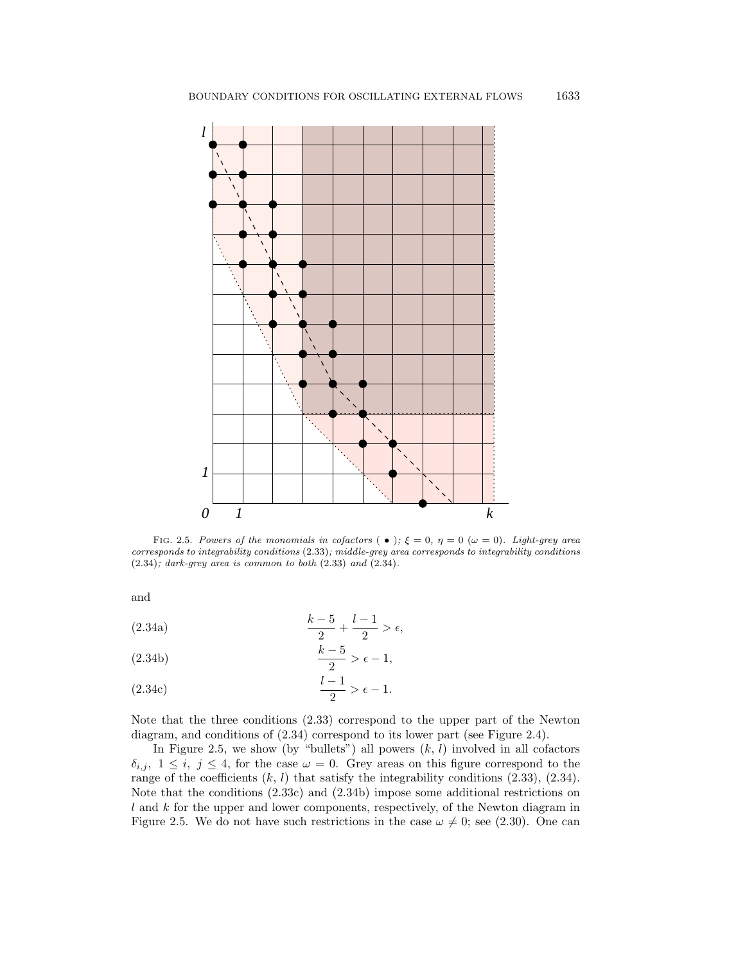

FIG. 2.5. Powers of the monomials in cofactors ( $\bullet$ );  $\xi = 0$ ,  $\eta = 0$  ( $\omega = 0$ ). Light-grey area corresponds to integrability conditions (2.33); middle-grey area corresponds to integrability conditions (2.34); dark-grey area is common to both (2.33) and (2.34).

and

(2.34a) 
$$
\frac{k-5}{2} + \frac{l-1}{2} > \epsilon,
$$

$$
\frac{k-5}{2} > \epsilon - 1,
$$

$$
\frac{l-1}{2} > \epsilon - 1.
$$

Note that the three conditions (2.33) correspond to the upper part of the Newton diagram, and conditions of (2.34) correspond to its lower part (see Figure 2.4).

In Figure 2.5, we show (by "bullets") all powers  $(k, l)$  involved in all cofactors  $\delta_{i,j}, 1 \leq i, j \leq 4$ , for the case  $\omega = 0$ . Grey areas on this figure correspond to the range of the coefficients  $(k, l)$  that satisfy the integrability conditions  $(2.33), (2.34)$ . Note that the conditions (2.33c) and (2.34b) impose some additional restrictions on  $l$  and  $k$  for the upper and lower components, respectively, of the Newton diagram in Figure 2.5. We do not have such restrictions in the case  $\omega \neq 0$ ; see (2.30). One can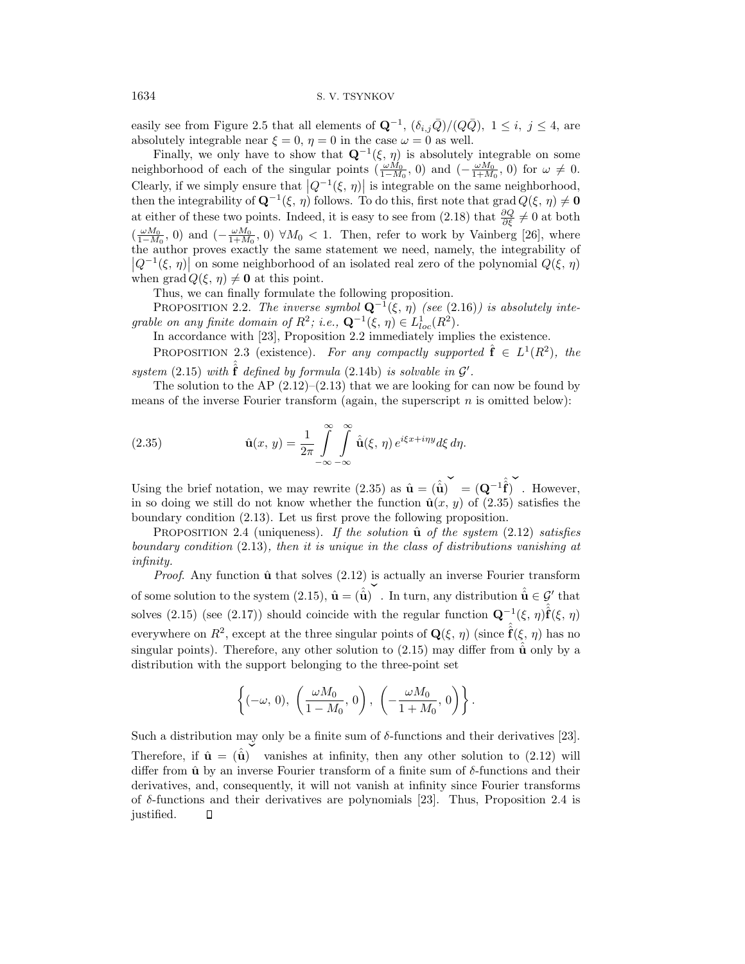easily see from Figure 2.5 that all elements of  $\mathbf{Q}^{-1}$ ,  $(\delta_{i,j}\bar{Q})/(Q\bar{Q})$ ,  $1 \leq i, j \leq 4$ , are absolutely integrable near  $\xi = 0$ ,  $\eta = 0$  in the case  $\omega = 0$  as well.

Finally, we only have to show that  $\mathbf{Q}^{-1}(\xi, \eta)$  is absolutely integrable on some neighborhood of each of the singular points  $(\frac{\omega M_0}{1-M_0}, 0)$  and  $(-\frac{\omega M_0}{1+M_0}, 0)$  for  $\omega \neq 0$ . Clearly, if we simply ensure that  $|Q^{-1}(\xi, \eta)|$  is integrable on the same neighborhood,<br>then the integrability of  $Q^{-1}(\xi, \eta)$  follows. To do this, first note that  $\text{mod } Q(\xi, \eta)$ . then the integrability of  $\mathbf{Q}^{-1}(\xi, \eta)$  follows. To do this, first note that grad  $Q(\xi, \eta) \neq \mathbf{0}$ at either of these two points. Indeed, it is easy to see from  $(2.18)$  that  $\frac{\partial Q}{\partial \xi} \neq 0$  at both  $(\frac{\omega M_0}{1-M_0}, 0)$  and  $(-\frac{\omega M_0}{1+M_0}, 0)$   $\forall M_0 < 1$ . Then, refer to work by Vainberg [26], where the author proves exactly the same statement we need, namely, the integrability of  $|Q^{-1}(\xi, \eta)|$  on some neighborhood of an isolated real zero of the polynomial  $Q(\xi, \eta)$ <br>when  $\text{mod } O(\xi, \eta)$  (e.g.t. this point when grad  $Q(\xi, \eta) \neq \mathbf{0}$  at this point.

Thus, we can finally formulate the following proposition.

PROPOSITION 2.2. The inverse symbol  $\mathbf{Q}^{-1}(\xi, \eta)$  (see (2.16)) is absolutely integrable on any finite domain of  $R^2$ ; i.e.,  $\mathbf{Q}^{-1}(\xi, \eta) \in L^1_{loc}(R^2)$ .

In accordance with [23], Proposition 2.2 immediately implies the existence.

PROPOSITION 2.3 (existence). For any compactly supported  $\hat{\mathbf{f}} \in L^1(R^2)$ , the system  $(2.15)$  with  $\hat{\hat{f}}$  defined by formula  $(2.14b)$  is solvable in  $\mathcal{G}'$ .

The solution to the AP  $(2.12)$ – $(2.13)$  that we are looking for can now be found by means of the inverse Fourier transform (again, the superscript  $n$  is omitted below):

(2.35) 
$$
\hat{\mathbf{u}}(x, y) = \frac{1}{2\pi} \int_{-\infty}^{\infty} \int_{-\infty}^{\infty} \hat{\hat{\mathbf{u}}}(\xi, \eta) e^{i\xi x + i\eta y} d\xi d\eta.
$$

Using the brief notation, we may rewrite  $(2.35)$  as  $\hat{\mathbf{u}} = (\hat{\hat{\mathbf{u}}})^{\sim} = (\mathbf{Q}^{-1}\hat{\hat{\mathbf{f}}})^{\sim}$ . However, in so doing we still do not know whether the function  $\hat{u}(x, y)$  of (2.35) satisfies the boundary condition (2.13). Let us first prove the following proposition.

**PROPOSITION** 2.4 (uniqueness). If the solution  $\hat{u}$  of the system (2.12) satisfies boundary condition (2.13), then it is unique in the class of distributions vanishing at infinity.

Proof. Any function  $\hat{u}$  that solves (2.12) is actually an inverse Fourier transform of some solution to the system (2.15),  $\hat{\mathbf{u}} = (\hat{\hat{\mathbf{u}}})^{\tilde{\mathbf{u}}}$ . In turn, any distribution  $\hat{\mathbf{u}} \in \mathcal{G}'$  that solves (2.15) (see (2.17)) should coincide with the regular function  $\mathbf{Q}^{-1}(\xi, \eta) \hat{\mathbf{f}}(\xi, \eta)$ everywhere on  $R^2$ , except at the three singular points of  $\mathbf{Q}(\xi, \eta)$  (since  $\hat{\mathbf{f}}(\xi, \eta)$  has no singular points). Therefore, any other solution to  $(2.15)$  may differ from  $\hat{\hat{\mathbf{u}}}$  only by a distribution with the support belonging to the three-point set

$$
\left\{(-\omega,\,0),\,\,\left(\frac{\omega M_0}{1-M_0},\,0\right),\,\,\left(-\frac{\omega M_0}{1+M_0},\,0\right)\right\}.
$$

Such a distribution may only be a finite sum of  $\delta$ -functions and their derivatives [23]. Therefore, if  $\hat{u} = (\hat{u})^{\checkmark}$  vanishes at infinity, then any other solution to (2.12) will differ from  $\hat{\mathbf{u}}$  by an inverse Fourier transform of a finite sum of  $\delta$ -functions and their derivatives, and, consequently, it will not vanish at infinity since Fourier transforms of  $\delta$ -functions and their derivatives are polynomials [23]. Thus, Proposition 2.4 is justified. $\Box$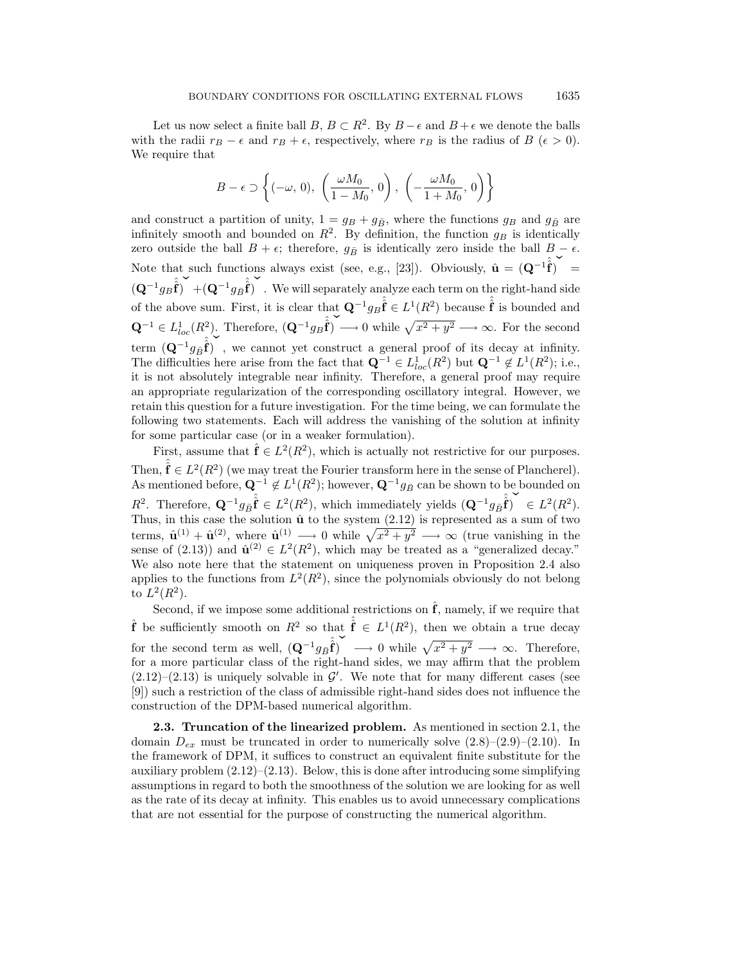Let us now select a finite ball  $B, B \subset R^2$ . By  $B - \epsilon$  and  $B + \epsilon$  we denote the balls with the radii  $r_B - \epsilon$  and  $r_B + \epsilon$ , respectively, where  $r_B$  is the radius of  $B(\epsilon > 0)$ . We require that

$$
B-\epsilon\supset \left\{(-\omega,\,0),\,\,\left(\frac{\omega M_0}{1-M_0},\,0\right),\,\,\left(-\frac{\omega M_0}{1+M_0},\,0\right)\right\}
$$

and construct a partition of unity,  $1 = g_B + g_{\bar{B}}$ , where the functions  $g_B$  and  $g_{\bar{B}}$  are infinitely smooth and bounded on  $R^2$ . By definition, the function  $g_B$  is identically zero outside the ball  $B + \epsilon$ ; therefore,  $g_{\bar{B}}$  is identically zero inside the ball  $B - \epsilon$ . Note that such functions always exist (see, e.g., [23]). Obviously,  $\hat{\mathbf{u}} = (\mathbf{Q}^{-1}\hat{\hat{\mathbf{f}}})^{\check{\mathbf{r}}} =$  $(\mathbf{Q}^{-1}g_B\hat{\mathbf{f}})^{\sim}+(\mathbf{Q}^{-1}g_B\hat{\mathbf{f}})^{\sim}$ . We will separately analyze each term on the right-hand side of the above sum. First, it is clear that  $\mathbf{Q}^{-1}g_B\hat{\mathbf{f}} \in L^1(R^2)$  because  $\hat{\hat{\mathbf{f}}}$  is bounded and  $\mathbf{Q}^{-1} \in L^1_{loc}(R^2)$ . Therefore,  $(\mathbf{Q}^{-1}g_B\hat{\mathbf{f}}) \rightarrow 0$  while  $\sqrt{x^2 + y^2} \rightarrow \infty$ . For the second term  $(\mathbf{Q}^{-1}g_B\hat{\mathbf{f}})^{\sim}$ , we cannot yet construct a general proof of its decay at infinity. The difficulties here arise from the fact that  $\mathbf{Q}^{-1} \in L^1_{loc}(R^2)$  but  $\mathbf{Q}^{-1} \notin L^1(R^2)$ ; i.e., it is not absolutely integrable near infinity. Therefore, a general proof may require an appropriate regularization of the corresponding oscillatory integral. However, we retain this question for a future investigation. For the time being, we can formulate the following two statements. Each will address the vanishing of the solution at infinity for some particular case (or in a weaker formulation).

First, assume that  $\hat{\mathbf{f}} \in L^2(R^2)$ , which is actually not restrictive for our purposes. Then,  $\hat{\mathbf{f}} \in L^2(R^2)$  (we may treat the Fourier transform here in the sense of Plancherel). As mentioned before,  $\mathbf{Q}^{-1} \notin L^1(R^2)$ ; however,  $\mathbf{Q}^{-1}g_B^-$  can be shown to be bounded on  $R^2$ . Therefore,  $\mathbf{Q}^{-1}g_{\bar{B}}\hat{\hat{\mathbf{f}}} \in L^2(R^2)$ , which immediately yields  $(\mathbf{Q}^{-1}g_{\bar{B}}\hat{\hat{\mathbf{f}}})^{\sim} \in L^2(R^2)$ . Thus, in this case the solution  $\hat{u}$  to the system  $(2.12)$  is represented as a sum of two terms,  $\hat{\mathbf{u}}^{(1)} + \hat{\mathbf{u}}^{(2)}$ , where  $\hat{\mathbf{u}}^{(1)} \longrightarrow 0$  while  $\sqrt{x^2 + y^2} \longrightarrow \infty$  (true vanishing in the sense of (2.13)) and  $\hat{\mathbf{u}}^{(2)} \in L^2(R^2)$ , which may be treated as a "generalized decay." We also note here that the statement on uniqueness proven in Proposition 2.4 also applies to the functions from  $L^2(R^2)$ , since the polynomials obviously do not belong to  $L^2(R^2)$ .

Second, if we impose some additional restrictions on  $\hat{\mathbf{f}}$ , namely, if we require that  $\hat{\mathbf{f}}$  be sufficiently smooth on  $R^2$  so that  $\hat{\mathbf{f}}$  ∈  $L^1(R^2)$ , then we obtain a true decay for the second term as well,  $(\mathbf{Q}^{-1}g_{\bar{B}}\hat{\hat{\mathbf{f}}})^{\sim} \longrightarrow 0$  while  $\sqrt{x^2 + y^2} \longrightarrow \infty$ . Therefore, for a more particular class of the right-hand sides, we may affirm that the problem  $(2.12)$ – $(2.13)$  is uniquely solvable in  $\mathcal{G}'$ . We note that for many different cases (see [9]) such a restriction of the class of admissible right-hand sides does not influence the construction of the DPM-based numerical algorithm.

**2.3. Truncation of the linearized problem.** As mentioned in section 2.1, the domain  $D_{ex}$  must be truncated in order to numerically solve  $(2.8)$ – $(2.9)$ – $(2.10)$ . In the framework of DPM, it suffices to construct an equivalent finite substitute for the auxiliary problem  $(2.12)$ – $(2.13)$ . Below, this is done after introducing some simplifying assumptions in regard to both the smoothness of the solution we are looking for as well as the rate of its decay at infinity. This enables us to avoid unnecessary complications that are not essential for the purpose of constructing the numerical algorithm.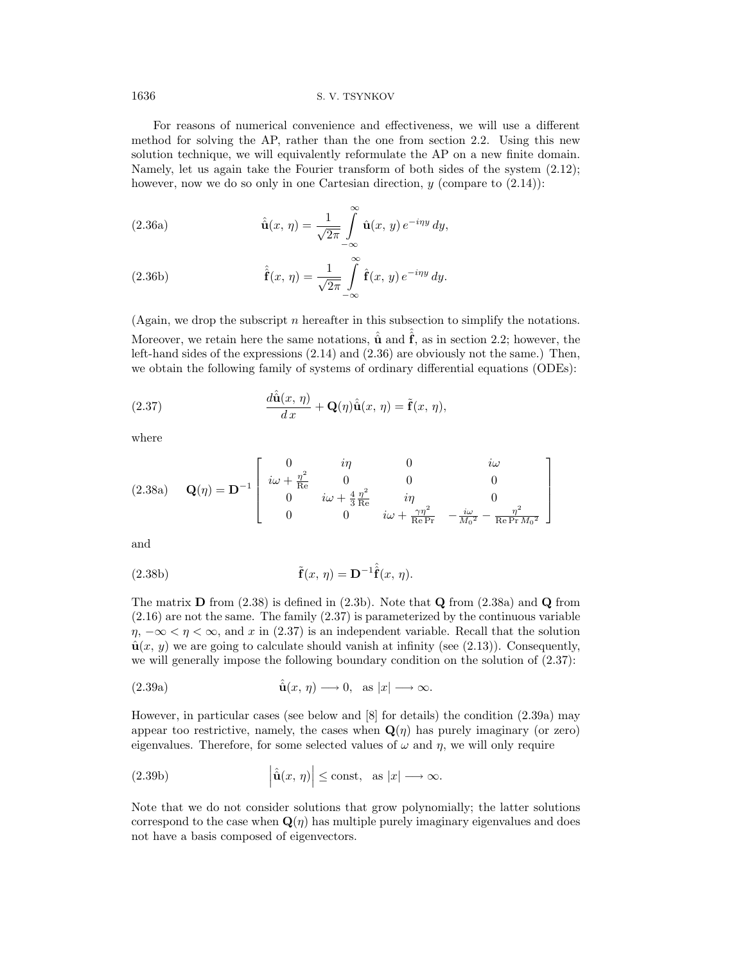### 1636 S. V. TSYNKOV

For reasons of numerical convenience and effectiveness, we will use a different method for solving the AP, rather than the one from section 2.2. Using this new solution technique, we will equivalently reformulate the AP on a new finite domain. Namely, let us again take the Fourier transform of both sides of the system (2.12); however, now we do so only in one Cartesian direction,  $y$  (compare to  $(2.14)$ ):

(2.36a) 
$$
\hat{\mathbf{u}}(x, \eta) = \frac{1}{\sqrt{2\pi}} \int_{-\infty}^{\infty} \hat{\mathbf{u}}(x, y) e^{-i\eta y} dy,
$$

(2.36b) 
$$
\hat{\mathbf{f}}(x, \eta) = \frac{1}{\sqrt{2\pi}} \int_{-\infty}^{\infty} \hat{\mathbf{f}}(x, y) e^{-i\eta y} dy.
$$

(Again, we drop the subscript  $n$  hereafter in this subsection to simplify the notations. Moreover, we retain here the same notations,  $\hat{\hat{\mathbf{u}}}$  and  $\hat{\hat{\mathbf{f}}}$ , as in section 2.2; however, the left-hand sides of the expressions (2.14) and (2.36) are obviously not the same.) Then, we obtain the following family of systems of ordinary differential equations (ODEs):

(2.37) 
$$
\frac{d\hat{\mathbf{u}}(x,\,\eta)}{dx} + \mathbf{Q}(\eta)\hat{\mathbf{u}}(x,\,\eta) = \tilde{\mathbf{f}}(x,\,\eta),
$$

where

$$
(2.38a) \quad \mathbf{Q}(\eta) = \mathbf{D}^{-1} \begin{bmatrix} 0 & i\eta & 0 & i\omega \\ i\omega + \frac{\eta^2}{\text{Re}} & 0 & 0 & 0 \\ 0 & i\omega + \frac{4}{3}\frac{\eta^2}{\text{Re}} & i\eta & 0 \\ 0 & 0 & i\omega + \frac{\gamma\eta^2}{\text{Re Pr}} & -\frac{i\omega}{M_0^2} - \frac{\eta^2}{\text{Re Pr} M_0^2} \end{bmatrix}
$$

and

(2.38b) 
$$
\tilde{\mathbf{f}}(x,\,\eta) = \mathbf{D}^{-1}\hat{\mathbf{f}}(x,\,\eta).
$$

The matrix **D** from (2.38) is defined in (2.3b). Note that **Q** from (2.38a) and **Q** from (2.16) are not the same. The family (2.37) is parameterized by the continuous variable  $\eta, -\infty < \eta < \infty$ , and x in (2.37) is an independent variable. Recall that the solution  $\hat{\mathbf{u}}(x, y)$  we are going to calculate should vanish at infinity (see (2.13)). Consequently, we will generally impose the following boundary condition on the solution of (2.37):

(2.39a) 
$$
\hat{\mathbf{u}}(x, \eta) \longrightarrow 0
$$
, as  $|x| \longrightarrow \infty$ .

However, in particular cases (see below and [8] for details) the condition (2.39a) may appear too restrictive, namely, the cases when  $\mathbf{Q}(\eta)$  has purely imaginary (or zero) eigenvalues. Therefore, for some selected values of  $\omega$  and  $\eta$ , we will only require

(2.39b) 
$$
\left| \hat{\mathbf{u}}(x, \eta) \right| \le \text{const}, \text{ as } |x| \longrightarrow \infty.
$$

Note that we do not consider solutions that grow polynomially; the latter solutions correspond to the case when  $\mathbf{Q}(\eta)$  has multiple purely imaginary eigenvalues and does not have a basis composed of eigenvectors.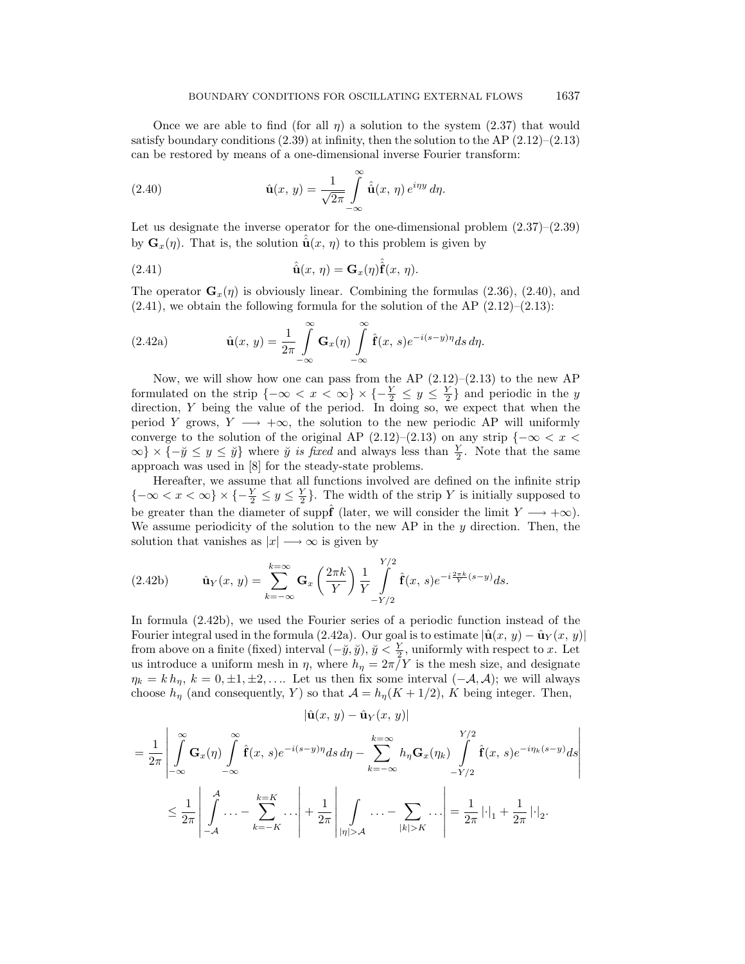Once we are able to find (for all  $\eta$ ) a solution to the system (2.37) that would satisfy boundary conditions (2.39) at infinity, then the solution to the AP  $(2.12)$ – $(2.13)$ can be restored by means of a one-dimensional inverse Fourier transform:

(2.40) 
$$
\hat{\mathbf{u}}(x, y) = \frac{1}{\sqrt{2\pi}} \int_{-\infty}^{\infty} \hat{\mathbf{u}}(x, \eta) e^{i\eta y} d\eta.
$$

Let us designate the inverse operator for the one-dimensional problem  $(2.37)$ – $(2.39)$ by  $\mathbf{G}_x(\eta)$ . That is, the solution  $\hat{\mathbf{u}}(x, \eta)$  to this problem is given by

(2.41) 
$$
\hat{\mathbf{u}}(x, \eta) = \mathbf{G}_x(\eta) \hat{\mathbf{f}}(x, \eta).
$$

The operator  $\mathbf{G}_x(\eta)$  is obviously linear. Combining the formulas (2.36), (2.40), and  $(2.41)$ , we obtain the following formula for the solution of the AP  $(2.12)$ – $(2.13)$ :

(2.42a) 
$$
\hat{\mathbf{u}}(x, y) = \frac{1}{2\pi} \int_{-\infty}^{\infty} \mathbf{G}_x(\eta) \int_{-\infty}^{\infty} \hat{\mathbf{f}}(x, s) e^{-i(s-y)\eta} ds d\eta.
$$

Now, we will show how one can pass from the AP  $(2.12)$ – $(2.13)$  to the new AP formulated on the strip  ${-\infty < x < \infty} \times {-\frac{Y}{2}} \leq y \leq \frac{Y}{2}$  and periodic in the y direction, Y being the value of the period. In doing so, we expect that when the period Y grows,  $Y \longrightarrow +\infty$ , the solution to the new periodic AP will uniformly converge to the solution of the original AP  $(2.12)–(2.13)$  on any strip { $-\infty < x <$  $\{\infty\} \times \{-\tilde{y} \leq y \leq \tilde{y}\}\$  where  $\tilde{y}$  is fixed and always less than  $\frac{Y}{2}$ . Note that the same approach was used in [8] for the steady-state problems.

Hereafter, we assume that all functions involved are defined on the infinite strip  ${-\infty < x < \infty} \times {-\frac{Y}{2} \leq y \leq \frac{Y}{2}}$ . The width of the strip Y is initially supposed to be greater than the diameter of suppf<sup> $\hat{f}$ </sup> (later, we will consider the limit  $Y \longrightarrow +\infty$ ). We assume periodicity of the solution to the new AP in the  $y$  direction. Then, the solution that vanishes as  $|x| \longrightarrow \infty$  is given by

(2.42b) 
$$
\hat{\mathbf{u}}_{Y}(x, y) = \sum_{k=-\infty}^{k=\infty} \mathbf{G}_{x} \left(\frac{2\pi k}{Y}\right) \frac{1}{Y} \int_{-Y/2}^{Y/2} \hat{\mathbf{f}}(x, s) e^{-i\frac{2\pi k}{Y}(s-y)} ds.
$$

In formula (2.42b), we used the Fourier series of a periodic function instead of the Fourier integral used in the formula (2.42a). Our goal is to estimate  $|\hat{\mathbf{u}}(x, y) - \hat{\mathbf{u}}(x, y)|$ from above on a finite (fixed) interval  $(-\check{y}, \check{y})$ ,  $\check{y} < \frac{Y}{2}$ , uniformly with respect to x. Let us introduce a uniform mesh in  $\eta$ , where  $h_{\eta} = 2\pi \bar{Y}$  is the mesh size, and designate  $\eta_k = k h_\eta, k = 0, \pm 1, \pm 2, \ldots$  Let us then fix some interval  $(-\mathcal{A}, \mathcal{A})$ ; we will always choose  $h_{\eta}$  (and consequently, Y) so that  $\mathcal{A} = h_{\eta}(K + 1/2)$ , K being integer. Then,

$$
|\hat{\mathbf{u}}(x, y) - \hat{\mathbf{u}}_{Y}(x, y)|
$$
  
\n
$$
= \frac{1}{2\pi} \left| \int_{-\infty}^{\infty} \mathbf{G}_{x}(\eta) \int_{-\infty}^{\infty} \hat{\mathbf{f}}(x, s) e^{-i(s-y)\eta} ds d\eta - \sum_{k=-\infty}^{k=\infty} h_{\eta} \mathbf{G}_{x}(\eta_{k}) \int_{-Y/2}^{Y/2} \hat{\mathbf{f}}(x, s) e^{-i\eta_{k}(s-y)} ds \right|
$$
  
\n
$$
\leq \frac{1}{2\pi} \left| \int_{-A}^{A} \dots - \sum_{k=-K}^{k=K} \dots \right| + \frac{1}{2\pi} \left| \int_{|\eta| > A} \dots - \sum_{|k| > K} \dots \right| = \frac{1}{2\pi} |\cdot|_{1} + \frac{1}{2\pi} |\cdot|_{2}.
$$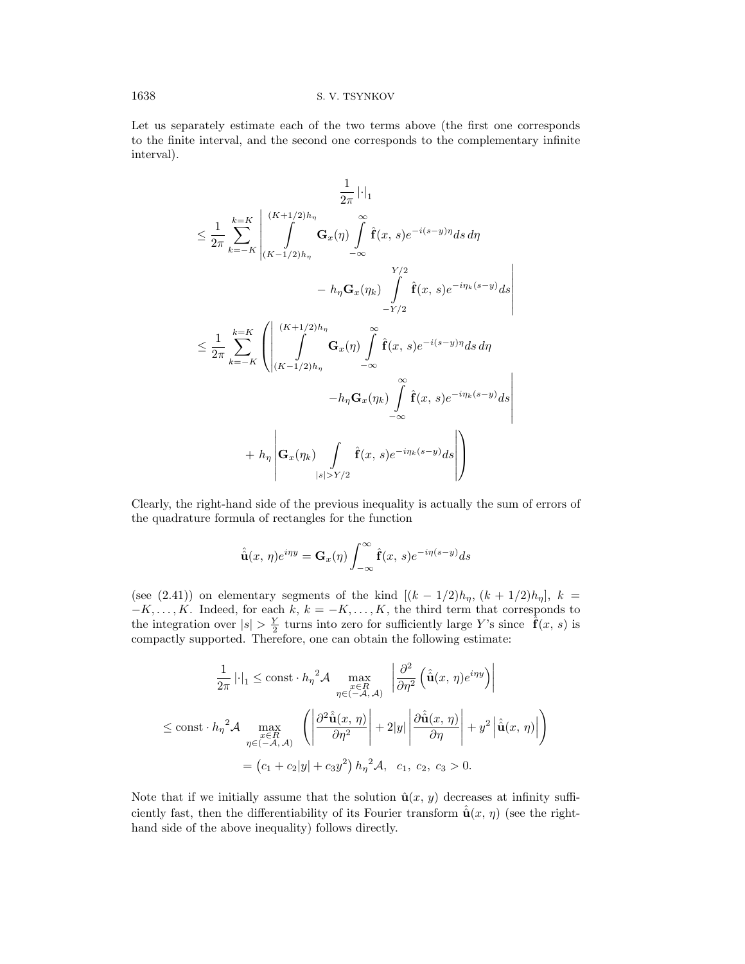## 1638 S. V. TSYNKOV

Let us separately estimate each of the two terms above (the first one corresponds to the finite interval, and the second one corresponds to the complementary infinite interval).

$$
\frac{1}{2\pi} \left| \cdot \right|_1
$$
\n
$$
\leq \frac{1}{2\pi} \sum_{k=-K}^{k=K} \left| \int_{(K-1/2)h_{\eta}}^{(K+1/2)h_{\eta}} \mathbf{G}_x(\eta) \int_{-\infty}^{\infty} \hat{\mathbf{f}}(x, s) e^{-i(s-y)\eta} ds d\eta \right|
$$
\n
$$
= h_{\eta} \mathbf{G}_x(\eta_k) \int_{-Y/2}^{Y/2} \hat{\mathbf{f}}(x, s) e^{-i\eta_k(s-y)} ds \right|
$$
\n
$$
\leq \frac{1}{2\pi} \sum_{k=-K}^{k=K} \left( \left| \int_{(K-1/2)h_{\eta}}^{(K+1/2)h_{\eta}} \mathbf{G}_x(\eta) \int_{-\infty}^{\infty} \hat{\mathbf{f}}(x, s) e^{-i(s-y)\eta} ds d\eta \right|
$$
\n
$$
-h_{\eta} \mathbf{G}_x(\eta_k) \int_{-\infty}^{\infty} \hat{\mathbf{f}}(x, s) e^{-i\eta_k(s-y)} ds \right|
$$
\n
$$
+ h_{\eta} \left| \mathbf{G}_x(\eta_k) \int_{|s| > Y/2} \hat{\mathbf{f}}(x, s) e^{-i\eta_k(s-y)} ds \right|
$$

Clearly, the right-hand side of the previous inequality is actually the sum of errors of the quadrature formula of rectangles for the function

$$
\hat{\hat{\mathbf{u}}}(x,\,\eta)e^{i\eta y} = \mathbf{G}_x(\eta) \int_{-\infty}^{\infty} \hat{\mathbf{f}}(x,\,s)e^{-i\eta(s-y)}ds
$$

(see (2.41)) on elementary segments of the kind  $[(k-1/2)h_{\eta}, (k+1/2)h_{\eta}], k =$  $-K, \ldots, K$ . Indeed, for each  $k, k = -K, \ldots, K$ , the third term that corresponds to the integration over  $|s| > \frac{Y}{2}$  turns into zero for sufficiently large Y's since  $\hat{f}(x, s)$  is compactly supported. Therefore, one can obtain the following estimate:

$$
\frac{1}{2\pi} \left| \cdot \right|_1 \le \text{const} \cdot h_{\eta}^2 \mathcal{A} \max_{\substack{x \in R \\ \eta \in (-\mathcal{A}, \mathcal{A})}} \left| \frac{\partial^2}{\partial \eta^2} \left( \hat{\mathbf{u}}(x, \eta) e^{i\eta y} \right) \right|
$$
  

$$
\le \text{const} \cdot h_{\eta}^2 \mathcal{A} \max_{\substack{x \in R \\ \eta \in (-\mathcal{A}, \mathcal{A})}} \left( \left| \frac{\partial^2 \hat{\mathbf{u}}(x, \eta)}{\partial \eta^2} \right| + 2|y| \left| \frac{\partial \hat{\mathbf{u}}(x, \eta)}{\partial \eta} \right| + y^2 \left| \hat{\mathbf{u}}(x, \eta) \right| \right)
$$
  

$$
= (c_1 + c_2 |y| + c_3 y^2) h_{\eta}^2 \mathcal{A}, \quad c_1, \ c_2, \ c_3 > 0.
$$

Note that if we initially assume that the solution  $\hat{\mathbf{u}}(x, y)$  decreases at infinity sufficiently fast, then the differentiability of its Fourier transform  $\hat{\mathbf{u}}(x, \eta)$  (see the righthand side of the above inequality) follows directly.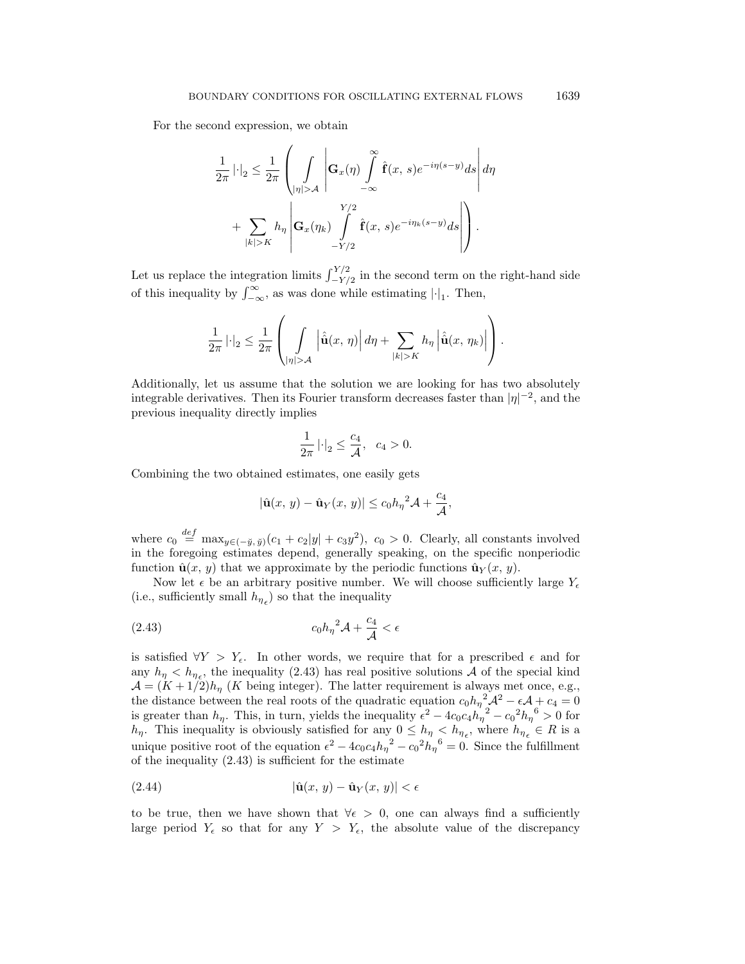For the second expression, we obtain

$$
\frac{1}{2\pi} \left| \cdot \right|_2 \leq \frac{1}{2\pi} \left( \int\limits_{|\eta| > A} \left| \mathbf{G}_x(\eta) \int\limits_{-\infty}^{\infty} \hat{\mathbf{f}}(x, s) e^{-i\eta(s-y)} ds \right| d\eta
$$

$$
+ \sum_{|k| > K} h_{\eta} \left| \mathbf{G}_x(\eta_k) \int\limits_{-Y/2}^{Y/2} \hat{\mathbf{f}}(x, s) e^{-i\eta_k(s-y)} ds \right| \right).
$$

Let us replace the integration limits  $\int_{-Y/2}^{Y/2}$  in the second term on the right-hand side of this inequality by  $\int_{-\infty}^{\infty}$ , as was done while estimating  $\lvert \cdot \rvert_1$ . Then,

$$
\frac{1}{2\pi} \left| \cdot \right|_2 \leq \frac{1}{2\pi} \left( \int\limits_{|\eta| > A} \left| \hat{\mathbf{u}}(x, \eta) \right| d\eta + \sum\limits_{|k| > K} h_{\eta} \left| \hat{\mathbf{u}}(x, \eta_k) \right| \right).
$$

Additionally, let us assume that the solution we are looking for has two absolutely integrable derivatives. Then its Fourier transform decreases faster than  $|\eta|^{-2}$ , and the previous inequality directly implies

$$
\frac{1}{2\pi} \left| \cdot \right|_2 \le \frac{c_4}{\mathcal{A}}, \ \ c_4 > 0.
$$

Combining the two obtained estimates, one easily gets

$$
|\hat{\mathbf{u}}(x, y) - \hat{\mathbf{u}}_Y(x, y)| \le c_0 h_\eta^2 \mathcal{A} + \frac{c_4}{\mathcal{A}},
$$

where  $c_0 \stackrel{def}{=} \max_{y \in (-\check{y}, \check{y})} (c_1 + c_2|y| + c_3y^2), c_0 > 0$ . Clearly, all constants involved in the foregoing estimates depend, generally speaking, on the specific nonperiodic function  $\hat{\mathbf{u}}(x, y)$  that we approximate by the periodic functions  $\hat{\mathbf{u}}_Y(x, y)$ .

Now let  $\epsilon$  be an arbitrary positive number. We will choose sufficiently large  $Y_{\epsilon}$ (i.e., sufficiently small  $h_{\eta_{\epsilon}}$ ) so that the inequality

$$
(2.43)\t\t\t c_0h_\eta^2\mathcal{A} + \frac{c_4}{\mathcal{A}} < \epsilon
$$

is satisfied  $\forall Y > Y_{\epsilon}$ . In other words, we require that for a prescribed  $\epsilon$  and for any  $h_{\eta} < h_{\eta_{\epsilon}}$ , the inequality (2.43) has real positive solutions A of the special kind  $\mathcal{A} = (K + 1/2)h_{\eta}$  (K being integer). The latter requirement is always met once, e.g., the distance between the real roots of the quadratic equation  $c_0h_\eta^2 A^2 - \epsilon A + c_4 = 0$ is greater than  $h_{\eta}$ . This, in turn, yields the inequality  $\epsilon^2 - 4c_0c_4h_{\eta}^2 - c_0^2h_{\eta}^6 > 0$  for  $h_{\eta}$ . This inequality is obviously satisfied for any  $0 \le h_{\eta} \le h_{\eta_{\epsilon}}$ , where  $h_{\eta_{\epsilon}} \in R$  is a unique positive root of the equation  $\epsilon^2 - 4c_0c_4h_\eta^2 - c_0^2h_\eta^6 = 0$ . Since the fulfillment of the inequality (2.43) is sufficient for the estimate

$$
(2.44) \qquad |\hat{\mathbf{u}}(x, y) - \hat{\mathbf{u}}_Y(x, y)| < \epsilon
$$

to be true, then we have shown that  $\forall \epsilon > 0$ , one can always find a sufficiently large period  $Y_{\epsilon}$  so that for any  $Y > Y_{\epsilon}$ , the absolute value of the discrepancy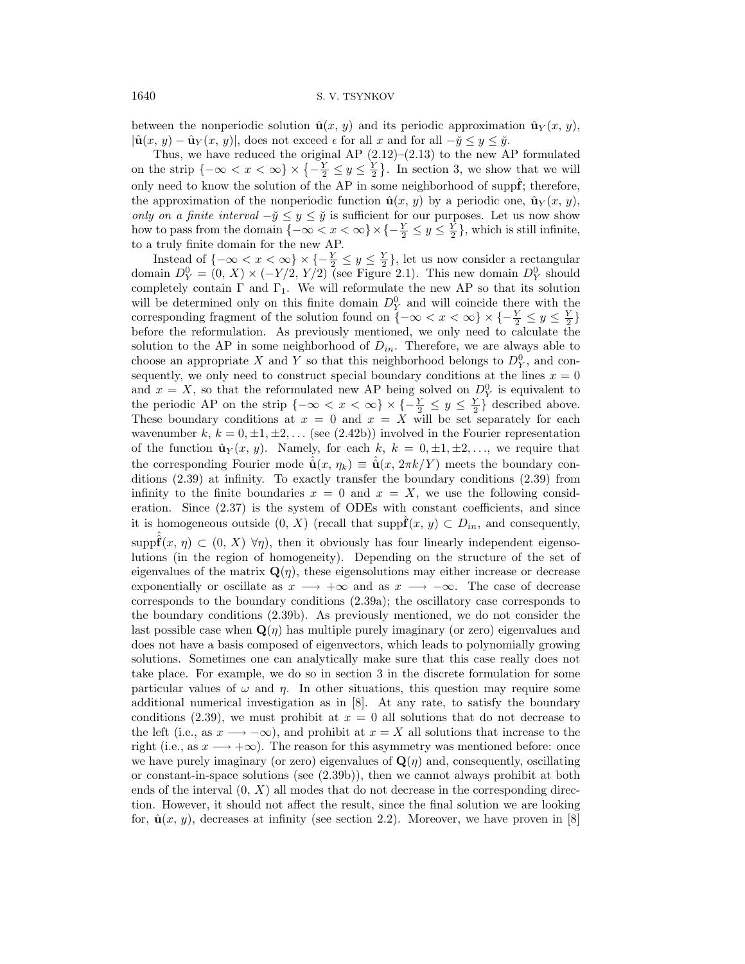between the nonperiodic solution  $\hat{\mathbf{u}}(x, y)$  and its periodic approximation  $\hat{\mathbf{u}}_Y(x, y)$ ,  $|\hat{\mathbf{u}}(x, y) - \hat{\mathbf{u}}(x, y)|$ , does not exceed  $\epsilon$  for all x and for all  $-\check{y} \le y \le \check{y}$ .

Thus, we have reduced the original AP  $(2.12)$ – $(2.13)$  to the new AP formulated on the strip  $\{-\infty < x < \infty\} \times \{-\frac{Y}{2} \leq y \leq \frac{Y}{2}\}$ . In section 3, we show that we will only need to know the solution of the AP in some neighborhood of supp $\hat{\mathbf{f}}$ ; therefore, the approximation of the nonperiodic function  $\hat{\mathbf{u}}(x, y)$  by a periodic one,  $\hat{\mathbf{u}}_Y(x, y)$ , only on a finite interval  $-\check{y} \leq y \leq \check{y}$  is sufficient for our purposes. Let us now show how to pass from the domain  ${-\infty < x < \infty} \times {-\frac{Y}{2}} \leq y \leq \frac{Y}{2}$ , which is still infinite, to a truly finite domain for the new AP.

Instead of  ${-\infty < x < \infty} \times {\frac{-Y}{2}} \leq y \leq \frac{Y}{2}$ , let us now consider a rectangular domain  $D_Y^0 = (0, X) \times (-Y/2, Y/2)$  (see Figure 2.1). This new domain  $D_Y^0$  should completely contain  $\Gamma$  and  $\Gamma_1$ . We will reformulate the new AP so that its solution will be determined only on this finite domain  $D_Y^0$  and will coincide there with the corresponding fragment of the solution found on  $\{-\infty < x < \infty\} \times \{-\frac{Y}{2} \leq y \leq \frac{Y}{2}\}$ before the reformulation. As previously mentioned, we only need to calculate the solution to the AP in some neighborhood of  $D_{in}$ . Therefore, we are always able to choose an appropriate X and Y so that this neighborhood belongs to  $D_Y^0$ , and consequently, we only need to construct special boundary conditions at the lines  $x = 0$ and  $x = X$ , so that the reformulated new AP being solved on  $D_Y^0$  is equivalent to the periodic AP on the strip  $\{-\infty < x < \infty\} \times \{-\frac{Y}{2} \leq y \leq \frac{Y}{2}\}\)$  described above. These boundary conditions at  $x = 0$  and  $x = X$  will be set separately for each wavenumber k,  $k = 0, \pm 1, \pm 2, \ldots$  (see (2.42b)) involved in the Fourier representation of the function  $\hat{\mathbf{u}}_Y(x, y)$ . Namely, for each k,  $k = 0, \pm 1, \pm 2,...$ , we require that the corresponding Fourier mode  $\hat{\mathbf{u}}(x, \eta_k) \equiv \hat{\mathbf{u}}(x, 2\pi k/Y)$  meets the boundary conditions (2.39) at infinity. To exactly transfer the boundary conditions (2.39) from infinity to the finite boundaries  $x = 0$  and  $x = X$ , we use the following consideration. Since (2.37) is the system of ODEs with constant coefficients, and since it is homogeneous outside  $(0, X)$  (recall that supp $\mathbf{f}(x, y) \subset D_{in}$ , and consequently, supp $\mathbf{f}(x, \eta) \subset (0, X)$   $\forall \eta$ , then it obviously has four linearly independent eigensolutions (in the region of homogeneity). Depending on the structure of the set of eigenvalues of the matrix  $\mathbf{Q}(\eta)$ , these eigensolutions may either increase or decrease exponentially or oscillate as  $x \rightarrow +\infty$  and as  $x \rightarrow -\infty$ . The case of decrease corresponds to the boundary conditions (2.39a); the oscillatory case corresponds to the boundary conditions (2.39b). As previously mentioned, we do not consider the last possible case when  $\mathbf{Q}(\eta)$  has multiple purely imaginary (or zero) eigenvalues and does not have a basis composed of eigenvectors, which leads to polynomially growing solutions. Sometimes one can analytically make sure that this case really does not take place. For example, we do so in section 3 in the discrete formulation for some particular values of  $\omega$  and  $\eta$ . In other situations, this question may require some additional numerical investigation as in [8]. At any rate, to satisfy the boundary conditions (2.39), we must prohibit at  $x = 0$  all solutions that do not decrease to the left (i.e., as  $x \rightarrow -\infty$ ), and prohibit at  $x = X$  all solutions that increase to the right (i.e., as  $x \longrightarrow +\infty$ ). The reason for this asymmetry was mentioned before: once we have purely imaginary (or zero) eigenvalues of  $\mathbf{Q}(\eta)$  and, consequently, oscillating or constant-in-space solutions (see (2.39b)), then we cannot always prohibit at both ends of the interval  $(0, X)$  all modes that do not decrease in the corresponding direction. However, it should not affect the result, since the final solution we are looking for,  $\hat{\mathbf{u}}(x, y)$ , decreases at infinity (see section 2.2). Moreover, we have proven in [8]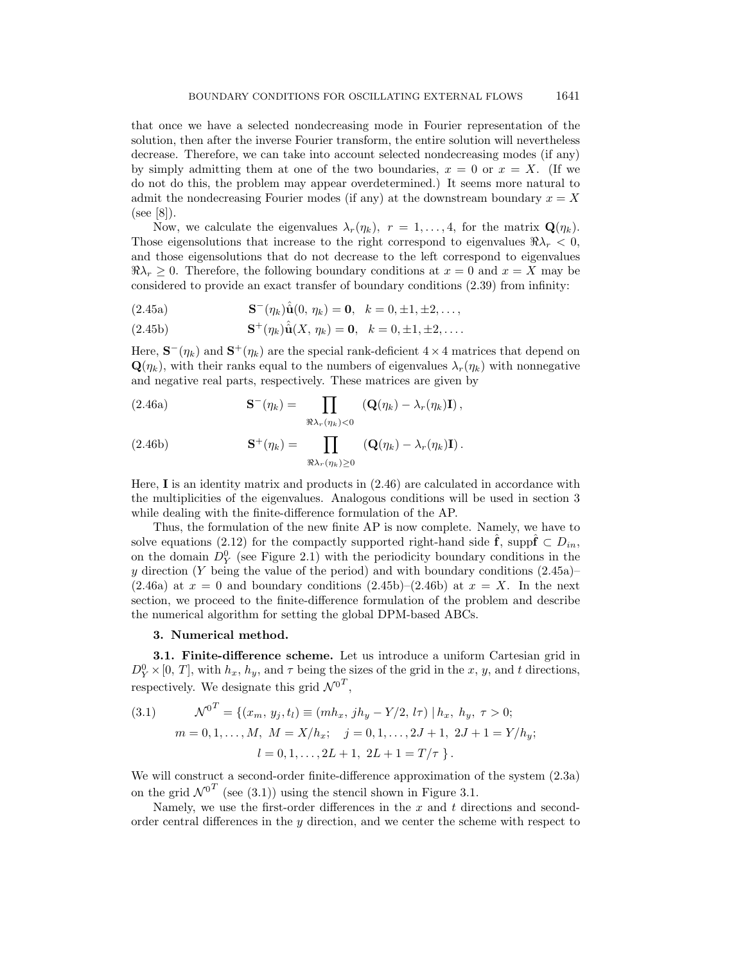that once we have a selected nondecreasing mode in Fourier representation of the solution, then after the inverse Fourier transform, the entire solution will nevertheless decrease. Therefore, we can take into account selected nondecreasing modes (if any) by simply admitting them at one of the two boundaries,  $x = 0$  or  $x = X$ . (If we do not do this, the problem may appear overdetermined.) It seems more natural to admit the nondecreasing Fourier modes (if any) at the downstream boundary  $x = X$ (see [8]).

Now, we calculate the eigenvalues  $\lambda_r(\eta_k)$ ,  $r = 1, \ldots, 4$ , for the matrix  $\mathbf{Q}(\eta_k)$ . Those eigensolutions that increase to the right correspond to eigenvalues  $\Re \lambda_r < 0$ , and those eigensolutions that do not decrease to the left correspond to eigenvalues  $\Re \lambda_r \geq 0$ . Therefore, the following boundary conditions at  $x = 0$  and  $x = X$  may be considered to provide an exact transfer of boundary conditions (2.39) from infinity:

- (2.45a) **S**<sup>−</sup>( $\eta_k$ ) $\hat{\mathbf{u}}(0, \eta_k) = \mathbf{0}, \quad k = 0, \pm 1, \pm 2, \ldots,$
- (2.45b) **S**<sup>+</sup>( $\eta_k$ ) $\hat{\mathbf{u}}(X, \eta_k) = \mathbf{0}, \quad k = 0, \pm 1, \pm 2, \ldots$

Here,  $\mathbf{S}^{-}(\eta_k)$  and  $\mathbf{S}^{+}(\eta_k)$  are the special rank-deficient 4 × 4 matrices that depend on  $\mathbf{Q}(\eta_k)$ , with their ranks equal to the numbers of eigenvalues  $\lambda_r(\eta_k)$  with nonnegative and negative real parts, respectively. These matrices are given by

(2.46a) 
$$
\mathbf{S}^{-}(\eta_k) = \prod_{\Re \lambda_r(\eta_k) < 0} (\mathbf{Q}(\eta_k) - \lambda_r(\eta_k) \mathbf{I}),
$$

(2.46b) 
$$
\mathbf{S}^+(\eta_k) = \prod_{\Re\lambda_r(\eta_k)\geq 0} (\mathbf{Q}(\eta_k) - \lambda_r(\eta_k)\mathbf{I}).
$$

Here, **I** is an identity matrix and products in (2.46) are calculated in accordance with the multiplicities of the eigenvalues. Analogous conditions will be used in section 3 while dealing with the finite-difference formulation of the AP.

Thus, the formulation of the new finite AP is now complete. Namely, we have to solve equations (2.12) for the compactly supported right-hand side  $\hat{\mathbf{f}}$ , supp $\hat{\mathbf{f}} \subset D_{in}$ , on the domain  $D_Y^0$  (see Figure 2.1) with the periodicity boundary conditions in the y direction (Y being the value of the period) and with boundary conditions  $(2.45a)$  $(2.46a)$  at  $x = 0$  and boundary conditions  $(2.45b)$ – $(2.46b)$  at  $x = X$ . In the next section, we proceed to the finite-difference formulation of the problem and describe the numerical algorithm for setting the global DPM-based ABCs.

### **3. Numerical method.**

**3.1. Finite-difference scheme.** Let us introduce a uniform Cartesian grid in  $D_Y^0 \times [0, T]$ , with  $h_x$ ,  $h_y$ , and  $\tau$  being the sizes of the grid in the x, y, and t directions, respectively. We designate this grid  $\mathcal{N}^{0T}$ ,

(3.1) 
$$
\mathcal{N}^{0T} = \{ (x_m, y_j, t_l) \equiv (mh_x, jh_y - Y/2, l\tau) | h_x, h_y, \tau > 0; m = 0, 1, ..., M, M = X/h_x; \quad j = 0, 1, ..., 2J + 1, 2J + 1 = Y/h_y; l = 0, 1, ..., 2L + 1, 2L + 1 = T/\tau \}.
$$

We will construct a second-order finite-difference approximation of the system (2.3a) on the grid  $\mathcal{N}^{0^T}$  (see (3.1)) using the stencil shown in Figure 3.1.

Namely, we use the first-order differences in the  $x$  and  $t$  directions and secondorder central differences in the y direction, and we center the scheme with respect to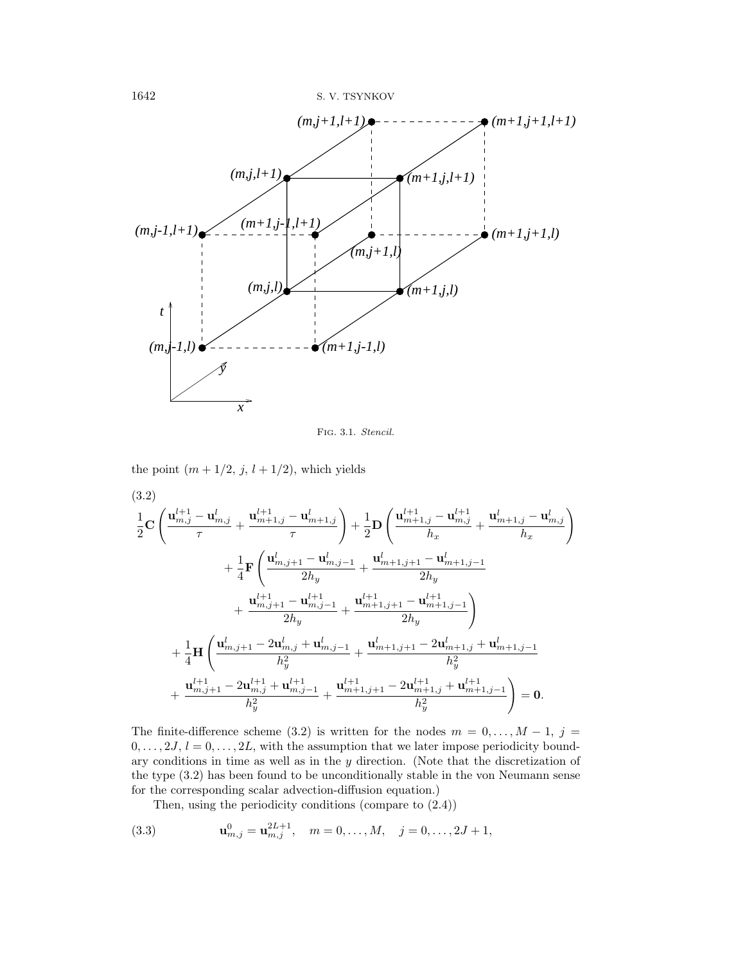

FIG. 3.1. Stencil.

the point  $(m + 1/2, j, l + 1/2)$ , which yields

$$
(3.2)
$$
\n
$$
\frac{1}{2}\mathbf{C}\left(\frac{\mathbf{u}_{m,j}^{l+1} - \mathbf{u}_{m,j}^{l}}{\tau} + \frac{\mathbf{u}_{m+1,j}^{l+1} - \mathbf{u}_{m+1,j}^{l}}{\tau}\right) + \frac{1}{2}\mathbf{D}\left(\frac{\mathbf{u}_{m+1,j}^{l+1} - \mathbf{u}_{m,j}^{l+1}}{h_x} + \frac{\mathbf{u}_{m+1,j}^{l} - \mathbf{u}_{m,j}^{l}}{h_x}\right) \\
+ \frac{1}{4}\mathbf{F}\left(\frac{\mathbf{u}_{m,j+1}^{l} - \mathbf{u}_{m,j-1}^{l}}{2h_y} + \frac{\mathbf{u}_{m+1,j+1}^{l} - \mathbf{u}_{m+1,j-1}^{l}}{2h_y}\right) \\
+ \frac{\mathbf{u}_{m,j+1}^{l+1} - \mathbf{u}_{m,j-1}^{l+1}}{2h_y} + \frac{\mathbf{u}_{m+1,j+1}^{l+1} - \mathbf{u}_{m+1,j-1}^{l+1}}{2h_y}\right) \\
+ \frac{1}{4}\mathbf{H}\left(\frac{\mathbf{u}_{m,j+1}^{l} - 2\mathbf{u}_{m,j}^{l} + \mathbf{u}_{m,j-1}^{l}}{h_y^2} + \frac{\mathbf{u}_{m+1,j+1}^{l} - 2\mathbf{u}_{m+1,j}^{l} + \mathbf{u}_{m+1,j-1}^{l}}{h_y^2}\right) \\
+ \frac{\mathbf{u}_{m,j+1}^{l+1} - 2\mathbf{u}_{m,j}^{l+1} + \mathbf{u}_{m,j-1}^{l+1}}{h_y^2} + \frac{\mathbf{u}_{m+1,j+1}^{l+1} - 2\mathbf{u}_{m+1,j}^{l+1} + \mathbf{u}_{m+1,j-1}^{l}}{h_y^2}\right) = \mathbf{0}.
$$

The finite-difference scheme (3.2) is written for the nodes  $m = 0, \ldots, M - 1, j =$  $0, \ldots, 2J, l = 0, \ldots, 2L$ , with the assumption that we later impose periodicity boundary conditions in time as well as in the  $y$  direction. (Note that the discretization of the type (3.2) has been found to be unconditionally stable in the von Neumann sense for the corresponding scalar advection-diffusion equation.)

Then, using the periodicity conditions (compare to (2.4))

(3.3) 
$$
\mathbf{u}_{m,j}^0 = \mathbf{u}_{m,j}^{2L+1}, \quad m = 0, \dots, M, \quad j = 0, \dots, 2J+1,
$$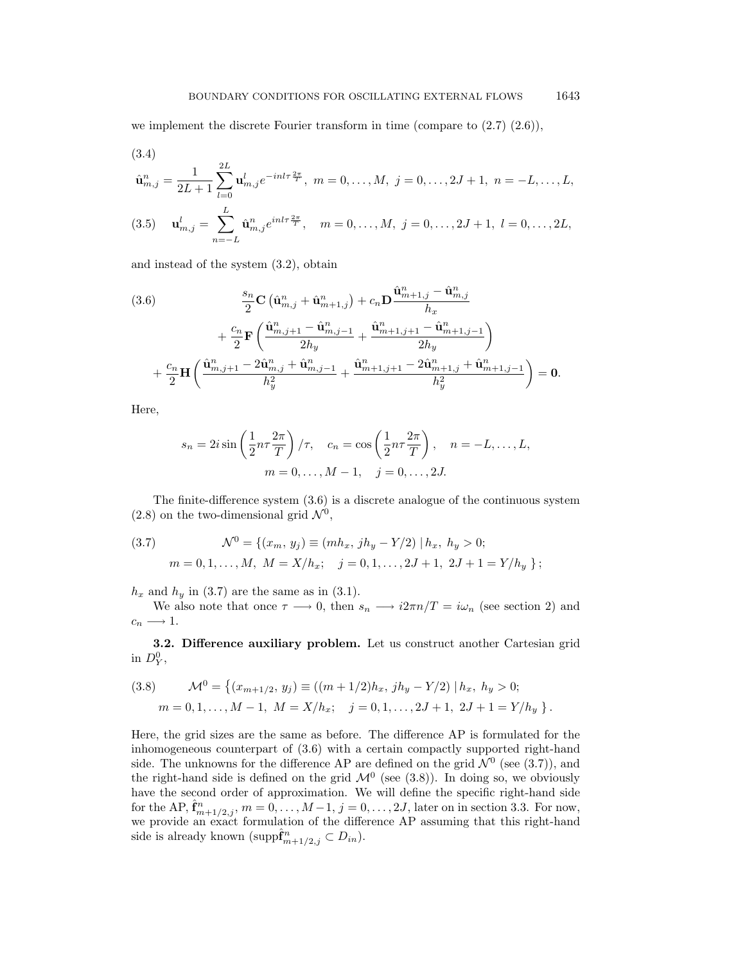we implement the discrete Fourier transform in time (compare to (2.7) (2.6)),

(3.4)  
\n
$$
\hat{\mathbf{u}}_{m,j}^{n} = \frac{1}{2L+1} \sum_{l=0}^{2L} \mathbf{u}_{m,j}^{l} e^{-inl\tau \frac{2\pi}{T}}, \ m = 0, \dots, M, \ j = 0, \dots, 2J+1, \ n = -L, \dots, L,
$$
\n(3.5)  
\n
$$
\mathbf{u}_{m,j}^{l} = \sum_{n=-L}^{L} \hat{\mathbf{u}}_{m,j}^{n} e^{inl\tau \frac{2\pi}{T}}, \ m = 0, \dots, M, \ j = 0, \dots, 2J+1, \ l = 0, \dots, 2L,
$$

and instead of the system (3.2), obtain

(3.6) 
$$
\frac{s_n}{2} \mathbf{C} \left( \hat{\mathbf{u}}_{m,j}^n + \hat{\mathbf{u}}_{m+1,j}^n \right) + c_n \mathbf{D} \frac{\hat{\mathbf{u}}_{m+1,j}^n - \hat{\mathbf{u}}_{m,j}^n}{h_x} + \frac{c_n}{2} \mathbf{F} \left( \frac{\hat{\mathbf{u}}_{m,j+1}^n - \hat{\mathbf{u}}_{m,j-1}^n}{2h_y} + \frac{\hat{\mathbf{u}}_{m+1,j+1}^n - \hat{\mathbf{u}}_{m+1,j-1}^n}{2h_y} \right) + \frac{c_n}{2} \mathbf{H} \left( \frac{\hat{\mathbf{u}}_{m,j+1}^n - 2\hat{\mathbf{u}}_{m,j}^n + \hat{\mathbf{u}}_{m,j-1}^n}{h_y^2} + \frac{\hat{\mathbf{u}}_{m+1,j+1}^n - 2\hat{\mathbf{u}}_{m+1,j}^n + \hat{\mathbf{u}}_{m+1,j-1}^n}{h_y^2} \right) = \mathbf{0}.
$$

Here,

$$
s_n = 2i \sin\left(\frac{1}{2}n\tau \frac{2\pi}{T}\right)/\tau, \quad c_n = \cos\left(\frac{1}{2}n\tau \frac{2\pi}{T}\right), \quad n = -L, \dots, L,
$$

$$
m = 0, \dots, M - 1, \quad j = 0, \dots, 2J.
$$

The finite-difference system (3.6) is a discrete analogue of the continuous system  $(2.8)$  on the two-dimensional grid  $\mathcal{N}^0$ ,

(3.7) 
$$
\mathcal{N}^0 = \{(x_m, y_j) \equiv (mh_x, jh_y - Y/2) | h_x, h_y > 0; m = 0, 1, ..., M, M = X/h_x; j = 0, 1, ..., 2J + 1, 2J + 1 = Y/h_y \};
$$

 $h_x$  and  $h_y$  in (3.7) are the same as in (3.1).

We also note that once  $\tau \longrightarrow 0$ , then  $s_n \longrightarrow i2\pi n/T = i\omega_n$  (see section 2) and  $c_n \longrightarrow 1$ .

**3.2. Difference auxiliary problem.** Let us construct another Cartesian grid in  $D_Y^0$ ,

(3.8) 
$$
\mathcal{M}^0 = \left\{ (x_{m+1/2}, y_j) \equiv \left( (m+1/2)h_x, jh_y - Y/2 \right) | h_x, h_y > 0; \right\}
$$

$$
m = 0, 1, \dots, M-1, M = X/h_x; \quad j = 0, 1, \dots, 2J+1, 2J+1 = Y/h_y \right\}.
$$

Here, the grid sizes are the same as before. The difference AP is formulated for the inhomogeneous counterpart of (3.6) with a certain compactly supported right-hand side. The unknowns for the difference AP are defined on the grid  $\mathcal{N}^0$  (see (3.7)), and the right-hand side is defined on the grid  $\mathcal{M}^0$  (see (3.8)). In doing so, we obviously have the second order of approximation. We will define the specific right-hand side for the AP,  $\hat{\mathbf{f}}_{m+1/2,j}^n$ ,  $m = 0, \ldots, M-1, j = 0, \ldots, 2J$ , later on in section 3.3. For now, we provide an exact formulation of the difference AP assuming that this right-hand side is already known (supp $\hat{\mathbf{f}}_{m+1/2,j}^n \subset D_{in}$ ).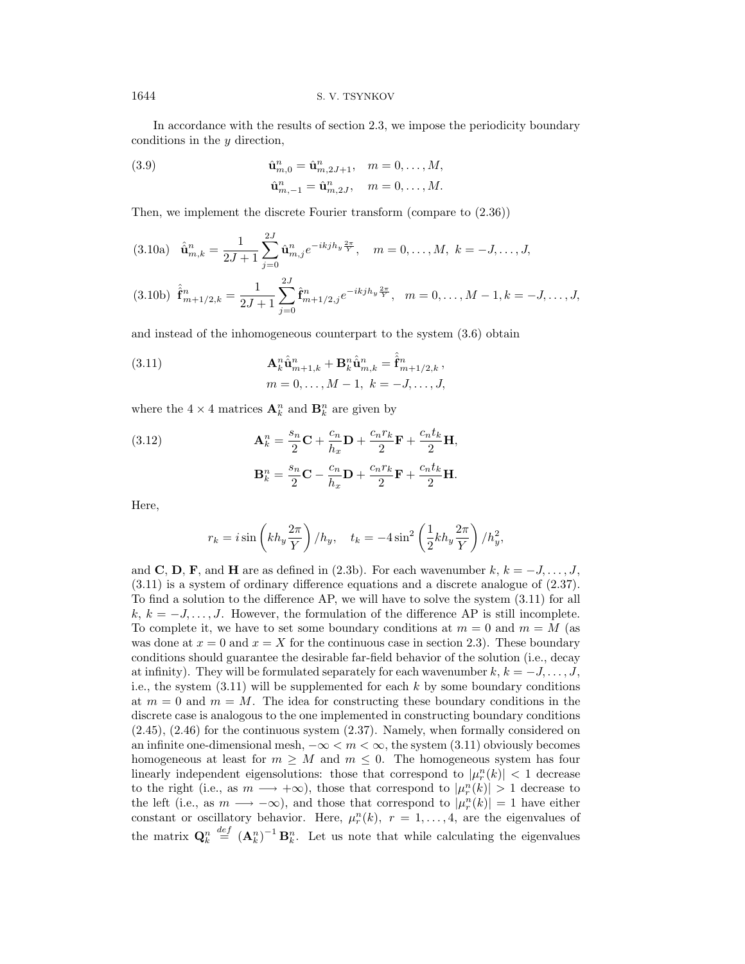In accordance with the results of section 2.3, we impose the periodicity boundary conditions in the y direction,

(3.9) 
$$
\hat{\mathbf{u}}_{m,0}^{n} = \hat{\mathbf{u}}_{m,2J+1}^{n}, \quad m = 0, ..., M,
$$

$$
\hat{\mathbf{u}}_{m,-1}^{n} = \hat{\mathbf{u}}_{m,2J}^{n}, \quad m = 0, ..., M.
$$

Then, we implement the discrete Fourier transform (compare to (2.36))

$$
(3.10a) \quad \hat{\mathbf{u}}_{m,k}^{n} = \frac{1}{2J+1} \sum_{j=0}^{2J} \hat{\mathbf{u}}_{m,j}^{n} e^{-ikj h_y \frac{2\pi}{Y}}, \quad m = 0, \dots, M, \ k = -J, \dots, J,
$$

$$
(3.10b)\ \hat{\hat{\mathbf{f}}}_{m+1/2,k}^{n} = \frac{1}{2J+1} \sum_{j=0}^{2J} \hat{\mathbf{f}}_{m+1/2,j}^{n} e^{-ikjh_y \frac{2\pi}{Y}}, \quad m = 0, \dots, M-1, k = -J, \dots, J,
$$

and instead of the inhomogeneous counterpart to the system (3.6) obtain

(3.11) 
$$
\mathbf{A}_{k}^{n} \hat{\mathbf{u}}_{m+1,k}^{n} + \mathbf{B}_{k}^{n} \hat{\mathbf{u}}_{m,k}^{n} = \hat{\mathbf{f}}_{m+1/2,k}^{n}, \nm = 0, ..., M - 1, k = -J, ..., J,
$$

where the  $4 \times 4$  matrices  $\mathbf{A}_k^n$  and  $\mathbf{B}_k^n$  are given by

(3.12) 
$$
\mathbf{A}_{k}^{n} = \frac{s_{n}}{2}\mathbf{C} + \frac{c_{n}}{h_{x}}\mathbf{D} + \frac{c_{n}r_{k}}{2}\mathbf{F} + \frac{c_{n}t_{k}}{2}\mathbf{H},
$$

$$
\mathbf{B}_{k}^{n} = \frac{s_{n}}{2}\mathbf{C} - \frac{c_{n}}{h_{x}}\mathbf{D} + \frac{c_{n}r_{k}}{2}\mathbf{F} + \frac{c_{n}t_{k}}{2}\mathbf{H}.
$$

Here,

$$
r_k = i \sin\left(kh_y \frac{2\pi}{Y}\right) / h_y, \quad t_k = -4 \sin^2\left(\frac{1}{2}kh_y \frac{2\pi}{Y}\right) / h_y^2,
$$

and **C**, **D**, **F**, and **H** are as defined in (2.3b). For each wavenumber k,  $k = -J, \ldots, J$ , (3.11) is a system of ordinary difference equations and a discrete analogue of (2.37). To find a solution to the difference AP, we will have to solve the system (3.11) for all  $k, k = -J, \ldots, J$ . However, the formulation of the difference AP is still incomplete. To complete it, we have to set some boundary conditions at  $m = 0$  and  $m = M$  (as was done at  $x = 0$  and  $x = X$  for the continuous case in section 2.3). These boundary conditions should guarantee the desirable far-field behavior of the solution (i.e., decay at infinity). They will be formulated separately for each wavenumber  $k, k = -J, \ldots, J$ , i.e., the system  $(3.11)$  will be supplemented for each k by some boundary conditions at  $m = 0$  and  $m = M$ . The idea for constructing these boundary conditions in the discrete case is analogous to the one implemented in constructing boundary conditions (2.45), (2.46) for the continuous system (2.37). Namely, when formally considered on an infinite one-dimensional mesh,  $-\infty < m < \infty$ , the system (3.11) obviously becomes homogeneous at least for  $m \geq M$  and  $m \leq 0$ . The homogeneous system has four linearly independent eigensolutions: those that correspond to  $|\mu_r^n(k)| < 1$  decrease to the right (i.e., as  $m \longrightarrow +\infty$ ), those that correspond to  $|\mu_r^n(k)| > 1$  decrease to the left (i.e., as  $m \longrightarrow -\infty$ ), and those that correspond to  $|\mu_r^n(k)| = 1$  have either constant or oscillatory behavior. Here,  $\mu_r^n(k)$ ,  $r = 1, \ldots, 4$ , are the eigenvalues of the matrix  $\mathbf{Q}_k^n \stackrel{def}{=} (\mathbf{A}_k^n)^{-1} \mathbf{B}_k^n$ . Let us note that while calculating the eigenvalues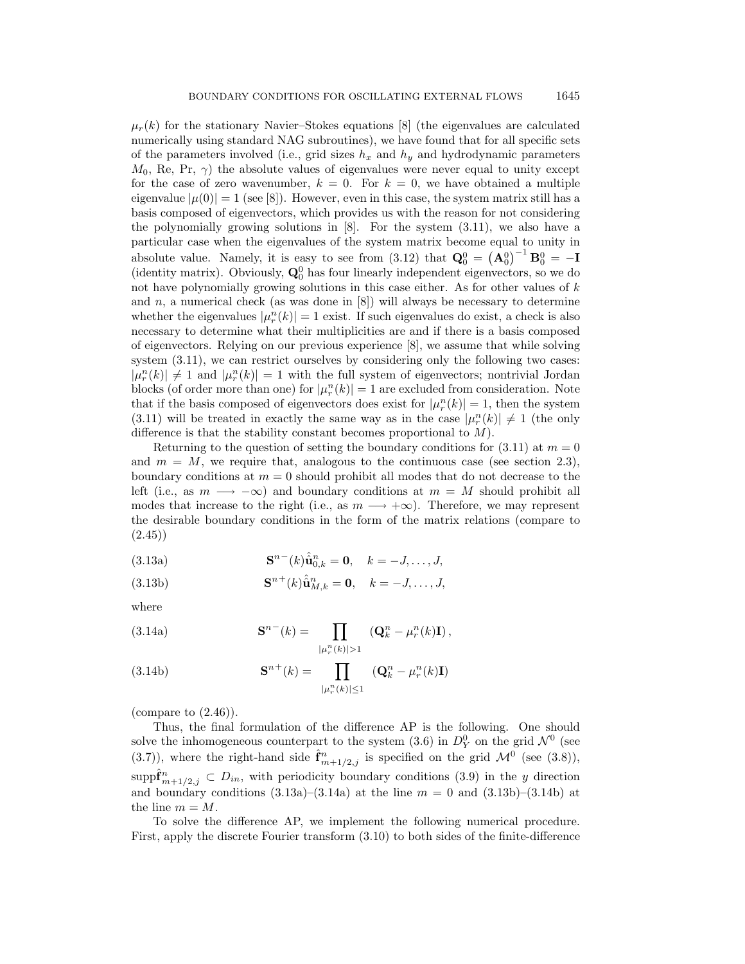$\mu_r(k)$  for the stationary Navier–Stokes equations [8] (the eigenvalues are calculated numerically using standard NAG subroutines), we have found that for all specific sets of the parameters involved (i.e., grid sizes  $h_x$  and  $h_y$  and hydrodynamic parameters  $M_0$ , Re, Pr,  $\gamma$ ) the absolute values of eigenvalues were never equal to unity except for the case of zero wavenumber,  $k = 0$ . For  $k = 0$ , we have obtained a multiple eigenvalue  $|\mu(0)| = 1$  (see [8]). However, even in this case, the system matrix still has a basis composed of eigenvectors, which provides us with the reason for not considering the polynomially growing solutions in  $[8]$ . For the system  $(3.11)$ , we also have a particular case when the eigenvalues of the system matrix become equal to unity in absolute value. Namely, it is easy to see from  $(3.12)$  that  $\mathbf{Q}_0^0 = (\mathbf{A}_0^0)^{-1} \mathbf{B}_0^0 = -\mathbf{I}$ (identity matrix). Obviously,  $\mathbf{Q}_0^0$  has four linearly independent eigenvectors, so we do not have polynomially growing solutions in this case either. As for other values of k and  $n$ , a numerical check (as was done in  $[8]$ ) will always be necessary to determine whether the eigenvalues  $|\mu_r^n(k)| = 1$  exist. If such eigenvalues do exist, a check is also necessary to determine what their multiplicities are and if there is a basis composed of eigenvectors. Relying on our previous experience [8], we assume that while solving system  $(3.11)$ , we can restrict ourselves by considering only the following two cases:  $|\mu_r^n(k)| \neq 1$  and  $|\mu_r^n(k)| = 1$  with the full system of eigenvectors; nontrivial Jordan blocks (of order more than one) for  $|\mu_r^n(k)| = 1$  are excluded from consideration. Note that if the basis composed of eigenvectors does exist for  $|\mu_r^n(k)| = 1$ , then the system (3.11) will be treated in exactly the same way as in the case  $|\mu_r^n(k)| \neq 1$  (the only difference is that the stability constant becomes proportional to  $M$ ).

Returning to the question of setting the boundary conditions for  $(3.11)$  at  $m = 0$ and  $m = M$ , we require that, analogous to the continuous case (see section 2.3), boundary conditions at  $m = 0$  should prohibit all modes that do not decrease to the left (i.e., as  $m \longrightarrow -\infty$ ) and boundary conditions at  $m = M$  should prohibit all modes that increase to the right (i.e., as  $m \longrightarrow +\infty$ ). Therefore, we may represent the desirable boundary conditions in the form of the matrix relations (compare to  $(2.45)$ 

(3.13a) 
$$
\mathbf{S}^{n-}(k)\hat{\mathbf{u}}_{0,k}^{n} = \mathbf{0}, \quad k = -J, \dots, J,
$$

(3.13b) 
$$
\mathbf{S}^{n+}(k)\hat{\mathbf{u}}_{M,k}^{n} = \mathbf{0}, \quad k = -J, ..., J,
$$

where

(3.14a) 
$$
\mathbf{S}^{n-}(k) = \prod_{|\mu_r^n(k)|>1} (\mathbf{Q}_k^n - \mu_r^n(k)\mathbf{I}),
$$

(3.14b) 
$$
\mathbf{S}^{n+}(k) = \prod_{\substack{\mu_r^n(k) \leq 1}} (\mathbf{Q}_k^n - \mu_r^n(k)\mathbf{I})
$$

(compare to  $(2.46)$ ).

Thus, the final formulation of the difference AP is the following. One should solve the inhomogeneous counterpart to the system  $(3.6)$  in  $D_Y^0$  on the grid  $\mathcal{N}^0$  (see (3.7)), where the right-hand side  $\hat{\mathbf{f}}_{m+1/2,j}^{n}$  is specified on the grid  $\mathcal{M}^0$  (see (3.8)),  $\sup \hat{f}^n_{m+1/2,j} \subset D_{in}$ , with periodicity boundary conditions (3.9) in the y direction and boundary conditions  $(3.13a)$ – $(3.14a)$  at the line  $m = 0$  and  $(3.13b)$ – $(3.14b)$  at the line  $m = M$ .

To solve the difference AP, we implement the following numerical procedure. First, apply the discrete Fourier transform (3.10) to both sides of the finite-difference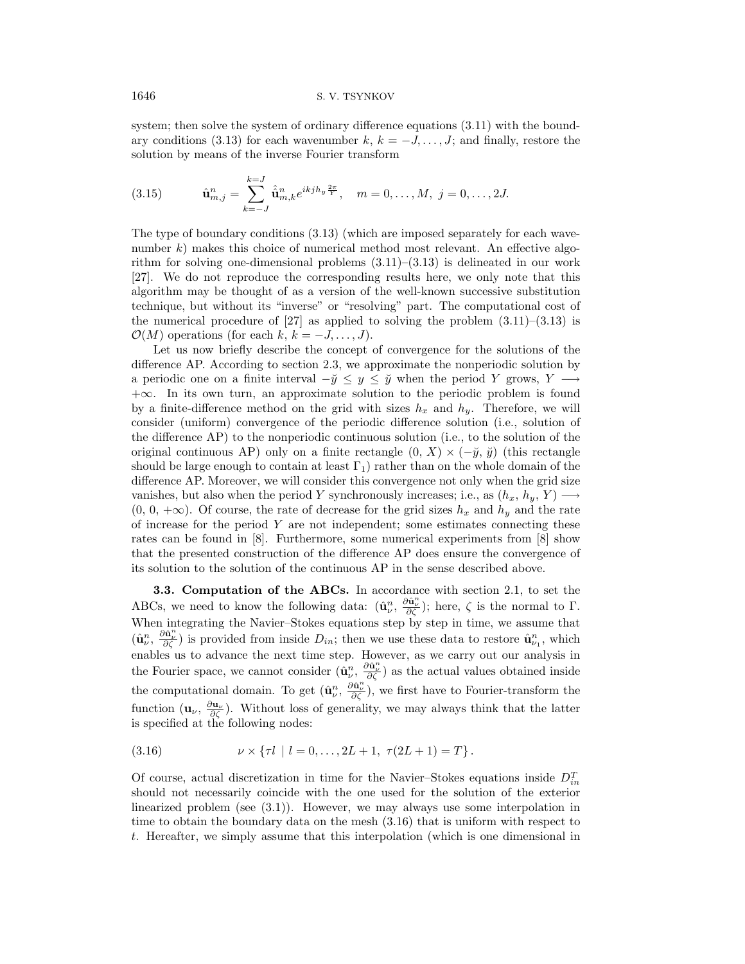system; then solve the system of ordinary difference equations (3.11) with the boundary conditions (3.13) for each wavenumber k,  $k = -J, \ldots, J$ ; and finally, restore the solution by means of the inverse Fourier transform

(3.15) 
$$
\hat{\mathbf{u}}_{m,j}^{n} = \sum_{k=-J}^{k=J} \hat{\mathbf{u}}_{m,k}^{n} e^{ikj h_y \frac{2\pi}{Y}}, \quad m = 0, \dots, M, \ j = 0, \dots, 2J.
$$

The type of boundary conditions (3.13) (which are imposed separately for each wavenumber  $k$ ) makes this choice of numerical method most relevant. An effective algorithm for solving one-dimensional problems  $(3.11)$ – $(3.13)$  is delineated in our work [27]. We do not reproduce the corresponding results here, we only note that this algorithm may be thought of as a version of the well-known successive substitution technique, but without its "inverse" or "resolving" part. The computational cost of the numerical procedure of  $[27]$  as applied to solving the problem  $(3.11)$ – $(3.13)$  is  $\mathcal{O}(M)$  operations (for each k,  $k = -J, \ldots, J$ ).

Let us now briefly describe the concept of convergence for the solutions of the difference AP. According to section 2.3, we approximate the nonperiodic solution by a periodic one on a finite interval  $-\check{y} \leq y \leq \check{y}$  when the period Y grows, Y  $\longrightarrow$ +∞. In its own turn, an approximate solution to the periodic problem is found by a finite-difference method on the grid with sizes  $h_x$  and  $h_y$ . Therefore, we will consider (uniform) convergence of the periodic difference solution (i.e., solution of the difference AP) to the nonperiodic continuous solution (i.e., to the solution of the original continuous AP) only on a finite rectangle  $(0, X) \times (-\tilde{y}, \tilde{y})$  (this rectangle should be large enough to contain at least  $\Gamma_1$ ) rather than on the whole domain of the difference AP. Moreover, we will consider this convergence not only when the grid size vanishes, but also when the period Y synchronously increases; i.e., as  $(h_x, h_y, Y) \longrightarrow$  $(0, 0, +\infty)$ . Of course, the rate of decrease for the grid sizes  $h_x$  and  $h_y$  and the rate of increase for the period  $Y$  are not independent; some estimates connecting these rates can be found in [8]. Furthermore, some numerical experiments from [8] show that the presented construction of the difference AP does ensure the convergence of its solution to the solution of the continuous AP in the sense described above.

**3.3. Computation of the ABCs.** In accordance with section 2.1, to set the ABCs, we need to know the following data:  $(\hat{\mathbf{u}}^n_{\nu}, \frac{\partial \hat{\mathbf{u}}^n_{\nu}}{\partial \zeta})$ ; here,  $\zeta$  is the normal to  $\Gamma$ . When integrating the Navier–Stokes equations step by step in time, we assume that  $(\hat{\mathbf{u}}_{\nu}^n, \frac{\partial \hat{\mathbf{u}}_{\nu}^n}{\partial \zeta})$  is provided from inside  $D_{in}$ ; then we use these data to restore  $\hat{\mathbf{u}}_{\nu_1}^n$ , which enables us to advance the next time step. However, as we carry out our analysis in the Fourier space, we cannot consider  $(\hat{\mathbf{u}}_v^n, \frac{\partial \hat{\mathbf{u}}_v^n}{\partial \zeta})$  as the actual values obtained inside the computational domain. To get  $(\hat{\mathbf{u}}_l^n, \frac{\partial \hat{\mathbf{u}}_l^n}{\partial \zeta}),$  we first have to Fourier-transform the function  $(\mathbf{u}_{\nu}, \frac{\partial \mathbf{u}_{\nu}}{\partial \zeta})$ . Without loss of generality, we may always think that the latter is specified at the following nodes:

(3.16) 
$$
\nu \times \{\tau l \mid l = 0,\ldots, 2L + 1, \ \tau(2L + 1) = T\}.
$$

Of course, actual discretization in time for the Navier–Stokes equations inside  $D_{in}^T$ should not necessarily coincide with the one used for the solution of the exterior linearized problem (see (3.1)). However, we may always use some interpolation in time to obtain the boundary data on the mesh (3.16) that is uniform with respect to t. Hereafter, we simply assume that this interpolation (which is one dimensional in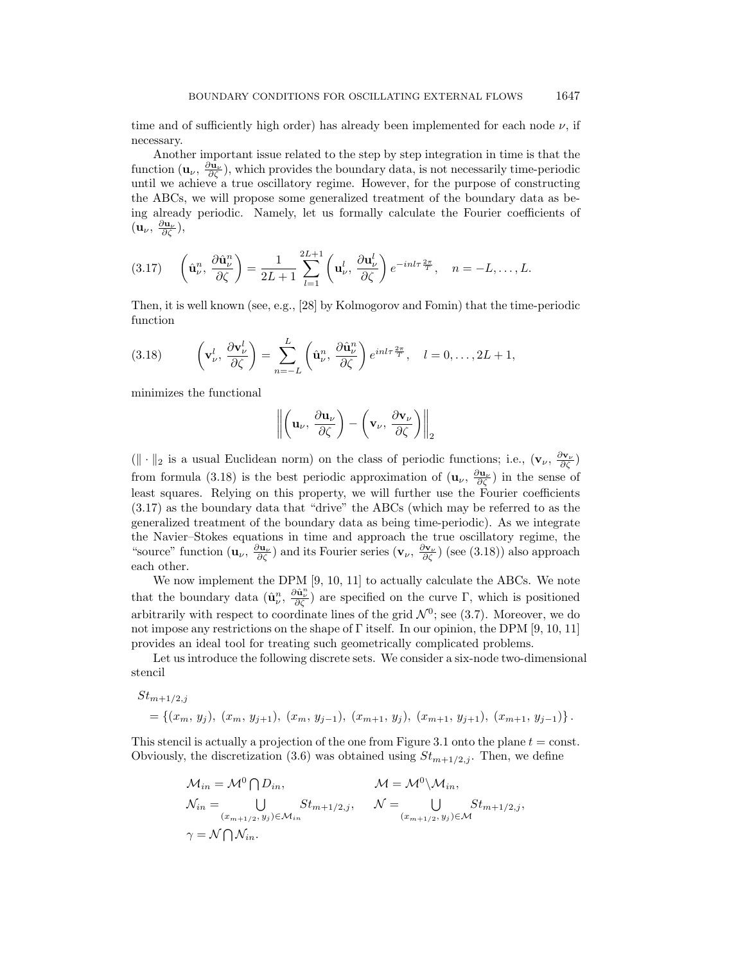time and of sufficiently high order) has already been implemented for each node  $\nu$ , if necessary.

Another important issue related to the step by step integration in time is that the function  $(\mathbf{u}_{\nu}, \frac{\partial \mathbf{u}_{\nu}}{\partial \zeta})$ , which provides the boundary data, is not necessarily time-periodic until we achieve a true oscillatory regime. However, for the purpose of constructing the ABCs, we will propose some generalized treatment of the boundary data as being already periodic. Namely, let us formally calculate the Fourier coefficients of  $(\textbf{u}_{\nu}, \frac{\partial \textbf{u}_{\nu}}{\partial \zeta}),$ 

$$
(3.17) \qquad \left(\hat{\mathbf{u}}_{\nu}^{n},\frac{\partial \hat{\mathbf{u}}_{\nu}^{n}}{\partial \zeta}\right) = \frac{1}{2L+1} \sum_{l=1}^{2L+1} \left(\mathbf{u}_{\nu}^{l},\frac{\partial \mathbf{u}_{\nu}^{l}}{\partial \zeta}\right) e^{-i n l \tau \frac{2\pi}{T}}, \quad n = -L,\ldots,L.
$$

Then, it is well known (see, e.g., [28] by Kolmogorov and Fomin) that the time-periodic function

(3.18) 
$$
\left(\mathbf{v}_{\nu}^{l}, \frac{\partial \mathbf{v}_{\nu}^{l}}{\partial \zeta}\right) = \sum_{n=-L}^{L} \left(\hat{\mathbf{u}}_{\nu}^{n}, \frac{\partial \hat{\mathbf{u}}_{\nu}^{n}}{\partial \zeta}\right) e^{inl\tau \frac{2\pi}{T}}, \quad l = 0, \ldots, 2L+1,
$$

minimizes the functional

$$
\left\| \left( \mathbf{u}_{\nu}, \frac{\partial \mathbf{u}_{\nu}}{\partial \zeta} \right) - \left( \mathbf{v}_{\nu}, \frac{\partial \mathbf{v}_{\nu}}{\partial \zeta} \right) \right\|_{2}
$$

 $(\Vert \cdot \Vert_2)$  is a usual Euclidean norm) on the class of periodic functions; i.e.,  $(\mathbf{v}_{\nu}, \frac{\partial \mathbf{v}_{\nu}}{\partial \zeta})$ from formula (3.18) is the best periodic approximation of  $(\mathbf{u}_{\nu}, \frac{\partial \mathbf{u}_{\nu}}{\partial \zeta})$  in the sense of least squares. Relying on this property, we will further use the Fourier coefficients (3.17) as the boundary data that "drive" the ABCs (which may be referred to as the generalized treatment of the boundary data as being time-periodic). As we integrate the Navier–Stokes equations in time and approach the true oscillatory regime, the "source" function  $(\mathbf{u}_{\nu}, \frac{\partial \mathbf{u}_{\nu}}{\partial \zeta})$  and its Fourier series  $(\mathbf{v}_{\nu}, \frac{\partial \mathbf{v}_{\nu}}{\partial \zeta})$  (see (3.18)) also approach each other.

We now implement the DPM  $[9, 10, 11]$  to actually calculate the ABCs. We note that the boundary data  $(\hat{\mathbf{u}}_l^n, \frac{\partial \hat{\mathbf{u}}_l^n}{\partial \zeta})$  are specified on the curve Γ, which is positioned arbitrarily with respect to coordinate lines of the grid  $\mathcal{N}^0$ ; see (3.7). Moreover, we do not impose any restrictions on the shape of Γ itself. In our opinion, the DPM [9, 10, 11] provides an ideal tool for treating such geometrically complicated problems.

Let us introduce the following discrete sets. We consider a six-node two-dimensional stencil

$$
St_{m+1/2,j}
$$
  
= {(x<sub>m</sub>, y<sub>j</sub>), (x<sub>m</sub>, y<sub>j+1</sub>), (x<sub>m</sub>, y<sub>j-1</sub>), (x<sub>m+1</sub>, y<sub>j</sub>), (x<sub>m+1</sub>, y<sub>j+1</sub>), (x<sub>m+1</sub>, y<sub>j-1</sub>)}.

This stencil is actually a projection of the one from Figure 3.1 onto the plane  $t = \text{const.}$ Obviously, the discretization (3.6) was obtained using  $St_{m+1/2,j}$ . Then, we define

$$
\mathcal{M}_{in} = \mathcal{M}^0 \cap D_{in}, \qquad \mathcal{M} = \mathcal{M}^0 \setminus \mathcal{M}_{in},
$$
  
\n
$$
\mathcal{N}_{in} = \bigcup_{(x_{m+1/2}, y_j) \in \mathcal{M}_{in}} St_{m+1/2,j}, \qquad \mathcal{N} = \bigcup_{(x_{m+1/2}, y_j) \in \mathcal{M}} St_{m+1/2,j},
$$
  
\n
$$
\gamma = \mathcal{N} \cap \mathcal{N}_{in}.
$$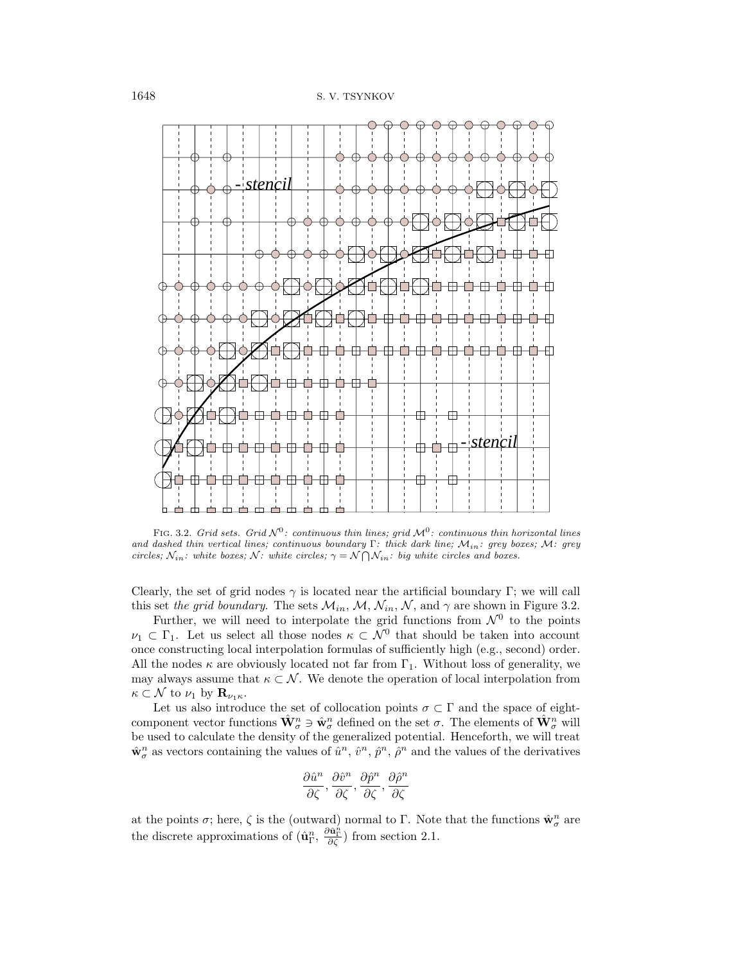

FIG. 3.2. Grid sets. Grid  $\mathcal{N}^0$ : continuous thin lines; grid  $\mathcal{M}^0$ : continuous thin horizontal lines and dashed thin vertical lines; continuous boundary Γ: thick dark line;  $M_{in}$ : grey boxes; M: grey circles;  $\mathcal{N}_i$ : white boxes;  $\mathcal{N}$ : white circles;  $\gamma = \mathcal{N} \bigcap \mathcal{N}_{i n}$ : big white circles and boxes.

Clearly, the set of grid nodes  $\gamma$  is located near the artificial boundary Γ; we will call this set the grid boundary. The sets  $\mathcal{M}_{in}$ ,  $\mathcal{M}$ ,  $\mathcal{N}_{in}$ ,  $\mathcal{N}$ , and  $\gamma$  are shown in Figure 3.2.

Further, we will need to interpolate the grid functions from  $\mathcal{N}^0$  to the points  $\nu_1 \subset \Gamma_1$ . Let us select all those nodes  $\kappa \subset \mathcal{N}^0$  that should be taken into account once constructing local interpolation formulas of sufficiently high (e.g., second) order. All the nodes  $\kappa$  are obviously located not far from  $\Gamma_1$ . Without loss of generality, we may always assume that  $\kappa \subset \mathcal{N}$ . We denote the operation of local interpolation from  $\kappa \subset \mathcal{N}$  to  $\nu_1$  by  $\mathbf{R}_{\nu_1\kappa}$ .

Let us also introduce the set of collocation points  $\sigma \subset \Gamma$  and the space of eightcomponent vector functions  $\hat{\mathbf{W}}_{\sigma}^{n} \ni \hat{\mathbf{w}}_{\sigma}^{n}$  defined on the set  $\sigma$ . The elements of  $\hat{\mathbf{W}}_{\sigma}^{n}$  will be used to calculate the density of the generalized potential. Henceforth, we will treat  $\hat{\mathbf{w}}_{\sigma}^{n}$  as vectors containing the values of  $\hat{u}^{n}$ ,  $\hat{v}^{n}$ ,  $\hat{p}^{n}$ ,  $\hat{\rho}^{n}$  and the values of the derivatives

$$
\frac{\partial \hat{u}^n}{\partial \zeta}, \frac{\partial \hat{v}^n}{\partial \zeta}, \frac{\partial \hat{p}^n}{\partial \zeta}, \frac{\partial \hat{\rho}^n}{\partial \zeta}
$$

at the points  $\sigma$ ; here,  $\zeta$  is the (outward) normal to  $\Gamma$ . Note that the functions  $\hat{\mathbf{w}}_{\sigma}^{n}$  are the discrete approximations of  $(\hat{\mathbf{u}}_{\Gamma}^n, \frac{\partial \hat{\mathbf{u}}_{\Gamma}^n}{\partial \zeta})$  from section 2.1.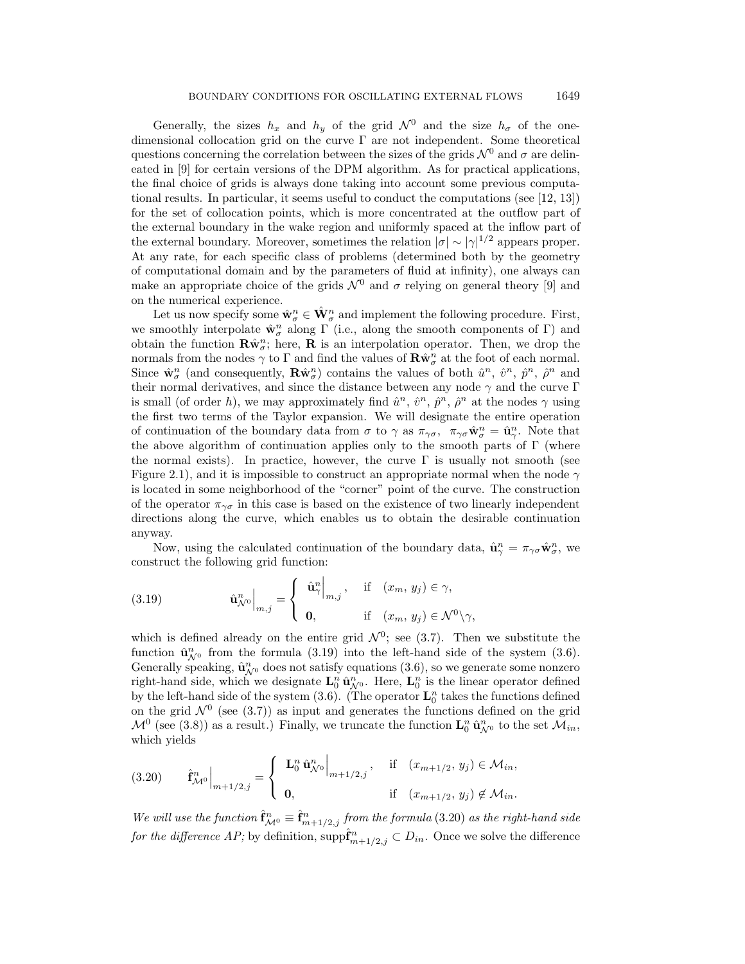Generally, the sizes  $h_x$  and  $h_y$  of the grid  $\mathcal{N}^0$  and the size  $h_\sigma$  of the onedimensional collocation grid on the curve Γ are not independent. Some theoretical questions concerning the correlation between the sizes of the grids  $\mathcal{N}^0$  and  $\sigma$  are delineated in [9] for certain versions of the DPM algorithm. As for practical applications, the final choice of grids is always done taking into account some previous computational results. In particular, it seems useful to conduct the computations (see [12, 13]) for the set of collocation points, which is more concentrated at the outflow part of the external boundary in the wake region and uniformly spaced at the inflow part of the external boundary. Moreover, sometimes the relation  $|\sigma| \sim |\gamma|^{1/2}$  appears proper. At any rate, for each specific class of problems (determined both by the geometry of computational domain and by the parameters of fluid at infinity), one always can make an appropriate choice of the grids  $\mathcal{N}^0$  and  $\sigma$  relying on general theory [9] and on the numerical experience.

Let us now specify some  $\hat{\mathbf{w}}_{\sigma}^n \in \hat{\mathbf{W}}_{\sigma}^n$  and implement the following procedure. First, we smoothly interpolate  $\hat{\mathbf{w}}_{\sigma}^{n}$  along  $\Gamma$  (i.e., along the smooth components of  $\Gamma$ ) and obtain the function  $\mathbf{R}\hat{\mathbf{w}}_{\sigma}^{n}$ ; here, **R** is an interpolation operator. Then, we drop the normals from the nodes  $\gamma$  to  $\Gamma$  and find the values of  $\mathbf{R}\hat{\mathbf{w}}_{\sigma}^{n}$  at the foot of each normal. Since  $\hat{\mathbf{w}}_{\sigma}^n$  (and consequently,  $\mathbf{R}\hat{\mathbf{w}}_{\sigma}^n$ ) contains the values of both  $\hat{u}^n$ ,  $\hat{v}^n$ ,  $\hat{p}^n$ ,  $\hat{\rho}^n$  and their normal derivatives, and since the distance between any node  $\gamma$  and the curve Γ is small (of order h), we may approximately find  $\hat{u}^n$ ,  $\hat{v}^n$ ,  $\hat{p}^n$ ,  $\hat{\rho}^n$  at the nodes  $\gamma$  using the first two terms of the Taylor expansion. We will designate the entire operation of continuation of the boundary data from  $\sigma$  to  $\gamma$  as  $\pi_{\gamma\sigma}$ ,  $\pi_{\gamma\sigma} \hat{\mathbf{w}}_{\sigma}^n = \hat{\mathbf{u}}_{\gamma}^n$ . Note that the above algorithm of continuation applies only to the smooth parts of Γ (where the normal exists). In practice, however, the curve  $\Gamma$  is usually not smooth (see Figure 2.1), and it is impossible to construct an appropriate normal when the node  $\gamma$ is located in some neighborhood of the "corner" point of the curve. The construction of the operator  $\pi_{\gamma\sigma}$  in this case is based on the existence of two linearly independent directions along the curve, which enables us to obtain the desirable continuation anyway.

Now, using the calculated continuation of the boundary data,  $\hat{\mathbf{u}}_{\gamma}^n = \pi_{\gamma \sigma} \hat{\mathbf{w}}_{\sigma}^n$ , we construct the following grid function:

(3.19) 
$$
\hat{\mathbf{u}}_{\mathcal{N}^0}^n \bigg|_{m,j} = \begin{cases} \hat{\mathbf{u}}_{\gamma}^n \bigg|_{m,j}, & \text{if } (x_m, y_j) \in \gamma, \\ \mathbf{0}, & \text{if } (x_m, y_j) \in \mathcal{N}^0 \backslash \gamma, \end{cases}
$$

which is defined already on the entire grid  $\mathcal{N}^0$ ; see (3.7). Then we substitute the function  $\hat{\mathbf{u}}_{\mathcal{N}^0}^n$  from the formula (3.19) into the left-hand side of the system (3.6). Generally speaking,  $\hat{\mathbf{u}}_{\mathcal{N}^0}^n$  does not satisfy equations (3.6), so we generate some nonzero right-hand side, which we designate  $\mathbf{L}_0^n \hat{\mathbf{u}}_{\mathcal{N}^0}^n$ . Here,  $\mathbf{L}_0^n$  is the linear operator defined by the left-hand side of the system  $(3.6)$ . (The operator  $\mathbf{L}_0^n$  takes the functions defined on the grid  $\mathcal{N}^0$  (see (3.7)) as input and generates the functions defined on the grid  $\mathcal{M}^0$  (see (3.8)) as a result.) Finally, we truncate the function  $\mathbf{L}_0^n \hat{\mathbf{u}}_{\mathcal{N}^0}^n$  to the set  $\mathcal{M}_{in}$ , which yields

$$
(3.20) \quad \hat{\mathbf{f}}_{\mathcal{M}^0}^n \Big|_{m+1/2,j} = \begin{cases} \mathbf{L}_0^n \, \hat{\mathbf{u}}_{\mathcal{N}^0}^n \Big|_{m+1/2,j}, & \text{if } (x_{m+1/2}, y_j) \in \mathcal{M}_{in}, \\ \mathbf{0}, & \text{if } (x_{m+1/2}, y_j) \notin \mathcal{M}_{in}. \end{cases}
$$

We will use the function  $\hat{\mathbf{f}}_{\mathcal{M}^0}^n \equiv \hat{\mathbf{f}}_{m+1/2,j}^n$  from the formula (3.20) as the right-hand side for the difference AP; by definition,  $\text{supp} \hat{\mathbf{f}}_{m+1/2,j}^n \subset D_{in}$ . Once we solve the difference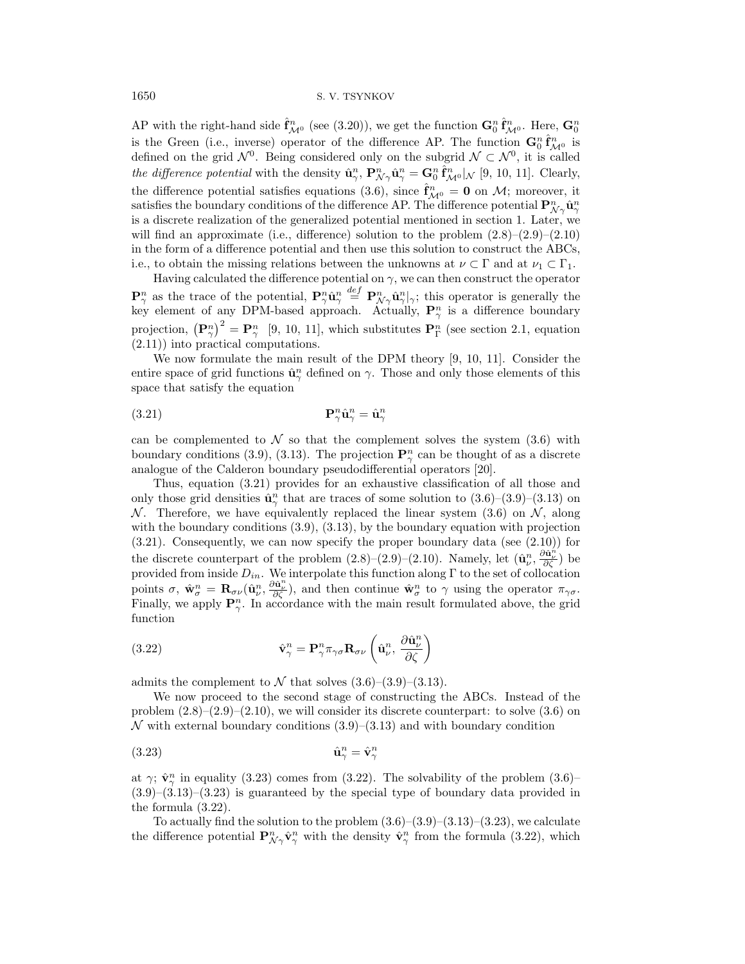1650 S. V. TSYNKOV

AP with the right-hand side  $\hat{\mathbf{f}}_{\mathcal{M}^0}^n$  (see (3.20)), we get the function  $\mathbf{G}_0^n \hat{\mathbf{f}}_{\mathcal{M}^0}^n$ . Here,  $\mathbf{G}_0^n$ is the Green (i.e., inverse) operator of the difference AP. The function  $\mathbf{G}_0^n \hat{\mathbf{f}}_{\mathcal{M}^0}^n$  is defined on the grid  $\mathcal{N}^0$ . Being considered only on the subgrid  $\mathcal{N} \subset \mathcal{N}^0$ , it is called the difference potential with the density  $\hat{\mathbf{u}}_{\gamma}^n$ ,  $\mathbf{P}_{\mathcal{N}\gamma}^n \hat{\mathbf{u}}_{\gamma}^n = \mathbf{G}_0^n \hat{\mathbf{f}}_{\mathcal{M}^0}^n |_{\mathcal{N}}$  [9, 10, 11]. Clearly, the difference potential satisfies equations (3.6), since  $\hat{\mathbf{f}}_{\mathcal{M}^0}^n = \mathbf{0}$  on  $\mathcal{M}$ ; moreover, it satisfies the boundary conditions of the difference AP. The difference potential  $\mathbf{P}_{\mathcal{N}\gamma}^n\hat{\mathbf{u}}_{\gamma}^n$ is a discrete realization of the generalized potential mentioned in section 1. Later, we will find an approximate (i.e., difference) solution to the problem  $(2.8)$ – $(2.9)$ – $(2.10)$ in the form of a difference potential and then use this solution to construct the ABCs, i.e., to obtain the missing relations between the unknowns at  $\nu \subset \Gamma$  and at  $\nu_1 \subset \Gamma_1$ .

Having calculated the difference potential on  $\gamma$ , we can then construct the operator  $\mathbf{P}^n_{\gamma}$  as the trace of the potential,  $\mathbf{P}^n_{\gamma} \hat{\mathbf{u}}^n_{\gamma}$  $\stackrel{def}{=} \mathbf{P}_{\mathcal{N}\gamma}^n \hat{\mathbf{u}}_{\gamma}^n |_{\gamma}$ ; this operator is generally the key element of any DPM-based approach. Actually,  $\mathbf{P}_{\gamma}^n$  is a difference boundary projection,  $(\mathbf{P}_{\gamma}^n)^2 = \mathbf{P}_{\gamma}^n$  [9, 10, 11], which substitutes  $\mathbf{P}_{\Gamma}^n$  (see section 2.1, equation (2.11)) into practical computations.

We now formulate the main result of the DPM theory [9, 10, 11]. Consider the entire space of grid functions  $\hat{\mathbf{u}}_{\gamma}^{n}$  defined on  $\gamma$ . Those and only those elements of this space that satisfy the equation

$$
\mathbf{P}_{\gamma}^{n}\hat{\mathbf{u}}_{\gamma}^{n} = \hat{\mathbf{u}}_{\gamma}^{n}
$$

can be complemented to  $\mathcal N$  so that the complement solves the system (3.6) with boundary conditions (3.9), (3.13). The projection  $\mathbf{P}^n_{\gamma}$  can be thought of as a discrete analogue of the Calderon boundary pseudodifferential operators [20].

Thus, equation (3.21) provides for an exhaustive classification of all those and only those grid densities  $\hat{\mathbf{u}}_{\gamma}^{n}$  that are traces of some solution to  $(3.6)-(3.9)-(3.13)$  on N. Therefore, we have equivalently replaced the linear system  $(3.6)$  on N, along with the boundary conditions (3.9), (3.13), by the boundary equation with projection (3.21). Consequently, we can now specify the proper boundary data (see (2.10)) for the discrete counterpart of the problem  $(2.8)-(2.9)-(2.10)$ . Namely, let  $(\hat{\mathbf{u}}_k^n, \frac{\partial \hat{\mathbf{u}}_k^{n'}}{\partial \zeta})$  be provided from inside  $D_{in}$ . We interpolate this function along Γ to the set of collocation points  $\sigma$ ,  $\hat{\mathbf{w}}_{\sigma}^{n} = \mathbf{R}_{\sigma\nu}(\hat{\mathbf{u}}_{\nu}^{n}, \frac{\partial \hat{\mathbf{u}}_{\nu}^{n}}{\partial \zeta})$ , and then continue  $\hat{\mathbf{w}}_{\sigma}^{n}$  to  $\gamma$  using the operator  $\pi_{\gamma\sigma}$ . Finally, we apply  $\mathbf{P}_{\gamma}^n$ . In accordance with the main result formulated above, the grid function

(3.22) 
$$
\hat{\mathbf{v}}_{\gamma}^{n} = \mathbf{P}_{\gamma}^{n} \pi_{\gamma \sigma} \mathbf{R}_{\sigma \nu} \left( \hat{\mathbf{u}}_{\nu}^{n}, \frac{\partial \hat{\mathbf{u}}_{\nu}^{n}}{\partial \zeta} \right)
$$

admits the complement to  $\mathcal N$  that solves  $(3.6)-(3.9)-(3.13)$ .

We now proceed to the second stage of constructing the ABCs. Instead of the problem  $(2.8)$ – $(2.9)$ – $(2.10)$ , we will consider its discrete counterpart: to solve  $(3.6)$  on  $\mathcal N$  with external boundary conditions (3.9)–(3.13) and with boundary condition

$$
(3.23)\qquad \qquad \hat{\mathbf{u}}_{\gamma}^{n} = \hat{\mathbf{v}}_{\gamma}^{n}
$$

at  $\gamma$ ;  $\hat{\mathbf{v}}_{\gamma}^{n}$  in equality (3.23) comes from (3.22). The solvability of the problem (3.6)–  $(3.9)$ – $(3.13)$ – $(3.23)$  is guaranteed by the special type of boundary data provided in the formula (3.22).

To actually find the solution to the problem  $(3.6)$ – $(3.9)$ – $(3.13)$ – $(3.23)$ , we calculate the difference potential  $\mathbf{P}_{\mathcal{N}\gamma}^n \hat{\mathbf{v}}_{\gamma}^n$  with the density  $\hat{\mathbf{v}}_{\gamma}^n$  from the formula (3.22), which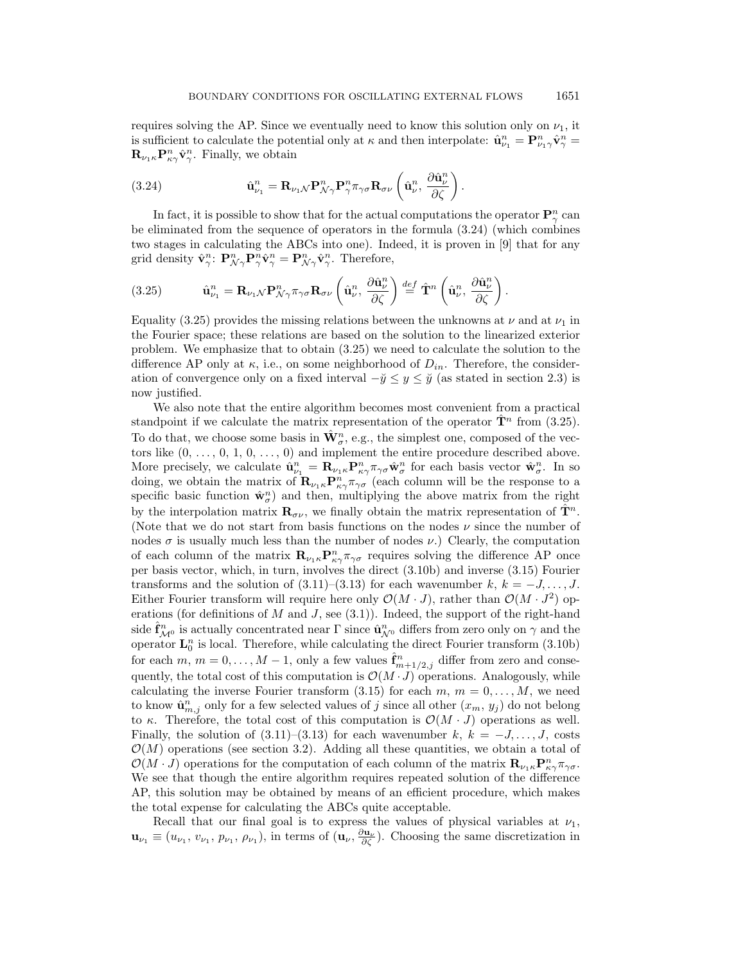requires solving the AP. Since we eventually need to know this solution only on  $\nu_1$ , it is sufficient to calculate the potential only at  $\kappa$  and then interpolate:  $\hat{\mathbf{u}}_{\nu_1}^n = \mathbf{P}_{\nu_1\gamma}^n \hat{\mathbf{v}}_{\gamma}^n =$  $\mathbf{R}_{\nu_1\kappa} \mathbf{P}_{\kappa\gamma}^n \hat{\mathbf{v}}_{\gamma}^n$ . Finally, we obtain

(3.24) 
$$
\hat{\mathbf{u}}_{\nu_1}^n = \mathbf{R}_{\nu_1 \mathcal{N}} \mathbf{P}_{\mathcal{N}\gamma}^n \mathbf{P}_{\gamma}^n \pi_{\gamma \sigma} \mathbf{R}_{\sigma \nu} \left( \hat{\mathbf{u}}_{\nu}^n, \frac{\partial \hat{\mathbf{u}}_{\nu}^n}{\partial \zeta} \right).
$$

In fact, it is possible to show that for the actual computations the operator  $\mathbf{P}_{\gamma}^n$  can be eliminated from the sequence of operators in the formula (3.24) (which combines two stages in calculating the ABCs into one). Indeed, it is proven in [9] that for any grid density  $\hat{\mathbf{v}}_{\gamma}^n$ :  $\mathbf{P}_{\mathcal{N}\gamma}^n \mathbf{P}_{\gamma}^n \hat{\mathbf{v}}_{\gamma}^n = \mathbf{P}_{\mathcal{N}\gamma}^n \hat{\mathbf{v}}_{\gamma}^n$ . Therefore,

(3.25) 
$$
\hat{\mathbf{u}}_{\nu_1}^n = \mathbf{R}_{\nu_1 \mathcal{N}} \mathbf{P}_{\mathcal{N}\gamma}^n \pi_{\gamma \sigma} \mathbf{R}_{\sigma \nu} \left( \hat{\mathbf{u}}_{\nu}^n, \frac{\partial \hat{\mathbf{u}}_{\nu}^n}{\partial \zeta} \right) \stackrel{def}{=} \hat{\mathbf{T}}^n \left( \hat{\mathbf{u}}_{\nu}^n, \frac{\partial \hat{\mathbf{u}}_{\nu}^n}{\partial \zeta} \right).
$$

Equality (3.25) provides the missing relations between the unknowns at  $\nu$  and at  $\nu_1$  in the Fourier space; these relations are based on the solution to the linearized exterior problem. We emphasize that to obtain (3.25) we need to calculate the solution to the difference AP only at  $\kappa$ , i.e., on some neighborhood of  $D_{in}$ . Therefore, the consideration of convergence only on a fixed interval  $-\check{y} \leq y \leq \check{y}$  (as stated in section 2.3) is now justified.

We also note that the entire algorithm becomes most convenient from a practical standpoint if we calculate the matrix representation of the operator  $\hat{\mathbf{T}}^n$  from (3.25). To do that, we choose some basis in  $\hat{\mathbf{W}}_{\sigma}^{n}$ , e.g., the simplest one, composed of the vectors like  $(0, \ldots, 0, 1, 0, \ldots, 0)$  and implement the entire procedure described above. More precisely, we calculate  $\hat{\mathbf{u}}_{\nu_1}^n = \mathbf{R}_{\nu_1 \kappa} \mathbf{P}_{\kappa \gamma}^n \pi_{\gamma \sigma} \hat{\mathbf{w}}_{\sigma}^n$  for each basis vector  $\hat{\mathbf{w}}_{\sigma}^n$ . In so doing, we obtain the matrix of  $\mathbf{R}_{\nu_1\kappa} \mathbf{P}_{\kappa\gamma}^n \pi_{\gamma\sigma}$  (each column will be the response to a specific basic function  $\hat{\mathbf{w}}_{\sigma}^{n}$  and then, multiplying the above matrix from the right by the interpolation matrix  $\mathbf{R}_{\sigma\nu}$ , we finally obtain the matrix representation of  $\mathbf{T}^n$ . (Note that we do not start from basis functions on the nodes  $\nu$  since the number of nodes  $\sigma$  is usually much less than the number of nodes  $\nu$ .) Clearly, the computation of each column of the matrix  $\mathbf{R}_{\nu_1\kappa} \mathbf{P}_{\kappa\gamma}^n \pi_{\gamma\sigma}$  requires solving the difference AP once per basis vector, which, in turn, involves the direct (3.10b) and inverse (3.15) Fourier transforms and the solution of  $(3.11)$ – $(3.13)$  for each wavenumber k,  $k = -J, \ldots, J$ . Either Fourier transform will require here only  $\mathcal{O}(M \cdot J)$ , rather than  $\mathcal{O}(M \cdot J^2)$  operations (for definitions of  $M$  and  $J$ , see  $(3.1)$ ). Indeed, the support of the right-hand side  $\hat{\mathbf{f}}_{\mathcal{M}^0}^n$  is actually concentrated near  $\Gamma$  since  $\hat{\mathbf{u}}_{\mathcal{N}^0}^n$  differs from zero only on  $\gamma$  and the operator  $\mathbf{L}_0^n$  is local. Therefore, while calculating the direct Fourier transform (3.10b) for each  $m, m = 0, ..., M - 1$ , only a few values  $\hat{\mathbf{f}}_{m+1/2,j}^n$  differ from zero and consequently, the total cost of this computation is  $\mathcal{O}(M \cdot J)$  operations. Analogously, while calculating the inverse Fourier transform  $(3.15)$  for each  $m, m = 0, \ldots, M$ , we need to know  $\hat{\mathbf{u}}_{m,j}^n$  only for a few selected values of j since all other  $(x_m, y_j)$  do not belong to κ. Therefore, the total cost of this computation is  $\mathcal{O}(M \cdot J)$  operations as well. Finally, the solution of  $(3.11)$ – $(3.13)$  for each wavenumber k,  $k = -J, \ldots, J$ , costs  $\mathcal{O}(M)$  operations (see section 3.2). Adding all these quantities, we obtain a total of  $\mathcal{O}(M \cdot J)$  operations for the computation of each column of the matrix  $\mathbf{R}_{\nu_1 \kappa} \mathbf{P}_{\kappa \gamma}^n \pi_{\gamma \sigma}$ . We see that though the entire algorithm requires repeated solution of the difference AP, this solution may be obtained by means of an efficient procedure, which makes the total expense for calculating the ABCs quite acceptable.

Recall that our final goal is to express the values of physical variables at  $\nu_1$ ,  $\mathbf{u}_{\nu_1} \equiv (u_{\nu_1}, v_{\nu_1}, p_{\nu_1}, \rho_{\nu_1})$ , in terms of  $(\mathbf{u}_{\nu}, \frac{\partial \mathbf{u}_{\nu}}{\partial \zeta})$ . Choosing the same discretization in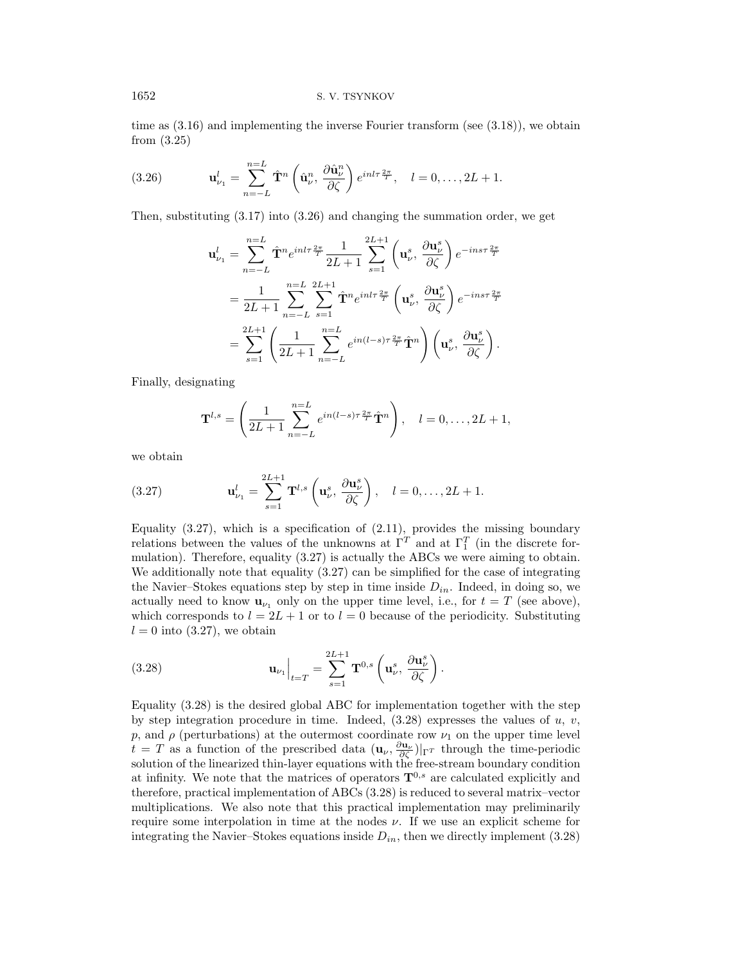time as (3.16) and implementing the inverse Fourier transform (see (3.18)), we obtain from (3.25)

(3.26) 
$$
\mathbf{u}_{\nu_1}^l = \sum_{n=-L}^{n=L} \hat{\mathbf{T}}^n \left( \hat{\mathbf{u}}_{\nu}^n, \frac{\partial \hat{\mathbf{u}}_{\nu}^n}{\partial \zeta} \right) e^{i n l \tau \frac{2\pi}{T}}, \quad l = 0, \dots, 2L+1.
$$

Then, substituting (3.17) into (3.26) and changing the summation order, we get

$$
\mathbf{u}_{\nu_1}^l = \sum_{n=-L}^{n=L} \hat{\mathbf{T}}^n e^{inl\tau \frac{2\pi}{T}} \frac{1}{2L+1} \sum_{s=1}^{2L+1} \left( \mathbf{u}_{\nu}^s, \frac{\partial \mathbf{u}_{\nu}^s}{\partial \zeta} \right) e^{-ins\tau \frac{2\pi}{T}}
$$
  

$$
= \frac{1}{2L+1} \sum_{n=-L}^{n=L} \sum_{s=1}^{2L+1} \hat{\mathbf{T}}^n e^{inl\tau \frac{2\pi}{T}} \left( \mathbf{u}_{\nu}^s, \frac{\partial \mathbf{u}_{\nu}^s}{\partial \zeta} \right) e^{-ins\tau \frac{2\pi}{T}}
$$
  

$$
= \sum_{s=1}^{2L+1} \left( \frac{1}{2L+1} \sum_{n=-L}^{n=L} e^{in(l-s)\tau \frac{2\pi}{T}} \hat{\mathbf{T}}^n \right) \left( \mathbf{u}_{\nu}^s, \frac{\partial \mathbf{u}_{\nu}^s}{\partial \zeta} \right).
$$

Finally, designating

$$
\mathbf{T}^{l,s} = \left(\frac{1}{2L+1} \sum_{n=-L}^{n=L} e^{in(l-s)\tau \frac{2\pi}{T}} \hat{\mathbf{T}}^n\right), \quad l = 0, \dots, 2L+1,
$$

we obtain

(3.27) 
$$
\mathbf{u}_{\nu_1}^l = \sum_{s=1}^{2L+1} \mathbf{T}^{l,s} \left( \mathbf{u}_{\nu}^s, \frac{\partial \mathbf{u}_{\nu}^s}{\partial \zeta} \right), \quad l = 0, \ldots, 2L+1.
$$

Equality (3.27), which is a specification of (2.11), provides the missing boundary relations between the values of the unknowns at  $\Gamma^T$  and at  $\Gamma_1^T$  (in the discrete formulation). Therefore, equality (3.27) is actually the ABCs we were aiming to obtain. We additionally note that equality (3.27) can be simplified for the case of integrating the Navier–Stokes equations step by step in time inside  $D_{in}$ . Indeed, in doing so, we actually need to know  $\mathbf{u}_{\nu_1}$  only on the upper time level, i.e., for  $t = T$  (see above), which corresponds to  $l = 2L + 1$  or to  $l = 0$  because of the periodicity. Substituting  $l = 0$  into (3.27), we obtain

(3.28) 
$$
\mathbf{u}_{\nu_1}\Big|_{t=T} = \sum_{s=1}^{2L+1} \mathbf{T}^{0,s} \left(\mathbf{u}_{\nu}^s, \frac{\partial \mathbf{u}_{\nu}^s}{\partial \zeta}\right).
$$

Equality (3.28) is the desired global ABC for implementation together with the step by step integration procedure in time. Indeed,  $(3.28)$  expresses the values of  $u, v$ , p, and  $\rho$  (perturbations) at the outermost coordinate row  $\nu_1$  on the upper time level  $t = T$  as a function of the prescribed data  $(\mathbf{u}_{\nu}, \frac{\partial \mathbf{u}_{\nu}}{\partial \zeta})|_{\Gamma^T}$  through the time-periodic solution of the linearized thin-layer equations with the free-stream boundary condition at infinity. We note that the matrices of operators  $\mathbf{T}^{0,s}$  are calculated explicitly and therefore, practical implementation of ABCs (3.28) is reduced to several matrix–vector multiplications. We also note that this practical implementation may preliminarily require some interpolation in time at the nodes  $\nu$ . If we use an explicit scheme for integrating the Navier–Stokes equations inside  $D_{in}$ , then we directly implement (3.28)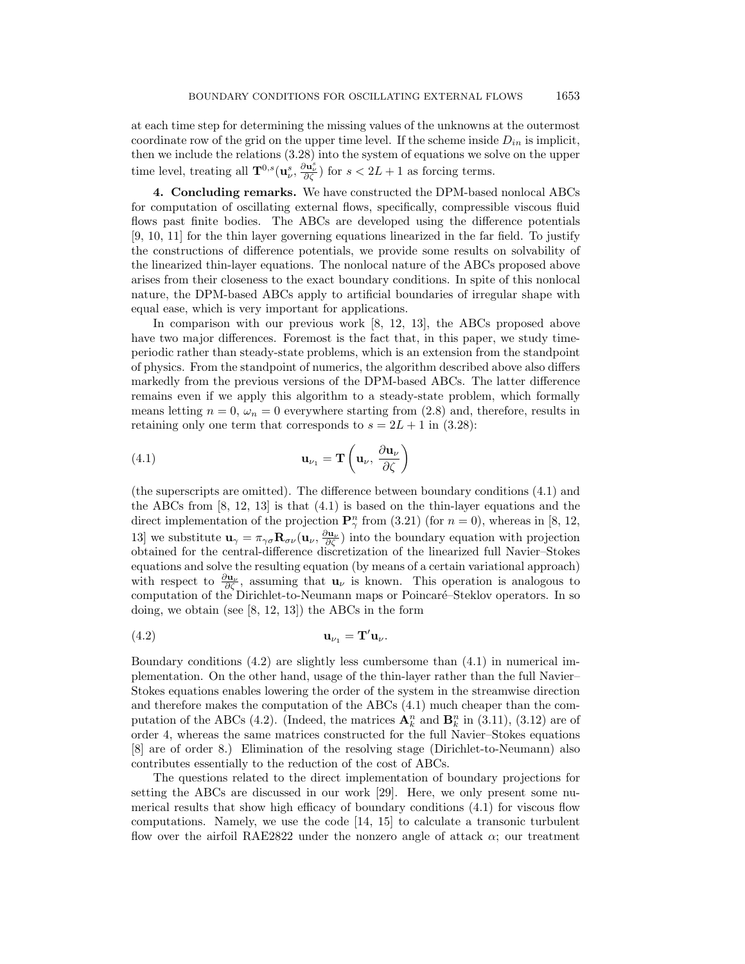at each time step for determining the missing values of the unknowns at the outermost coordinate row of the grid on the upper time level. If the scheme inside  $D_{in}$  is implicit, then we include the relations (3.28) into the system of equations we solve on the upper time level, treating all  $\mathbf{T}^{0,s}(\mathbf{u}_{\nu}^s, \frac{\partial \mathbf{u}_{\nu}^s}{\partial \zeta})$  for  $s < 2L + 1$  as forcing terms.

**4. Concluding remarks.** We have constructed the DPM-based nonlocal ABCs for computation of oscillating external flows, specifically, compressible viscous fluid flows past finite bodies. The ABCs are developed using the difference potentials [9, 10, 11] for the thin layer governing equations linearized in the far field. To justify the constructions of difference potentials, we provide some results on solvability of the linearized thin-layer equations. The nonlocal nature of the ABCs proposed above arises from their closeness to the exact boundary conditions. In spite of this nonlocal nature, the DPM-based ABCs apply to artificial boundaries of irregular shape with equal ease, which is very important for applications.

In comparison with our previous work [8, 12, 13], the ABCs proposed above have two major differences. Foremost is the fact that, in this paper, we study timeperiodic rather than steady-state problems, which is an extension from the standpoint of physics. From the standpoint of numerics, the algorithm described above also differs markedly from the previous versions of the DPM-based ABCs. The latter difference remains even if we apply this algorithm to a steady-state problem, which formally means letting  $n = 0$ ,  $\omega_n = 0$  everywhere starting from (2.8) and, therefore, results in retaining only one term that corresponds to  $s = 2L + 1$  in (3.28):

(4.1) 
$$
\mathbf{u}_{\nu_1} = \mathbf{T} \left( \mathbf{u}_{\nu}, \frac{\partial \mathbf{u}_{\nu}}{\partial \zeta} \right)
$$

(the superscripts are omitted). The difference between boundary conditions (4.1) and the ABCs from  $[8, 12, 13]$  is that  $(4.1)$  is based on the thin-layer equations and the direct implementation of the projection  $\mathbf{P}_{\gamma}^n$  from (3.21) (for  $n = 0$ ), whereas in [8, 12, 13] we substitute  $\mathbf{u}_{\gamma} = \pi_{\gamma\sigma} \mathbf{R}_{\sigma\nu}(\mathbf{u}_{\nu}, \frac{\partial \mathbf{u}_{\nu}}{\partial \zeta})$  into the boundary equation with projection obtained for the central-difference discretization of the linearized full Navier–Stokes equations and solve the resulting equation (by means of a certain variational approach) with respect to  $\frac{\partial \mathbf{u}_{\nu}}{\partial \zeta}$ , assuming that  $\mathbf{u}_{\nu}$  is known. This operation is analogous to computation of the Dirichlet-to-Neumann maps or Poincaré–Steklov operators. In so doing, we obtain (see [8, 12, 13]) the ABCs in the form

$$
\mathbf{u}_{\nu_1} = \mathbf{T}' \mathbf{u}_{\nu}.
$$

Boundary conditions (4.2) are slightly less cumbersome than (4.1) in numerical implementation. On the other hand, usage of the thin-layer rather than the full Navier– Stokes equations enables lowering the order of the system in the streamwise direction and therefore makes the computation of the ABCs (4.1) much cheaper than the computation of the ABCs (4.2). (Indeed, the matrices  $\mathbf{A}_k^n$  and  $\mathbf{B}_k^n$  in (3.11), (3.12) are of order 4, whereas the same matrices constructed for the full Navier–Stokes equations [8] are of order 8.) Elimination of the resolving stage (Dirichlet-to-Neumann) also contributes essentially to the reduction of the cost of ABCs.

The questions related to the direct implementation of boundary projections for setting the ABCs are discussed in our work [29]. Here, we only present some numerical results that show high efficacy of boundary conditions (4.1) for viscous flow computations. Namely, we use the code [14, 15] to calculate a transonic turbulent flow over the airfoil RAE2822 under the nonzero angle of attack  $\alpha$ ; our treatment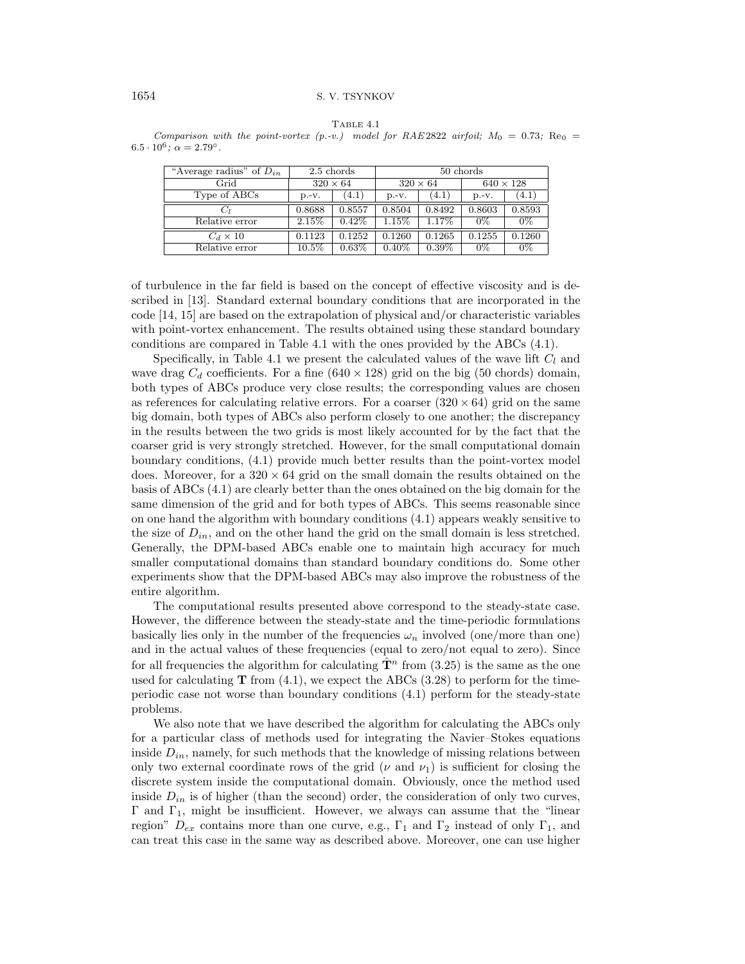| ABLE |  |
|------|--|
|------|--|

Comparison with the point-vortex  $(p.-v.)$  model for RAE 2822 airfoil;  $M_0 = 0.73$ ; Re<sub>0</sub> =  $6.5 \cdot 10^6$ ;  $\alpha = 2.79^\circ$ .

| "Average radius" of $D_{in}$ | 2.5 chords          |          | 50 chords       |          |                  |                    |
|------------------------------|---------------------|----------|-----------------|----------|------------------|--------------------|
| Grid                         | $320 \times 64$     |          | $320 \times 64$ |          | $640 \times 128$ |                    |
| Type of ABCs                 | $p.-v.$             | (4.1)    | $p.-v.$         | (4.1)    | $p.-v.$          | $\left(4.1\right)$ |
|                              | 0.8688              | 0.8557   | 0.8504          | 0.8492   | 0.8603           | 0.8593             |
| Relative error               | 2.15%               | $0.42\%$ | $1.15\%$        | 1.17%    | $0\%$            | $0\%$              |
| $C_d \times 10$              | 0.1123              | 0.1252   | 0.1260          | 0.1265   | 0.1255           | 0.1260             |
| Relative error               | $10.\overline{5\%}$ | 0.63%    | $0.40\%$        | $0.39\%$ | $0\%$            | $0\%$              |

of turbulence in the far field is based on the concept of effective viscosity and is described in [13]. Standard external boundary conditions that are incorporated in the code [14, 15] are based on the extrapolation of physical and/or characteristic variables with point-vortex enhancement. The results obtained using these standard boundary conditions are compared in Table 4.1 with the ones provided by the ABCs (4.1).

Specifically, in Table 4.1 we present the calculated values of the wave lift  $C_l$  and wave drag  $C_d$  coefficients. For a fine (640  $\times$  128) grid on the big (50 chords) domain, both types of ABCs produce very close results; the corresponding values are chosen as references for calculating relative errors. For a coarser  $(320 \times 64)$  grid on the same big domain, both types of ABCs also perform closely to one another; the discrepancy in the results between the two grids is most likely accounted for by the fact that the coarser grid is very strongly stretched. However, for the small computational domain boundary conditions, (4.1) provide much better results than the point-vortex model does. Moreover, for a  $320 \times 64$  grid on the small domain the results obtained on the basis of ABCs (4.1) are clearly better than the ones obtained on the big domain for the same dimension of the grid and for both types of ABCs. This seems reasonable since on one hand the algorithm with boundary conditions (4.1) appears weakly sensitive to the size of  $D_{in}$ , and on the other hand the grid on the small domain is less stretched. Generally, the DPM-based ABCs enable one to maintain high accuracy for much smaller computational domains than standard boundary conditions do. Some other experiments show that the DPM-based ABCs may also improve the robustness of the entire algorithm.

The computational results presented above correspond to the steady-state case. However, the difference between the steady-state and the time-periodic formulations basically lies only in the number of the frequencies  $\omega_n$  involved (one/more than one) and in the actual values of these frequencies (equal to zero/not equal to zero). Since for all frequencies the algorithm for calculating  $\hat{\mathbf{T}}^n$  from (3.25) is the same as the one used for calculating **T** from  $(4.1)$ , we expect the ABCs  $(3.28)$  to perform for the timeperiodic case not worse than boundary conditions (4.1) perform for the steady-state problems.

We also note that we have described the algorithm for calculating the ABCs only for a particular class of methods used for integrating the Navier–Stokes equations inside  $D_{in}$ , namely, for such methods that the knowledge of missing relations between only two external coordinate rows of the grid  $(\nu \text{ and } \nu_1)$  is sufficient for closing the discrete system inside the computational domain. Obviously, once the method used inside  $D_{in}$  is of higher (than the second) order, the consideration of only two curves,  $Γ$  and  $Γ<sub>1</sub>$ , might be insufficient. However, we always can assume that the "linear region"  $D_{ex}$  contains more than one curve, e.g.,  $\Gamma_1$  and  $\Gamma_2$  instead of only  $\Gamma_1$ , and can treat this case in the same way as described above. Moreover, one can use higher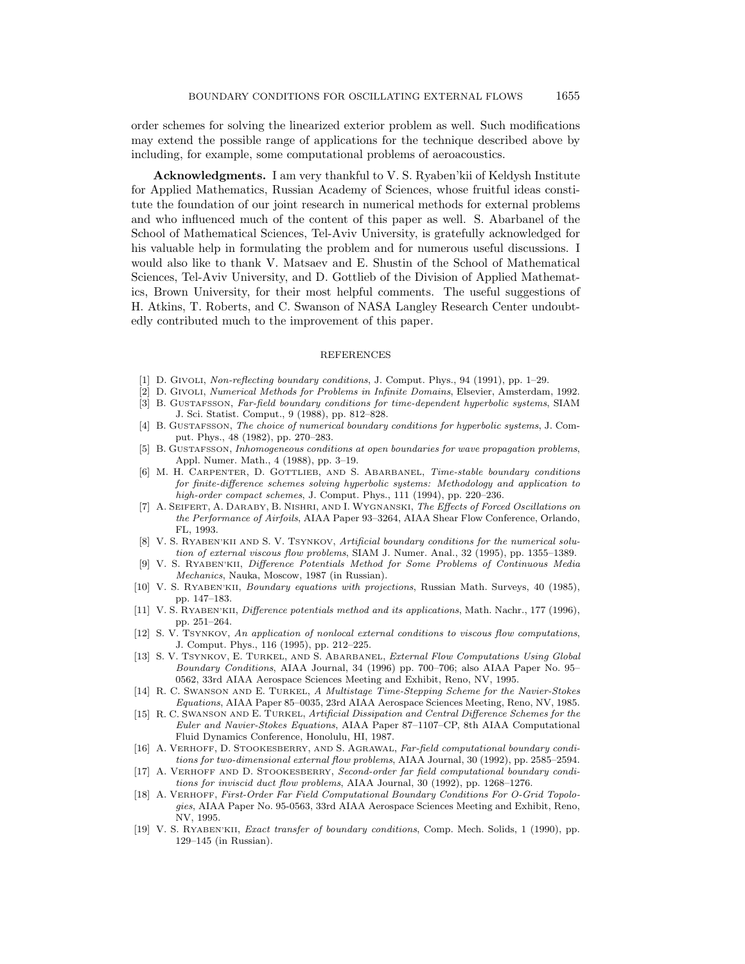order schemes for solving the linearized exterior problem as well. Such modifications may extend the possible range of applications for the technique described above by including, for example, some computational problems of aeroacoustics.

**Acknowledgments.** I am very thankful to V. S. Ryaben'kii of Keldysh Institute for Applied Mathematics, Russian Academy of Sciences, whose fruitful ideas constitute the foundation of our joint research in numerical methods for external problems and who influenced much of the content of this paper as well. S. Abarbanel of the School of Mathematical Sciences, Tel-Aviv University, is gratefully acknowledged for his valuable help in formulating the problem and for numerous useful discussions. I would also like to thank V. Matsaev and E. Shustin of the School of Mathematical Sciences, Tel-Aviv University, and D. Gottlieb of the Division of Applied Mathematics, Brown University, for their most helpful comments. The useful suggestions of H. Atkins, T. Roberts, and C. Swanson of NASA Langley Research Center undoubtedly contributed much to the improvement of this paper.

#### REFERENCES

- [1] D. GIVOLI, Non-reflecting boundary conditions, J. Comput. Phys., 94 (1991), pp. 1–29.
- [2] D. GIVOLI, Numerical Methods for Problems in Infinite Domains, Elsevier, Amsterdam, 1992.
- [3] B. GUSTAFSSON, Far-field boundary conditions for time-dependent hyperbolic systems, SIAM J. Sci. Statist. Comput., 9 (1988), pp. 812–828.
- [4] B. GUSTAFSSON, The choice of numerical boundary conditions for hyperbolic systems, J. Comput. Phys., 48 (1982), pp. 270–283.
- [5] B. GUSTAFSSON, Inhomogeneous conditions at open boundaries for wave propagation problems, Appl. Numer. Math., 4 (1988), pp. 3–19.
- [6] M. H. CARPENTER, D. GOTTLIEB, AND S. ABARBANEL, Time-stable boundary conditions for finite-difference schemes solving hyperbolic systems: Methodology and application to high-order compact schemes, J. Comput. Phys., 111 (1994), pp. 220–236.
- [7] A. SEIFERT, A. DARABY, B. NISHRI, AND I. WYGNANSKI, The Effects of Forced Oscillations on the Performance of Airfoils, AIAA Paper 93–3264, AIAA Shear Flow Conference, Orlando, FL, 1993.
- [8] V. S. RYABEN'KII AND S. V. TSYNKOV, Artificial boundary conditions for the numerical solution of external viscous flow problems, SIAM J. Numer. Anal., 32 (1995), pp. 1355–1389.
- [9] V. S. RYABEN'KII, Difference Potentials Method for Some Problems of Continuous Media Mechanics, Nauka, Moscow, 1987 (in Russian).
- [10] V. S. RYABEN'KII, Boundary equations with projections, Russian Math. Surveys, 40 (1985), pp. 147–183.
- [11] V. S. RYABEN'KII, *Difference potentials method and its applications*, Math. Nachr., 177 (1996), pp. 251–264.
- [12] S. V. TSYNKOV, An application of nonlocal external conditions to viscous flow computations, J. Comput. Phys., 116 (1995), pp. 212–225.
- [13] S. V. TSYNKOV, E. TURKEL, AND S. ABARBANEL, External Flow Computations Using Global Boundary Conditions, AIAA Journal, 34 (1996) pp. 700–706; also AIAA Paper No. 95– 0562, 33rd AIAA Aerospace Sciences Meeting and Exhibit, Reno, NV, 1995.
- [14] R. C. SWANSON AND E. TURKEL, A Multistage Time-Stepping Scheme for the Navier-Stokes Equations, AIAA Paper 85–0035, 23rd AIAA Aerospace Sciences Meeting, Reno, NV, 1985.
- [15] R. C. SWANSON AND E. TURKEL, Artificial Dissipation and Central Difference Schemes for the Euler and Navier-Stokes Equations, AIAA Paper 87–1107–CP, 8th AIAA Computational Fluid Dynamics Conference, Honolulu, HI, 1987.
- [16] A. VERHOFF, D. STOOKESBERRY, AND S. AGRAWAL, Far-field computational boundary conditions for two-dimensional external flow problems, AIAA Journal, 30 (1992), pp. 2585–2594.
- [17] A. VERHOFF AND D. STOOKESBERRY, Second-order far field computational boundary conditions for inviscid duct flow problems, AIAA Journal, 30 (1992), pp. 1268–1276.
- [18] A. VERHOFF, First-Order Far Field Computational Boundary Conditions For O-Grid Topologies, AIAA Paper No. 95-0563, 33rd AIAA Aerospace Sciences Meeting and Exhibit, Reno, NV, 1995.
- [19] V. S. RYABEN'KII, Exact transfer of boundary conditions, Comp. Mech. Solids, 1 (1990), pp. 129–145 (in Russian).